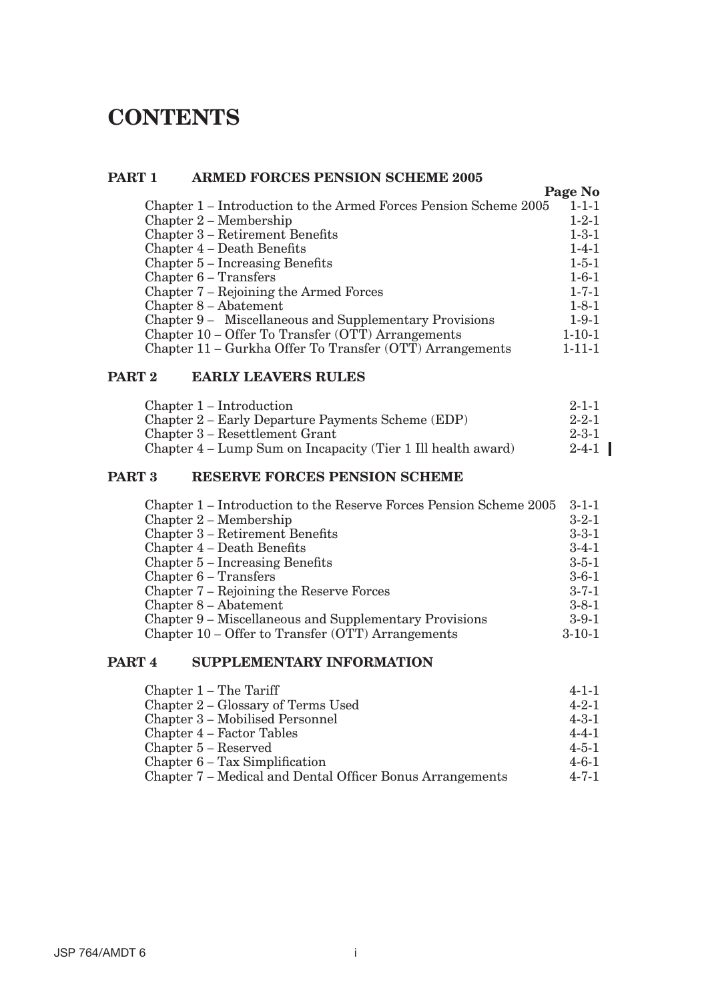# **CONTENTS**

## **PART 1 ARMED FORCES PENSION SCHEME 2005**

|                                                                  | Page No      |
|------------------------------------------------------------------|--------------|
| Chapter 1 – Introduction to the Armed Forces Pension Scheme 2005 | $1 - 1 - 1$  |
| Chapter 2 – Membership                                           | $1 - 2 - 1$  |
| Chapter 3 – Retirement Benefits                                  | $1 - 3 - 1$  |
| Chapter 4 - Death Benefits                                       | $1-4-1$      |
| Chapter 5 – Increasing Benefits                                  | $1-5-1$      |
| Chapter 6 – Transfers                                            | $1 - 6 - 1$  |
| Chapter 7 – Rejoining the Armed Forces                           | $1 - 7 - 1$  |
| Chapter 8 – Abatement                                            | $1 - 8 - 1$  |
| Chapter 9 – Miscellaneous and Supplementary Provisions           | $1-9-1$      |
| Chapter 10 – Offer To Transfer (OTT) Arrangements                | $1 - 10 - 1$ |
| Chapter 11 – Gurkha Offer To Transfer (OTT) Arrangements         | 1-11-1       |
|                                                                  |              |

## **PART 2 EARLY LEAVERS RULES**

| $2 - 1 - 1$ |
|-------------|
| $2 - 2 - 1$ |
| $2 - 3 - 1$ |
| $2 - 4 - 1$ |
|             |

## **PART 3 RESERVE FORCES PENSION SCHEME**

| $3-1-1$     |
|-------------|
| $3 - 2 - 1$ |
| $3 - 3 - 1$ |
| $3-4-1$     |
| $3 - 5 - 1$ |
| $3 - 6 - 1$ |
| $3 - 7 - 1$ |
| $3 - 8 - 1$ |
| $3-9-1$     |
| $3-10-1$    |
|             |

## **PART 4 SUPPLEMENTARY INFORMATION**

| Chapter 1 – The Tariff                                    | $4 - 1 - 1$ |
|-----------------------------------------------------------|-------------|
| Chapter 2 – Glossary of Terms Used                        | $4 - 2 - 1$ |
| Chapter 3 – Mobilised Personnel                           | $4 - 3 - 1$ |
| Chapter 4 – Factor Tables                                 | $4 - 4 - 1$ |
| Chapter 5 – Reserved                                      | $4 - 5 - 1$ |
| Chapter 6 – Tax Simplification                            | $4 - 6 - 1$ |
| Chapter 7 – Medical and Dental Officer Bonus Arrangements | $4 - 7 - 1$ |
|                                                           |             |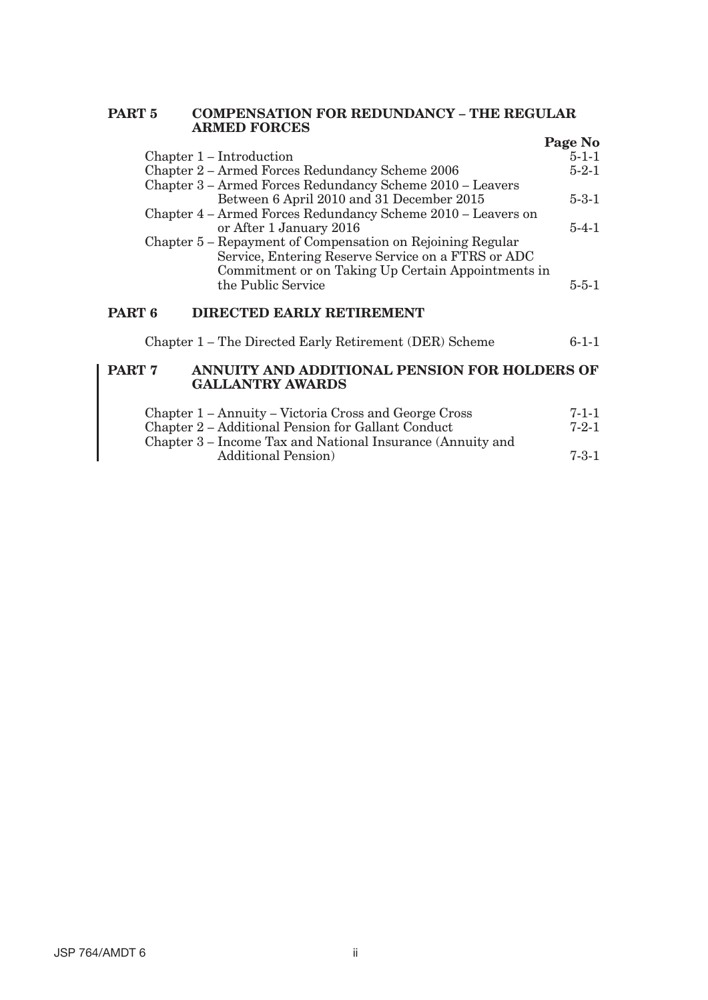## **PART 5 COMPENSATION FOR REDUNDANCY – THE REGULAR ARMED FORCES**

|                                                              | Page No     |
|--------------------------------------------------------------|-------------|
| Chapter 1 – Introduction                                     | $5-1-1$     |
| Chapter 2 - Armed Forces Redundancy Scheme 2006              | $5 - 2 - 1$ |
| Chapter 3 - Armed Forces Redundancy Scheme 2010 - Leavers    |             |
| Between 6 April 2010 and 31 December 2015                    | $5 - 3 - 1$ |
| Chapter 4 - Armed Forces Redundancy Scheme 2010 - Leavers on |             |
| or After 1 January 2016                                      | $5-4-1$     |
| Chapter 5 – Repayment of Compensation on Rejoining Regular   |             |
| Service, Entering Reserve Service on a FTRS or ADC           |             |
| Commitment or on Taking Up Certain Appointments in           |             |
| the Public Service                                           | $5 - 5 - 1$ |
|                                                              |             |
| PART 6<br><b>DIRECTED EARLY RETIREMENT</b>                   |             |
| Chapter 1 – The Directed Early Retirement (DER) Scheme       | 6-1-1       |
|                                                              |             |

#### **PART 7 ANNUITY AND ADDITIONAL PENSION FOR HOLDERS OF GALLANTRY AWARDS**

| Chapter 1 – Annuity – Victoria Cross and George Cross      | $7 - 1 - 1$ |
|------------------------------------------------------------|-------------|
| Chapter 2 – Additional Pension for Gallant Conduct         | $7 - 2 - 1$ |
| Chapter 3 – Income Tax and National Insurance (Annuity and |             |
| <b>Additional Pension</b> )                                | $7 - 3 - 1$ |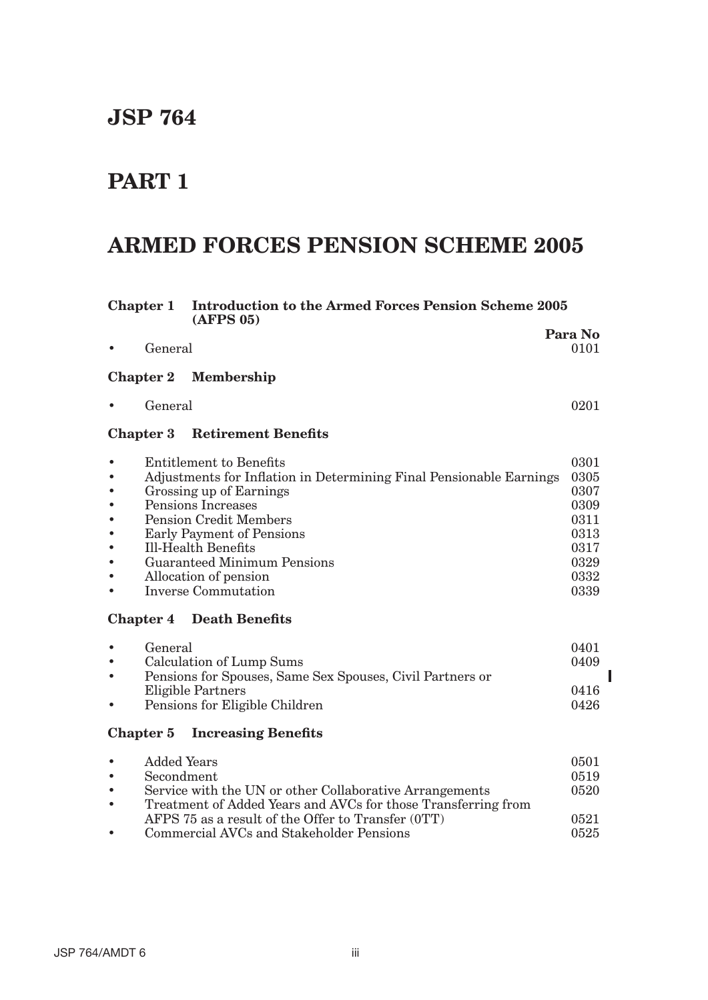## **JSP 764**

## **PART 1**

## **ARMED FORCES PENSION SCHEME 2005**

#### **Chapter 1 Introduction to the Armed Forces Pension Scheme 2005 (AFPS 05)**

|           |         | Para No |
|-----------|---------|---------|
| $\bullet$ | General | 0101    |

## **Chapter 2 Membership**

|  | General | 0201 |  |
|--|---------|------|--|
|--|---------|------|--|

#### **Chapter 3 Retirement Benefits**

| $\bullet$ | <b>Entitlement to Benefits</b>                                      | 0301 |
|-----------|---------------------------------------------------------------------|------|
| $\bullet$ | Adjustments for Inflation in Determining Final Pensionable Earnings | 0305 |
| $\bullet$ | Grossing up of Earnings                                             | 0307 |
| $\bullet$ | Pensions Increases                                                  | 0309 |
| $\bullet$ | <b>Pension Credit Members</b>                                       | 0311 |
| $\bullet$ | <b>Early Payment of Pensions</b>                                    | 0313 |
| $\bullet$ | <b>Ill-Health Benefits</b>                                          | 0317 |
| $\bullet$ | <b>Guaranteed Minimum Pensions</b>                                  | 0329 |
| $\bullet$ | Allocation of pension                                               | 0332 |
|           | <b>Inverse Commutation</b>                                          | 0339 |

## **Chapter 4 Death Benefits**

| $\bullet$ | General                                                   | 0401 |
|-----------|-----------------------------------------------------------|------|
| $\bullet$ | Calculation of Lump Sums                                  | 0409 |
| $\bullet$ | Pensions for Spouses, Same Sex Spouses, Civil Partners or |      |
|           | Eligible Partners                                         | 0416 |
| $\bullet$ | Pensions for Eligible Children                            | 0426 |
|           |                                                           |      |

## **Chapter 5 Increasing Benefits**

| $\bullet$ | <b>Added Years</b>                                            | 0501 |
|-----------|---------------------------------------------------------------|------|
| $\bullet$ | Secondment                                                    | 0519 |
| $\bullet$ | Service with the UN or other Collaborative Arrangements       | 0520 |
| $\bullet$ | Treatment of Added Years and AVCs for those Transferring from |      |
|           | AFPS 75 as a result of the Offer to Transfer (0TT)            | 0521 |
| $\bullet$ | Commercial AVCs and Stakeholder Pensions                      | 0525 |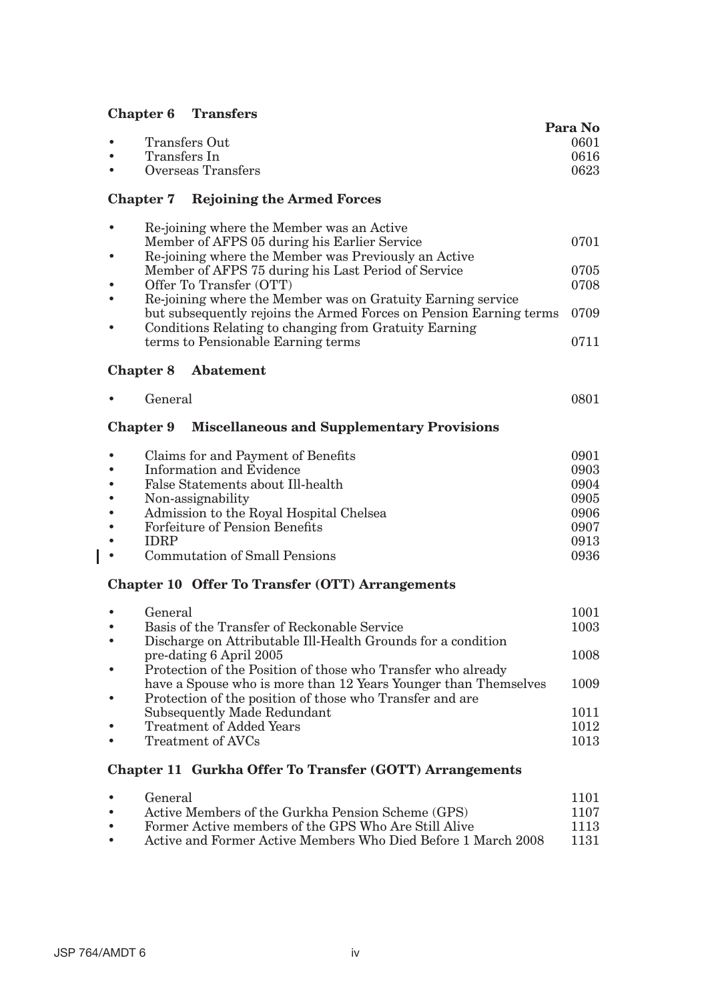## **Chapter 6 Transfers**

| Para No<br>0601<br>0616<br>0623                              |
|--------------------------------------------------------------|
|                                                              |
| 0701                                                         |
| 0705<br>0708                                                 |
| 0709<br>0711                                                 |
|                                                              |
| 0801                                                         |
|                                                              |
| 0901<br>0903<br>0904<br>0905<br>0906<br>0907<br>0913<br>0936 |
|                                                              |

|           | General                                                         | 1001 |
|-----------|-----------------------------------------------------------------|------|
| $\bullet$ | Basis of the Transfer of Reckonable Service                     | 1003 |
| $\bullet$ | Discharge on Attributable Ill-Health Grounds for a condition    |      |
|           | pre-dating 6 April 2005                                         | 1008 |
| $\bullet$ | Protection of the Position of those who Transfer who already    |      |
|           | have a Spouse who is more than 12 Years Younger than Themselves | 1009 |
| $\bullet$ | Protection of the position of those who Transfer and are        |      |
|           | Subsequently Made Redundant                                     | 1011 |
|           | <b>Treatment of Added Years</b>                                 | 1012 |
|           | Treatment of AVCs                                               | 1013 |
|           |                                                                 |      |

## **Chapter 11 Gurkha Offer To Transfer (GOTT) Arrangements**

| $\bullet$ | General                                                       | 1101 |
|-----------|---------------------------------------------------------------|------|
| $\bullet$ | Active Members of the Gurkha Pension Scheme (GPS)             | 1107 |
| $\bullet$ | Former Active members of the GPS Who Are Still Alive          | 1113 |
| $\bullet$ | Active and Former Active Members Who Died Before 1 March 2008 | 1131 |
|           |                                                               |      |

 $\overline{\phantom{a}}$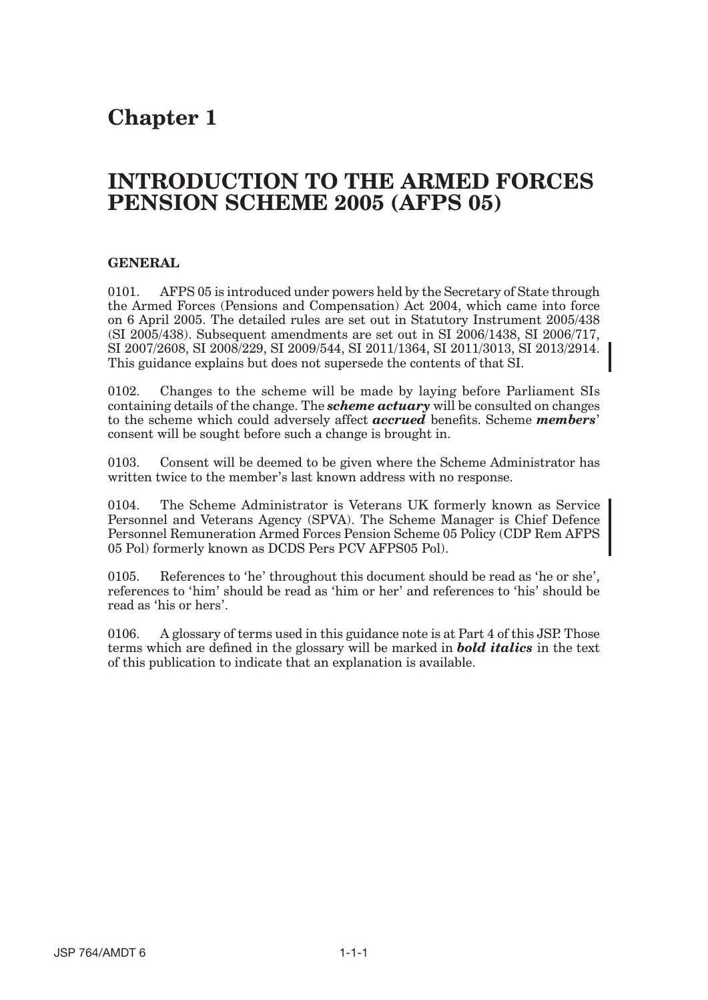## **Chapter 1**

## **INTRODUCTION TO THE ARMED FORCES PENSION SCHEME 2005 (AFPS 05)**

#### **GENERAL**

0101. AFPS 05 is introduced under powers held by the Secretary of State through the Armed Forces (Pensions and Compensation) Act 2004, which came into force on 6 April 2005. The detailed rules are set out in Statutory Instrument 2005/438 (SI 2005/438). Subsequent amendments are set out in SI 2006/1438, SI 2006/717, SI 2007/2608, SI 2008/229, SI 2009/544, SI 2011/1364, SI 2011/3013, SI 2013/2914. This guidance explains but does not supersede the contents of that SI.

0102. Changes to the scheme will be made by laying before Parliament SIs containing details of the change. The *scheme actuary* will be consulted on changes to the scheme which could adversely affect *accrued* benefits. Scheme *members*' consent will be sought before such a change is brought in.

0103. Consent will be deemed to be given where the Scheme Administrator has written twice to the member's last known address with no response.

0104. The Scheme Administrator is Veterans UK formerly known as Service Personnel and Veterans Agency (SPVA). The Scheme Manager is Chief Defence Personnel Remuneration Armed Forces Pension Scheme 05 Policy (CDP Rem AFPS 05 Pol) formerly known as DCDS Pers PCV AFPS05 Pol).

0105. References to 'he' throughout this document should be read as 'he or she', references to 'him' should be read as 'him or her' and references to 'his' should be read as 'his or hers'.

0106. A glossary of terms used in this guidance note is at Part 4 of this JSP. Those terms which are defined in the glossary will be marked in *bold italics* in the text of this publication to indicate that an explanation is available.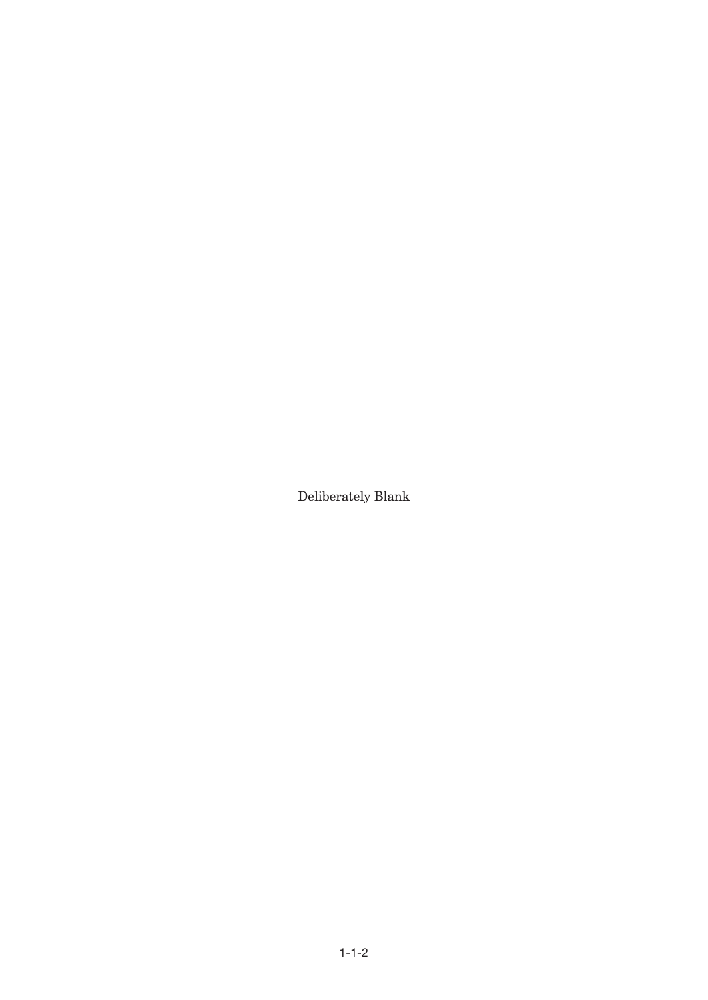Deliberately Blank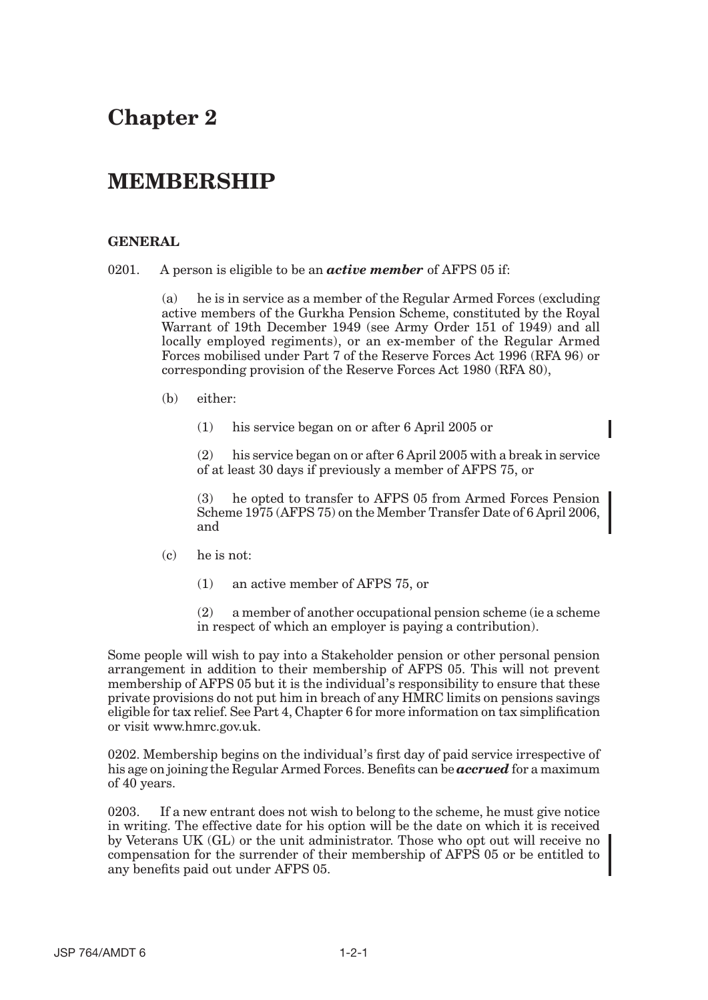## **Chapter 2**

## **MEMBERSHIP**

## **GENERAL**

0201. A person is eligible to be an *active member* of AFPS 05 if:

(a) he is in service as a member of the Regular Armed Forces (excluding active members of the Gurkha Pension Scheme, constituted by the Royal Warrant of 19th December 1949 (see Army Order 151 of 1949) and all locally employed regiments), or an ex-member of the Regular Armed Forces mobilised under Part 7 of the Reserve Forces Act 1996 (RFA 96) or corresponding provision of the Reserve Forces Act 1980 (RFA 80),

(b) either:

(1) his service began on or after 6 April 2005 or

(2) his service began on or after 6 April 2005 with a break in service of at least 30 days if previously a member of AFPS 75, or

(3) he opted to transfer to AFPS 05 from Armed Forces Pension Scheme 1975 (AFPS 75) on the Member Transfer Date of 6 April 2006, and

(c) he is not:

(1) an active member of AFPS 75, or

(2) a member of another occupational pension scheme (ie a scheme in respect of which an employer is paying a contribution).

Some people will wish to pay into a Stakeholder pension or other personal pension arrangement in addition to their membership of AFPS 05. This will not prevent membership of AFPS 05 but it is the individual's responsibility to ensure that these private provisions do not put him in breach of any HMRC limits on pensions savings eligible for tax relief. See Part 4, Chapter 6 for more information on tax simplification or visit www.hmrc.gov.uk.

0202. Membership begins on the individual's first day of paid service irrespective of his age on joining the Regular Armed Forces. Benefits can be *accrued* for a maximum of 40 years.

0203. If a new entrant does not wish to belong to the scheme, he must give notice in writing. The effective date for his option will be the date on which it is received by Veterans UK (GL) or the unit administrator. Those who opt out will receive no compensation for the surrender of their membership of AFPS 05 or be entitled to any benefits paid out under AFPS 05.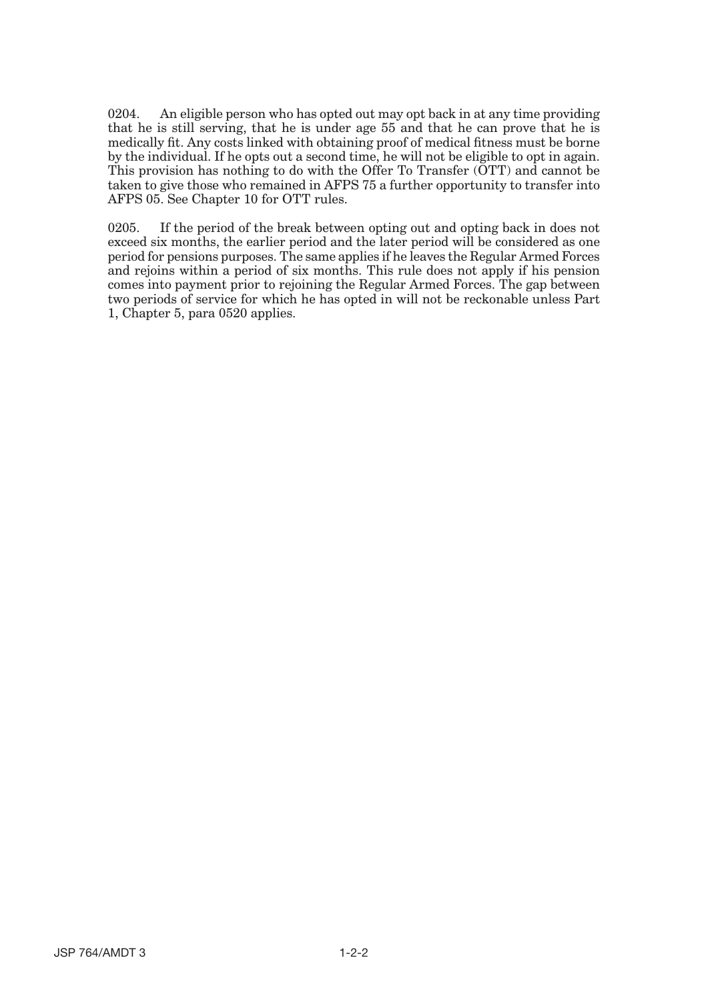0204. An eligible person who has opted out may opt back in at any time providing that he is still serving, that he is under age 55 and that he can prove that he is medically fit. Any costs linked with obtaining proof of medical fitness must be borne by the individual. If he opts out a second time, he will not be eligible to opt in again. This provision has nothing to do with the Offer To Transfer (OTT) and cannot be taken to give those who remained in AFPS 75 a further opportunity to transfer into AFPS 05. See Chapter 10 for OTT rules.

0205. If the period of the break between opting out and opting back in does not exceed six months, the earlier period and the later period will be considered as one period for pensions purposes. The same applies if he leaves the Regular Armed Forces and rejoins within a period of six months. This rule does not apply if his pension comes into payment prior to rejoining the Regular Armed Forces. The gap between two periods of service for which he has opted in will not be reckonable unless Part 1, Chapter 5, para 0520 applies.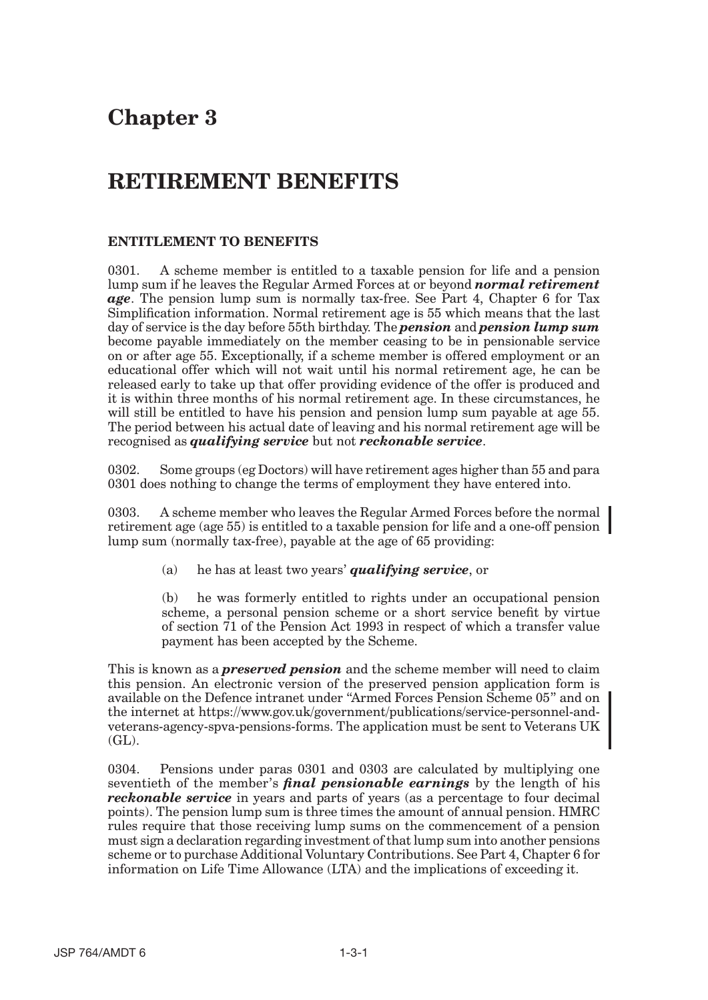# **Chapter 3**

## **RETIREMENT BENEFITS**

## **ENTITLEMENT TO BENEFITS**

0301. A scheme member is entitled to a taxable pension for life and a pension lump sum if he leaves the Regular Armed Forces at or beyond *normal retirement age*. The pension lump sum is normally tax-free. See Part 4, Chapter 6 for Tax Simplification information. Normal retirement age is 55 which means that the last day of service is the day before 55th birthday. The *pension* and *pension lump sum*  become payable immediately on the member ceasing to be in pensionable service on or after age 55. Exceptionally, if a scheme member is offered employment or an educational offer which will not wait until his normal retirement age, he can be released early to take up that offer providing evidence of the offer is produced and it is within three months of his normal retirement age. In these circumstances, he will still be entitled to have his pension and pension lump sum payable at age 55. The period between his actual date of leaving and his normal retirement age will be recognised as *qualifying service* but not *reckonable service*.

0302. Some groups (eg Doctors) will have retirement ages higher than 55 and para 0301 does nothing to change the terms of employment they have entered into.

0303. A scheme member who leaves the Regular Armed Forces before the normal retirement age (age 55) is entitled to a taxable pension for life and a one-off pension lump sum (normally tax-free), payable at the age of 65 providing:

(a) he has at least two years' *qualifying service*, or

(b) he was formerly entitled to rights under an occupational pension scheme, a personal pension scheme or a short service benefit by virtue of section 71 of the Pension Act 1993 in respect of which a transfer value payment has been accepted by the Scheme.

This is known as a *preserved pension* and the scheme member will need to claim this pension. An electronic version of the preserved pension application form is available on the Defence intranet under "Armed Forces Pension Scheme 05" and on the internet at https://www.gov.uk/government/publications/service-personnel-andveterans-agency-spva-pensions-forms. The application must be sent to Veterans UK  $(GL).$ 

0304. Pensions under paras 0301 and 0303 are calculated by multiplying one seventieth of the member's *final pensionable earnings* by the length of his *reckonable service* in years and parts of years (as a percentage to four decimal points). The pension lump sum is three times the amount of annual pension. HMRC rules require that those receiving lump sums on the commencement of a pension must sign a declaration regarding investment of that lump sum into another pensions scheme or to purchase Additional Voluntary Contributions. See Part 4, Chapter 6 for information on Life Time Allowance (LTA) and the implications of exceeding it.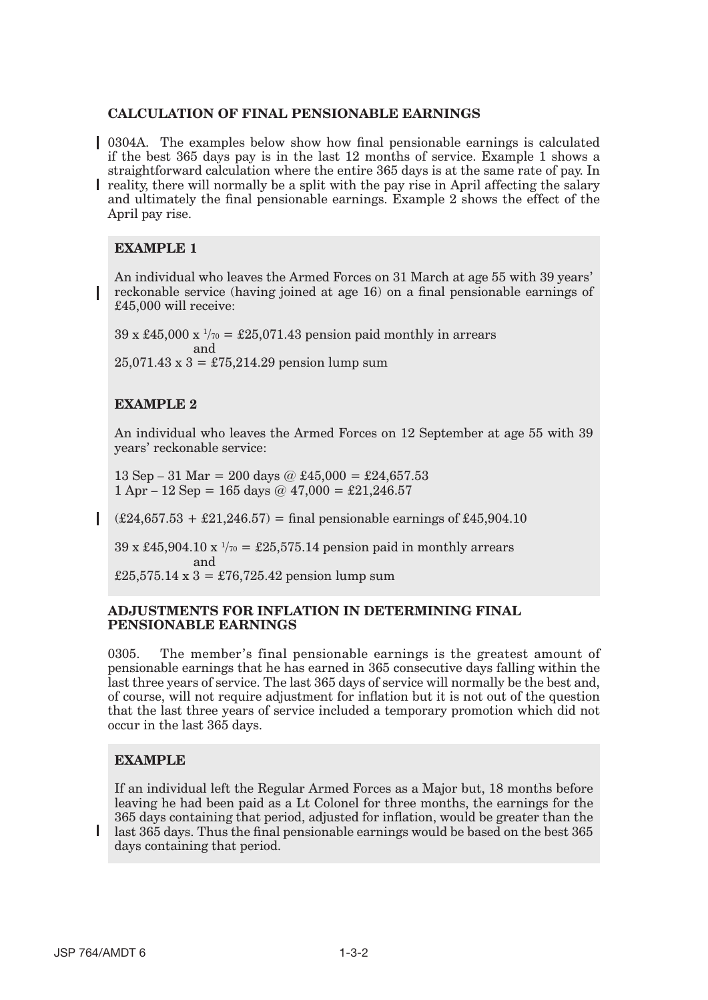#### **CALCULATION OF FINAL PENSIONABLE EARNINGS**

0304A. The examples below show how final pensionable earnings is calculated if the best 365 days pay is in the last 12 months of service. Example 1 shows a straightforward calculation where the entire 365 days is at the same rate of pay. In reality, there will normally be a split with the pay rise in April affecting the salary and ultimately the final pensionable earnings. Example 2 shows the effect of the April pay rise.

#### **EXAMPLE 1**

An individual who leaves the Armed Forces on 31 March at age 55 with 39 years' reckonable service (having joined at age 16) on a final pensionable earnings of £45,000 will receive:

 $39 \times \text{\pounds}45,000 \times \frac{1}{70} = \text{\pounds}25,071.43$  pension paid monthly in arrears and  $25,071.43 \text{ x } 3 = \text{\textsterling}75,214.29 \text{ pension lump sum}$ 

## **EXAMPLE 2**

An individual who leaves the Armed Forces on 12 September at age 55 with 39 years' reckonable service:

13 Sep – 31 Mar = 200 days  $\omega$  £45,000 = £24,657.53  $1$  Apr –  $12$  Sep = 165 days @ 47,000 = £21,246.57

 $(f24,657.53 + f21,246.57)$  = final pensionable earnings of £45,904.10

 $39 \times \text{\pounds}45,904.10 \times \frac{1}{70} = \text{\pounds}25,575.14$  pension paid in monthly arrears

and £25,575.14 x 3 = £76,725.42 pension lump sum

#### **ADJUSTMENTS FOR INFLATION IN DETERMINING FINAL PENSIONABLE EARNINGS**

0305. The member's final pensionable earnings is the greatest amount of pensionable earnings that he has earned in 365 consecutive days falling within the last three years of service. The last 365 days of service will normally be the best and, of course, will not require adjustment for inflation but it is not out of the question that the last three years of service included a temporary promotion which did not occur in the last 365 days.

#### **EXAMPLE**

If an individual left the Regular Armed Forces as a Major but, 18 months before leaving he had been paid as a Lt Colonel for three months, the earnings for the 365 days containing that period, adjusted for inflation, would be greater than the last 365 days. Thus the final pensionable earnings would be based on the best 365 days containing that period.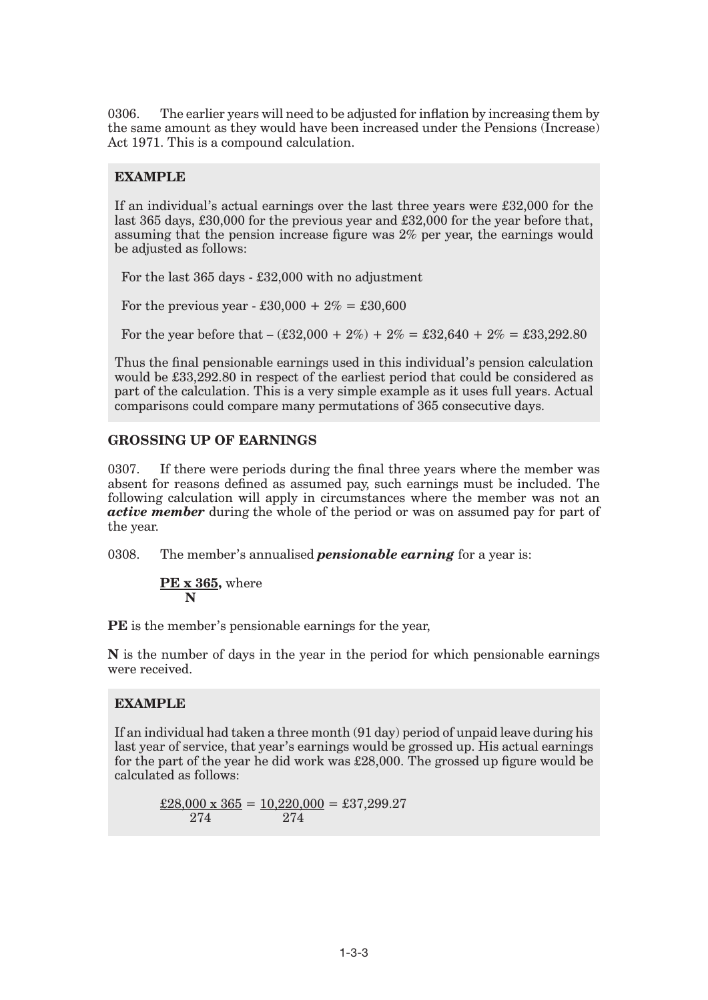0306. The earlier years will need to be adjusted for inflation by increasing them by the same amount as they would have been increased under the Pensions (Increase) Act 1971. This is a compound calculation.

#### **EXAMPLE**

If an individual's actual earnings over the last three years were £32,000 for the last 365 days, £30,000 for the previous year and £32,000 for the year before that, assuming that the pension increase figure was 2% per year, the earnings would be adjusted as follows:

For the last 365 days - £32,000 with no adjustment

For the previous year - £30,000 +  $2\%$  = £30,600

For the year before that –  $(\text{\pounds}32.000 + 2\%) + 2\% = \text{\pounds}32.640 + 2\% = \text{\pounds}33.292.80$ 

Thus the final pensionable earnings used in this individual's pension calculation would be £33,292.80 in respect of the earliest period that could be considered as part of the calculation. This is a very simple example as it uses full years. Actual comparisons could compare many permutations of 365 consecutive days.

## **GROSSING UP OF EARNINGS**

0307. If there were periods during the final three years where the member was absent for reasons defined as assumed pay, such earnings must be included. The following calculation will apply in circumstances where the member was not an *active member* during the whole of the period or was on assumed pay for part of the year.

0308. The member's annualised *pensionable earning* for a year is:

**PE x 365,** where **N** 

**PE** is the member's pensionable earnings for the year,

**N** is the number of days in the year in the period for which pensionable earnings were received.

## **EXAMPLE**

If an individual had taken a three month (91 day) period of unpaid leave during his last year of service, that year's earnings would be grossed up. His actual earnings for the part of the year he did work was £28,000. The grossed up figure would be calculated as follows:

 $\pounds 28,000 \times 365 = 10,220,000 = 137,299.27$ 274 274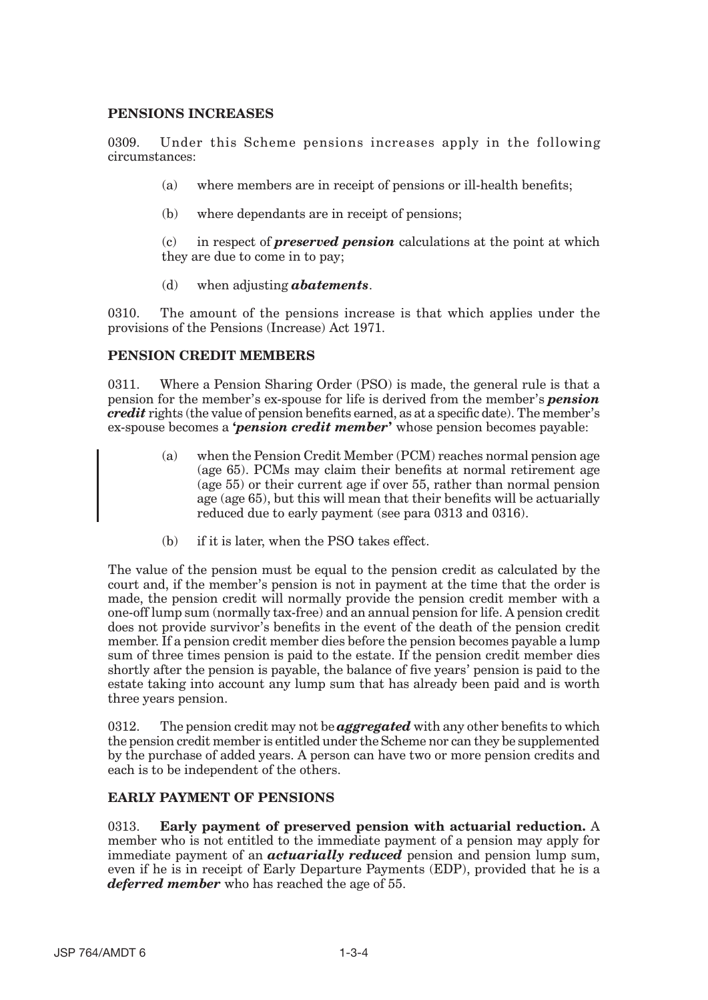#### **PENSIONS INCREASES**

0309. Under this Scheme pensions increases apply in the following circumstances:

- (a) where members are in receipt of pensions or ill-health benefits;
- (b) where dependants are in receipt of pensions;

(c) in respect of *preserved pension* calculations at the point at which they are due to come in to pay;

(d) when adjusting *abatements*.

0310. The amount of the pensions increase is that which applies under the provisions of the Pensions (Increase) Act 1971.

#### **PENSION CREDIT MEMBERS**

0311. Where a Pension Sharing Order (PSO) is made, the general rule is that a pension for the member's ex-spouse for life is derived from the member's *pension credit* rights (the value of pension benefits earned, as at a specific date). The member's ex-spouse becomes a **'***pension credit member***'** whose pension becomes payable:

- (a) when the Pension Credit Member (PCM) reaches normal pension age (age 65). PCMs may claim their benefits at normal retirement age (age 55) or their current age if over 55, rather than normal pension age (age 65), but this will mean that their benefits will be actuarially reduced due to early payment (see para 0313 and 0316).
- (b) if it is later, when the PSO takes effect.

The value of the pension must be equal to the pension credit as calculated by the court and, if the member's pension is not in payment at the time that the order is made, the pension credit will normally provide the pension credit member with a one-off lump sum (normally tax-free) and an annual pension for life. A pension credit does not provide survivor's benefits in the event of the death of the pension credit member. If a pension credit member dies before the pension becomes payable a lump sum of three times pension is paid to the estate. If the pension credit member dies shortly after the pension is payable, the balance of five years' pension is paid to the estate taking into account any lump sum that has already been paid and is worth three years pension.

0312. The pension credit may not be *aggregated* with any other benefits to which the pension credit member is entitled under the Scheme nor can they be supplemented by the purchase of added years. A person can have two or more pension credits and each is to be independent of the others.

#### **EARLY PAYMENT OF PENSIONS**

0313. **Early payment of preserved pension with actuarial reduction.** A member who is not entitled to the immediate payment of a pension may apply for immediate payment of an *actuarially reduced* pension and pension lump sum, even if he is in receipt of Early Departure Payments (EDP), provided that he is a *deferred member* who has reached the age of 55.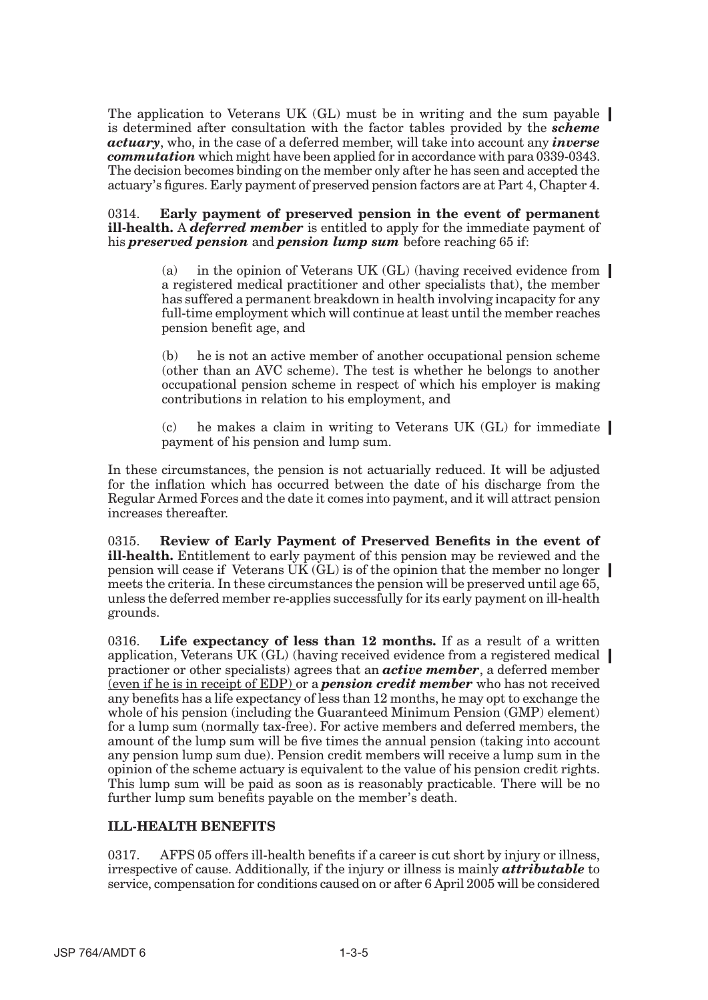The application to Veterans UK (GL) must be in writing and the sum payable  $\vert$ is determined after consultation with the factor tables provided by the *scheme actuary*, who, in the case of a deferred member, will take into account any *inverse commutation* which might have been applied for in accordance with para 0339-0343. The decision becomes binding on the member only after he has seen and accepted the actuary's figures. Early payment of preserved pension factors are at Part 4, Chapter 4.

#### 0314. **Early payment of preserved pension in the event of permanent ill-health.** A *deferred member* is entitled to apply for the immediate payment of his *preserved pension* and *pension lump sum* before reaching 65 if:

(a) in the opinion of Veterans UK (GL) (having received evidence from a registered medical practitioner and other specialists that), the member has suffered a permanent breakdown in health involving incapacity for any full-time employment which will continue at least until the member reaches pension benefit age, and

(b) he is not an active member of another occupational pension scheme (other than an AVC scheme). The test is whether he belongs to another occupational pension scheme in respect of which his employer is making contributions in relation to his employment, and

(c) he makes a claim in writing to Veterans UK (GL) for immediate payment of his pension and lump sum.

In these circumstances, the pension is not actuarially reduced. It will be adjusted for the inflation which has occurred between the date of his discharge from the Regular Armed Forces and the date it comes into payment, and it will attract pension increases thereafter.

0315. **Review of Early Payment of Preserved Benefits in the event of ill-health.** Entitlement to early payment of this pension may be reviewed and the pension will cease if Veterans UK (GL) is of the opinion that the member no longer meets the criteria. In these circumstances the pension will be preserved until age 65, unless the deferred member re-applies successfully for its early payment on ill-health grounds.

0316. **Life expectancy of less than 12 months.** If as a result of a written application, Veterans UK (GL) (having received evidence from a registered medical practioner or other specialists) agrees that an *active member*, a deferred member (even if he is in receipt of EDP) or a *pension credit member* who has not received any benefits has a life expectancy of less than 12 months, he may opt to exchange the whole of his pension (including the Guaranteed Minimum Pension (GMP) element) for a lump sum (normally tax-free). For active members and deferred members, the amount of the lump sum will be five times the annual pension (taking into account any pension lump sum due). Pension credit members will receive a lump sum in the opinion of the scheme actuary is equivalent to the value of his pension credit rights. This lump sum will be paid as soon as is reasonably practicable. There will be no further lump sum benefits payable on the member's death.

## **ILL-HEALTH BENEFITS**

0317. AFPS 05 offers ill-health benefits if a career is cut short by injury or illness, irrespective of cause. Additionally, if the injury or illness is mainly *attributable* to service, compensation for conditions caused on or after 6 April 2005 will be considered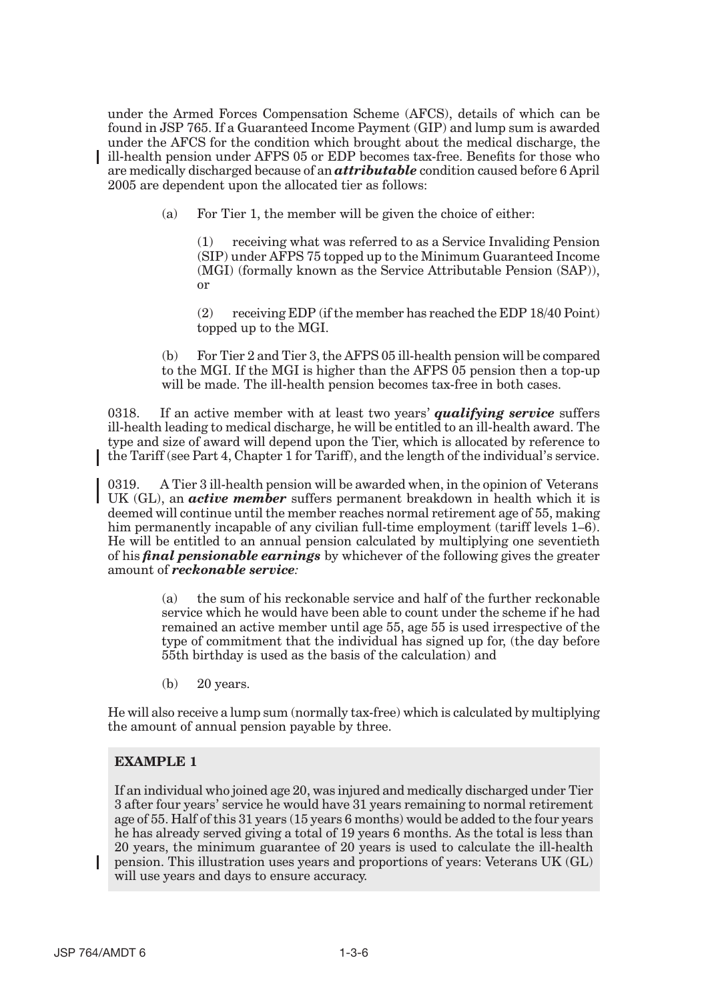under the Armed Forces Compensation Scheme (AFCS), details of which can be found in JSP 765. If a Guaranteed Income Payment (GIP) and lump sum is awarded under the AFCS for the condition which brought about the medical discharge, the ill-health pension under AFPS 05 or EDP becomes tax-free. Benefits for those who are medically discharged because of an *attributable* condition caused before 6 April 2005 are dependent upon the allocated tier as follows:

(a) For Tier 1, the member will be given the choice of either:

(1) receiving what was referred to as a Service Invaliding Pension (SIP) under AFPS 75 topped up to the Minimum Guaranteed Income (MGI) (formally known as the Service Attributable Pension (SAP)), or

(2) receiving EDP (if the member has reached the EDP 18/40 Point) topped up to the MGI.

(b) For Tier 2 and Tier 3, the AFPS 05 ill-health pension will be compared to the MGI. If the MGI is higher than the AFPS 05 pension then a top-up will be made. The ill-health pension becomes tax-free in both cases.

0318. If an active member with at least two years' *qualifying service* suffers ill-health leading to medical discharge, he will be entitled to an ill-health award. The type and size of award will depend upon the Tier, which is allocated by reference to the Tariff (see Part 4, Chapter 1 for Tariff), and the length of the individual's service.

0319. A Tier 3 ill-health pension will be awarded when, in the opinion of Veterans UK (GL), an *active member* suffers permanent breakdown in health which it is deemed will continue until the member reaches normal retirement age of 55, making him permanently incapable of any civilian full-time employment (tariff levels  $1-6$ ). He will be entitled to an annual pension calculated by multiplying one seventieth of his *final pensionable earnings* by whichever of the following gives the greater amount of *reckonable service:* 

> (a) the sum of his reckonable service and half of the further reckonable service which he would have been able to count under the scheme if he had remained an active member until age 55, age 55 is used irrespective of the type of commitment that the individual has signed up for, (the day before 55th birthday is used as the basis of the calculation) and

(b) 20 years.

He will also receive a lump sum (normally tax-free) which is calculated by multiplying the amount of annual pension payable by three.

## **EXAMPLE 1**

If an individual who joined age 20, was injured and medically discharged under Tier 3 after four years' service he would have 31 years remaining to normal retirement age of 55. Half of this 31 years (15 years 6 months) would be added to the four years he has already served giving a total of 19 years 6 months. As the total is less than 20 years, the minimum guarantee of 20 years is used to calculate the ill-health pension. This illustration uses years and proportions of years: Veterans UK (GL) will use years and days to ensure accuracy.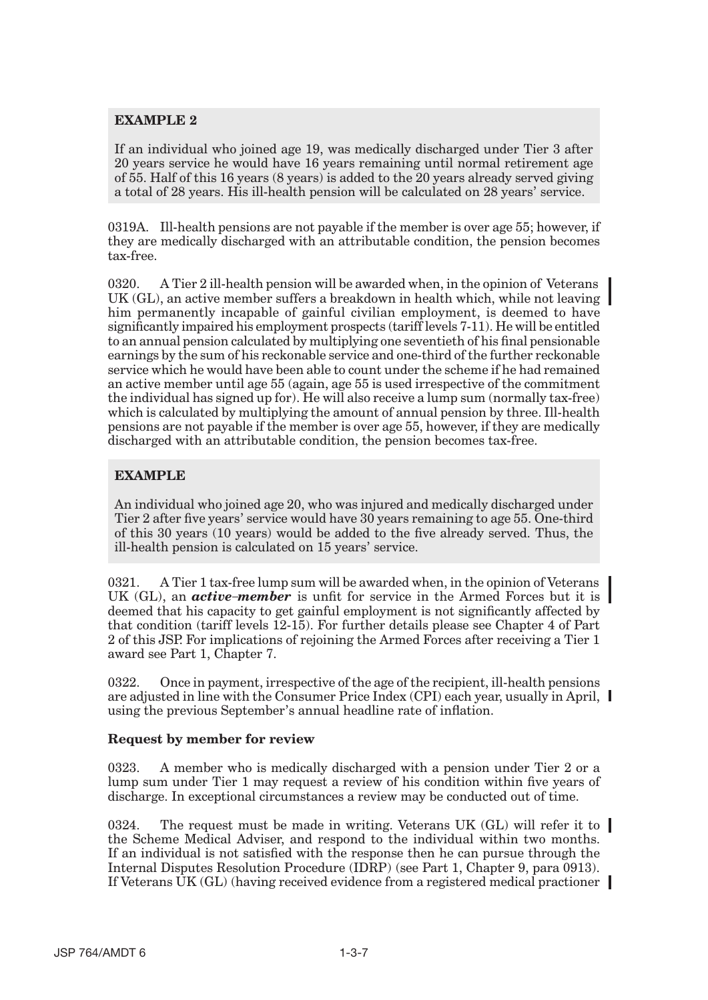#### **EXAMPLE 2**

If an individual who joined age 19, was medically discharged under Tier 3 after 20 years service he would have 16 years remaining until normal retirement age of 55. Half of this 16 years (8 years) is added to the 20 years already served giving a total of 28 years. His ill-health pension will be calculated on 28 years' service.

0319A. Ill-health pensions are not payable if the member is over age 55; however, if they are medically discharged with an attributable condition, the pension becomes tax-free.

0320. A Tier 2 ill-health pension will be awarded when, in the opinion of Veterans UK (GL), an active member suffers a breakdown in health which, while not leaving him permanently incapable of gainful civilian employment, is deemed to have significantly impaired his employment prospects (tariff levels 7-11). He will be entitled to an annual pension calculated by multiplying one seventieth of his final pensionable earnings by the sum of his reckonable service and one-third of the further reckonable service which he would have been able to count under the scheme if he had remained an active member until age 55 (again, age 55 is used irrespective of the commitment the individual has signed up for). He will also receive a lump sum (normally tax-free) which is calculated by multiplying the amount of annual pension by three. Ill-health pensions are not payable if the member is over age 55, however, if they are medically discharged with an attributable condition, the pension becomes tax-free.

## **EXAMPLE**

An individual who joined age 20, who was injured and medically discharged under Tier 2 after five years' service would have 30 years remaining to age 55. One-third of this 30 years (10 years) would be added to the five already served. Thus, the ill-health pension is calculated on 15 years' service.

0321. A Tier 1 tax-free lump sum will be awarded when, in the opinion of Veterans UK (GL), an *active-member* is unfit for service in the Armed Forces but it is deemed that his capacity to get gainful employment is not significantly affected by that condition (tariff levels 12-15). For further details please see Chapter 4 of Part 2 of this JSP. For implications of rejoining the Armed Forces after receiving a Tier 1 award see Part 1, Chapter 7.

0322. Once in payment, irrespective of the age of the recipient, ill-health pensions are adjusted in line with the Consumer Price Index (CPI) each year, usually in April,  $\parallel$ using the previous September's annual headline rate of inflation.

## **Request by member for review**

0323. A member who is medically discharged with a pension under Tier 2 or a lump sum under Tier 1 may request a review of his condition within five years of discharge. In exceptional circumstances a review may be conducted out of time.

0324. The request must be made in writing. Veterans UK  $(GL)$  will refer it to the Scheme Medical Adviser, and respond to the individual within two months. If an individual is not satisfied with the response then he can pursue through the Internal Disputes Resolution Procedure (IDRP) (see Part 1, Chapter 9, para 0913). If Veterans UK (GL) (having received evidence from a registered medical practioner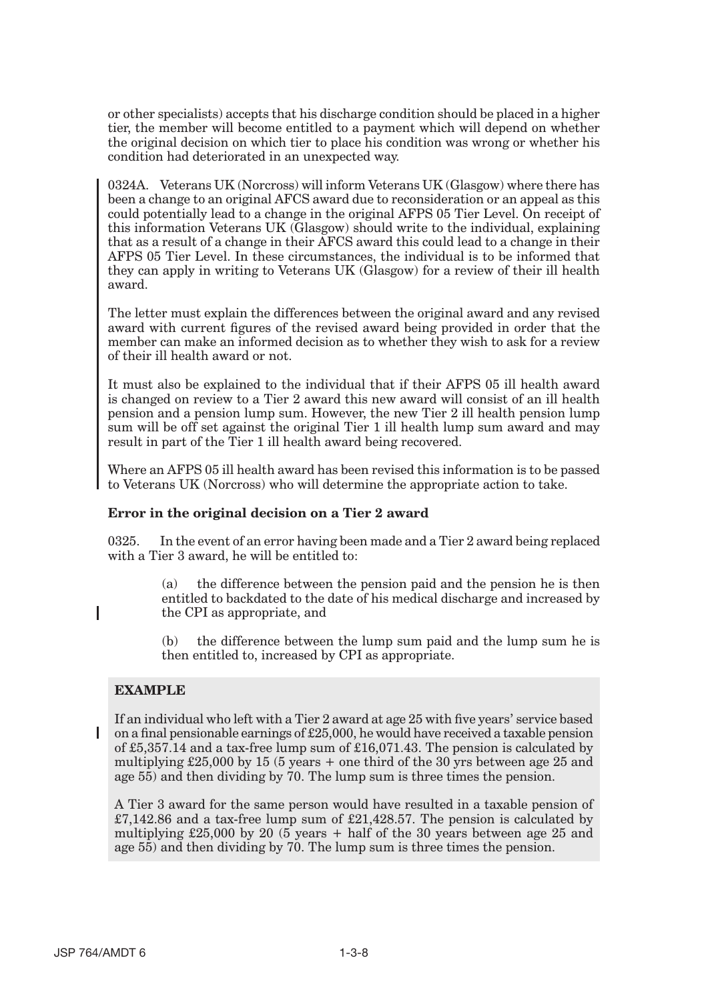or other specialists) accepts that his discharge condition should be placed in a higher tier, the member will become entitled to a payment which will depend on whether the original decision on which tier to place his condition was wrong or whether his condition had deteriorated in an unexpected way.

0324A. Veterans UK (Norcross) will inform Veterans UK (Glasgow) where there has been a change to an original AFCS award due to reconsideration or an appeal as this could potentially lead to a change in the original AFPS 05 Tier Level. On receipt of this information Veterans UK (Glasgow) should write to the individual, explaining that as a result of a change in their AFCS award this could lead to a change in their AFPS 05 Tier Level. In these circumstances, the individual is to be informed that they can apply in writing to Veterans UK (Glasgow) for a review of their ill health award.

The letter must explain the differences between the original award and any revised award with current figures of the revised award being provided in order that the member can make an informed decision as to whether they wish to ask for a review of their ill health award or not.

It must also be explained to the individual that if their AFPS 05 ill health award is changed on review to a Tier 2 award this new award will consist of an ill health pension and a pension lump sum. However, the new Tier 2 ill health pension lump sum will be off set against the original Tier 1 ill health lump sum award and may result in part of the Tier 1 ill health award being recovered.

Where an AFPS 05 ill health award has been revised this information is to be passed to Veterans UK (Norcross) who will determine the appropriate action to take.

## **Error in the original decision on a Tier 2 award**

0325. In the event of an error having been made and a Tier 2 award being replaced with a Tier 3 award, he will be entitled to:

> (a) the difference between the pension paid and the pension he is then entitled to backdated to the date of his medical discharge and increased by the CPI as appropriate, and

> (b) the difference between the lump sum paid and the lump sum he is then entitled to, increased by CPI as appropriate.

#### **EXAMPLE**

If an individual who left with a Tier 2 award at age 25 with five years' service based on a final pensionable earnings of £25,000, he would have received a taxable pension of £5,357.14 and a tax-free lump sum of £16,071.43. The pension is calculated by multiplying £25,000 by 15 (5 years + one third of the 30 yrs between age 25 and age 55) and then dividing by 70. The lump sum is three times the pension.

A Tier 3 award for the same person would have resulted in a taxable pension of £7,142.86 and a tax-free lump sum of £21,428.57. The pension is calculated by multiplying  $£25,000$  by 20 (5 years + half of the 30 years between age 25 and age 55) and then dividing by 70. The lump sum is three times the pension.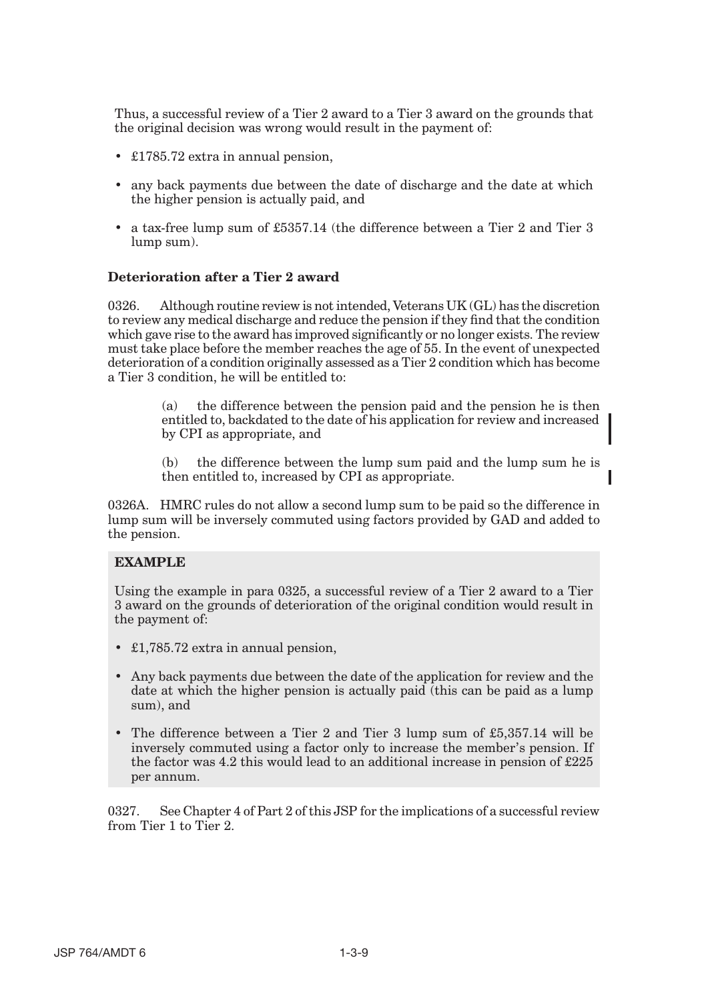Thus, a successful review of a Tier 2 award to a Tier 3 award on the grounds that the original decision was wrong would result in the payment of:

- £1785.72 extra in annual pension,
- any back payments due between the date of discharge and the date at which the higher pension is actually paid, and
- a tax-free lump sum of £5357.14 (the difference between a Tier 2 and Tier 3 lump sum).

#### **Deterioration after a Tier 2 award**

0326. Although routine review is not intended, Veterans UK (GL) has the discretion to review any medical discharge and reduce the pension if they find that the condition which gave rise to the award has improved significantly or no longer exists. The review must take place before the member reaches the age of 55. In the event of unexpected deterioration of a condition originally assessed as a Tier 2 condition which has become a Tier 3 condition, he will be entitled to:

> (a) the difference between the pension paid and the pension he is then entitled to, backdated to the date of his application for review and increased by CPI as appropriate, and

> (b) the difference between the lump sum paid and the lump sum he is then entitled to, increased by CPI as appropriate.

0326A. HMRC rules do not allow a second lump sum to be paid so the difference in lump sum will be inversely commuted using factors provided by GAD and added to the pension.

#### **EXAMPLE**

Using the example in para 0325, a successful review of a Tier 2 award to a Tier 3 award on the grounds of deterioration of the original condition would result in the payment of:

- £1,785.72 extra in annual pension,
- • Any back payments due between the date of the application for review and the date at which the higher pension is actually paid (this can be paid as a lump sum), and
- The difference between a Tier 2 and Tier 3 lump sum of  $£5,357.14$  will be inversely commuted using a factor only to increase the member's pension. If the factor was 4.2 this would lead to an additional increase in pension of £225 per annum.

0327. See Chapter 4 of Part 2 of this JSP for the implications of a successful review from Tier 1 to Tier 2.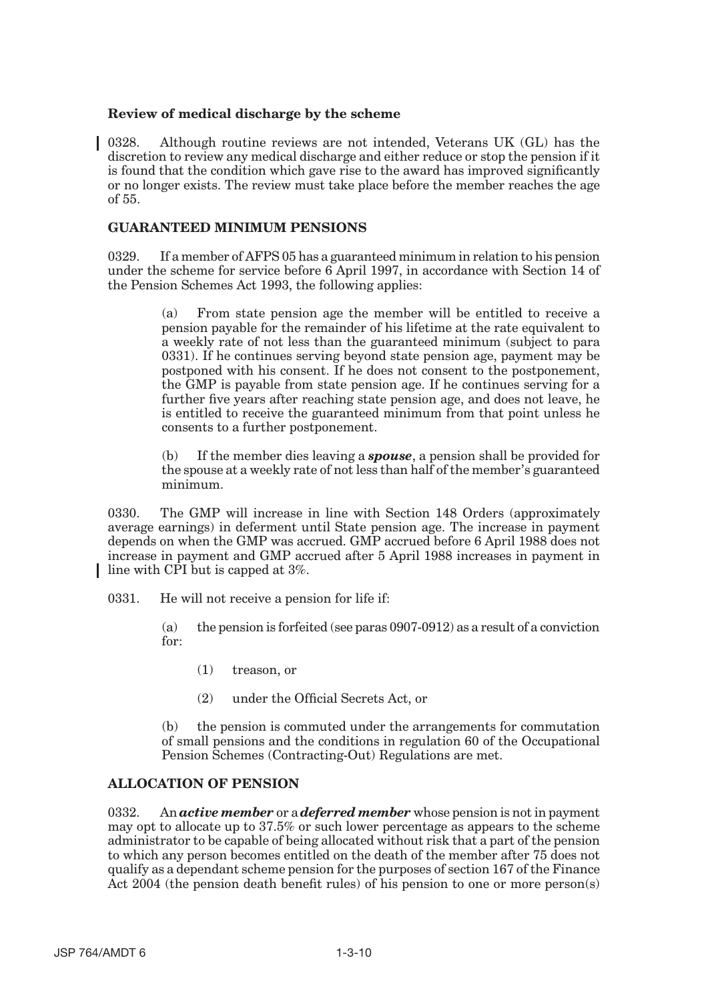#### **Review of medical discharge by the scheme**

0328. Although routine reviews are not intended, Veterans UK (GL) has the discretion to review any medical discharge and either reduce or stop the pension if it is found that the condition which gave rise to the award has improved significantly or no longer exists. The review must take place before the member reaches the age of 55.

#### **GUARANTEED MINIMUM PENSIONS**

0329. If a member of AFPS 05 has a guaranteed minimum in relation to his pension under the scheme for service before 6 April 1997, in accordance with Section 14 of the Pension Schemes Act 1993, the following applies:

> (a) From state pension age the member will be entitled to receive a pension payable for the remainder of his lifetime at the rate equivalent to a weekly rate of not less than the guaranteed minimum (subject to para 0331). If he continues serving beyond state pension age, payment may be postponed with his consent. If he does not consent to the postponement, the GMP is payable from state pension age. If he continues serving for a further five years after reaching state pension age, and does not leave, he is entitled to receive the guaranteed minimum from that point unless he consents to a further postponement.

> (b) If the member dies leaving a *spouse*, a pension shall be provided for the spouse at a weekly rate of not less than half of the member's guaranteed minimum.

0330. The GMP will increase in line with Section 148 Orders (approximately average earnings) in deferment until State pension age. The increase in payment depends on when the GMP was accrued. GMP accrued before 6 April 1988 does not increase in payment and GMP accrued after 5 April 1988 increases in payment in l line with CPI but is capped at  $3\%$ .

0331. He will not receive a pension for life if:

(a) the pension is forfeited (see paras 0907-0912) as a result of a conviction for:

- (1) treason, or
- (2) under the Official Secrets Act, or

(b) the pension is commuted under the arrangements for commutation of small pensions and the conditions in regulation 60 of the Occupational Pension Schemes (Contracting-Out) Regulations are met.

## **ALLOCATION OF PENSION**

0332. An *active member* or a *deferred member* whose pension is not in payment may opt to allocate up to 37.5% or such lower percentage as appears to the scheme administrator to be capable of being allocated without risk that a part of the pension to which any person becomes entitled on the death of the member after 75 does not qualify as a dependant scheme pension for the purposes of section 167 of the Finance Act 2004 (the pension death benefit rules) of his pension to one or more person(s)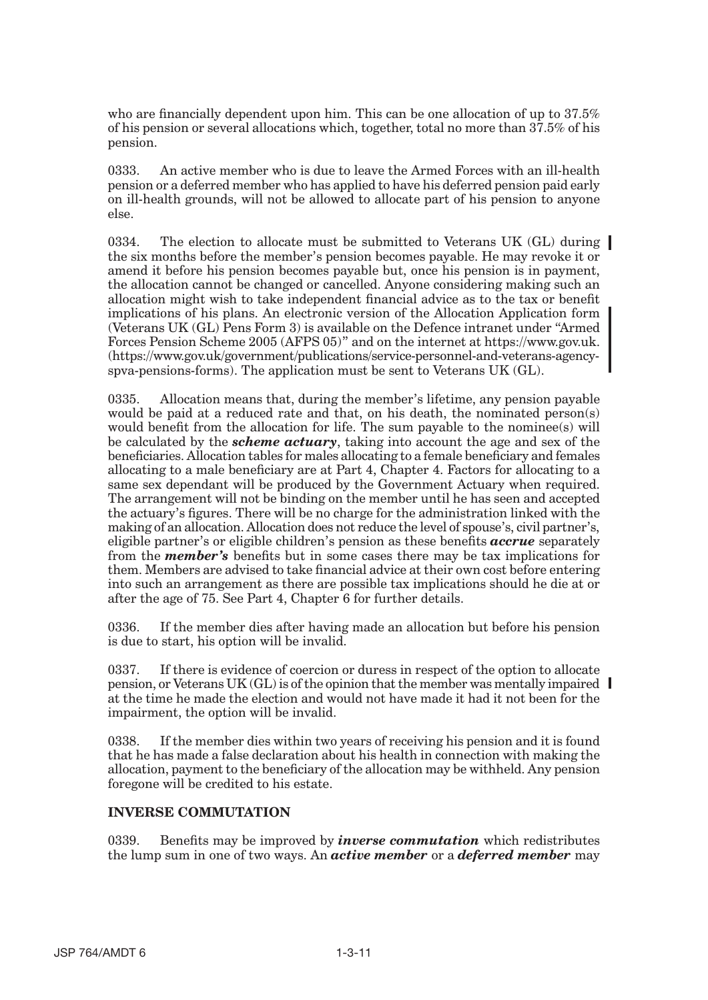who are financially dependent upon him. This can be one allocation of up to 37.5% of his pension or several allocations which, together, total no more than 37.5% of his pension.

0333. An active member who is due to leave the Armed Forces with an ill-health pension or a deferred member who has applied to have his deferred pension paid early on ill-health grounds, will not be allowed to allocate part of his pension to anyone else.

0334. The election to allocate must be submitted to Veterans UK  $(GL)$  during the six months before the member's pension becomes payable. He may revoke it or amend it before his pension becomes payable but, once his pension is in payment, the allocation cannot be changed or cancelled. Anyone considering making such an allocation might wish to take independent financial advice as to the tax or benefit implications of his plans. An electronic version of the Allocation Application form (Veterans UK (GL) Pens Form 3) is available on the Defence intranet under "Armed Forces Pension Scheme 2005 (AFPS 05)" and on the internet at https://www.gov.uk. (https://www.gov.uk/government/publications/service-personnel-and-veterans-agencyspva-pensions-forms). The application must be sent to Veterans UK (GL).

0335. Allocation means that, during the member's lifetime, any pension payable would be paid at a reduced rate and that, on his death, the nominated person(s) would benefit from the allocation for life. The sum payable to the nominee(s) will be calculated by the *scheme actuary*, taking into account the age and sex of the beneficiaries. Allocation tables for males allocating to a female beneficiary and females allocating to a male beneficiary are at Part 4, Chapter 4. Factors for allocating to a same sex dependant will be produced by the Government Actuary when required. The arrangement will not be binding on the member until he has seen and accepted the actuary's figures. There will be no charge for the administration linked with the making of an allocation. Allocation does not reduce the level of spouse's, civil partner's, eligible partner's or eligible children's pension as these benefits *accrue* separately from the *member's* benefits but in some cases there may be tax implications for them. Members are advised to take financial advice at their own cost before entering into such an arrangement as there are possible tax implications should he die at or after the age of 75. See Part 4, Chapter 6 for further details.

0336. If the member dies after having made an allocation but before his pension is due to start, his option will be invalid.

0337. If there is evidence of coercion or duress in respect of the option to allocate pension, or Veterans UK (GL) is of the opinion that the member was mentally impaired  $\blacksquare$ at the time he made the election and would not have made it had it not been for the impairment, the option will be invalid.

0338. If the member dies within two years of receiving his pension and it is found that he has made a false declaration about his health in connection with making the allocation, payment to the beneficiary of the allocation may be withheld. Any pension foregone will be credited to his estate.

## **INVERSE COMMUTATION**

0339. Benefits may be improved by *inverse commutation* which redistributes the lump sum in one of two ways. An *active member* or a *deferred member* may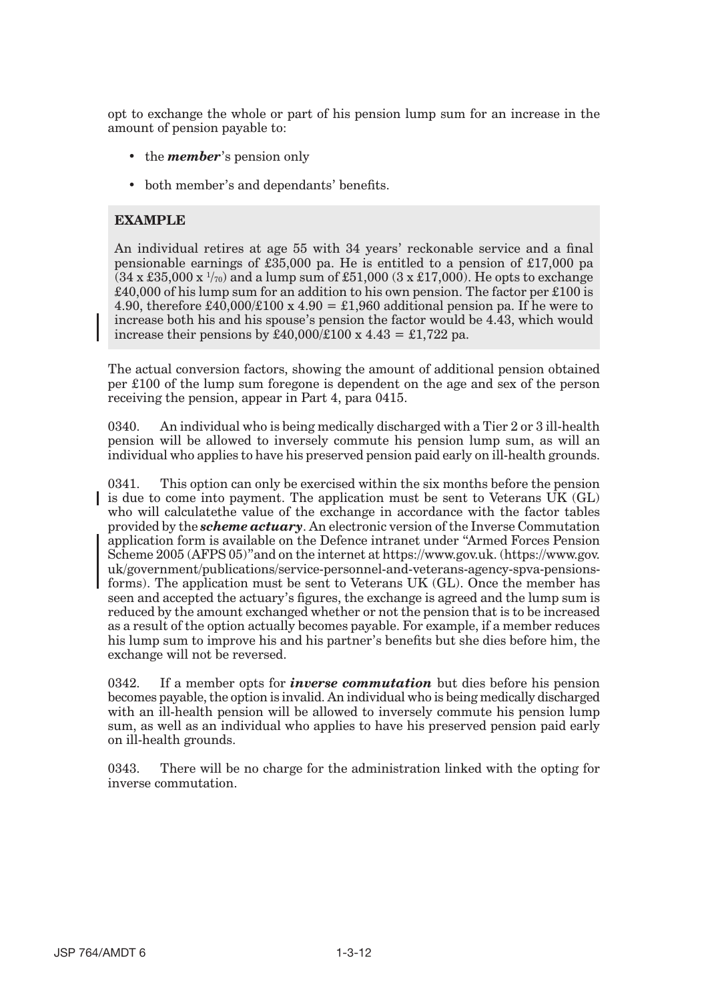opt to exchange the whole or part of his pension lump sum for an increase in the amount of pension payable to:

- the *member*'s pension only
- both member's and dependants' benefits.

#### **EXAMPLE**

An individual retires at age 55 with 34 years' reckonable service and a final pensionable earnings of £35,000 pa. He is entitled to a pension of £17,000 pa  $(34 \times \text{\textsterling}35,000 \times \frac{1}{70})$  and a lump sum of  $\text{\textsterling}51,000$   $(3 \times \text{\textsterling}17,000)$ . He opts to exchange £40,000 of his lump sum for an addition to his own pension. The factor per £100 is 4.90, therefore  $\text{\pounds}40,000/\text{\pounds}100 \times 4.90 = \text{\pounds}1,960$  additional pension pa. If he were to increase both his and his spouse's pension the factor would be 4.43, which would increase their pensions by £40,000/£100 x 4.43 = £1,722 pa.

The actual conversion factors, showing the amount of additional pension obtained per £100 of the lump sum foregone is dependent on the age and sex of the person receiving the pension, appear in Part 4, para 0415.

0340. An individual who is being medically discharged with a Tier 2 or 3 ill-health pension will be allowed to inversely commute his pension lump sum, as will an individual who applies to have his preserved pension paid early on ill-health grounds.

0341. This option can only be exercised within the six months before the pension is due to come into payment. The application must be sent to Veterans UK (GL) who will calculatethe value of the exchange in accordance with the factor tables provided by the *scheme actuary*. An electronic version of the Inverse Commutation application form is available on the Defence intranet under "Armed Forces Pension Scheme 2005 (AFPS 05)"and on the internet at https://www.gov.uk. (https://www.gov. uk/government/publications/service-personnel-and-veterans-agency-spva-pensionsforms). The application must be sent to Veterans UK (GL). Once the member has seen and accepted the actuary's figures, the exchange is agreed and the lump sum is reduced by the amount exchanged whether or not the pension that is to be increased as a result of the option actually becomes payable. For example, if a member reduces his lump sum to improve his and his partner's benefits but she dies before him, the exchange will not be reversed.

0342. If a member opts for *inverse commutation* but dies before his pension becomes payable, the option is invalid. An individual who is being medically discharged with an ill-health pension will be allowed to inversely commute his pension lump sum, as well as an individual who applies to have his preserved pension paid early on ill-health grounds.

0343. There will be no charge for the administration linked with the opting for inverse commutation.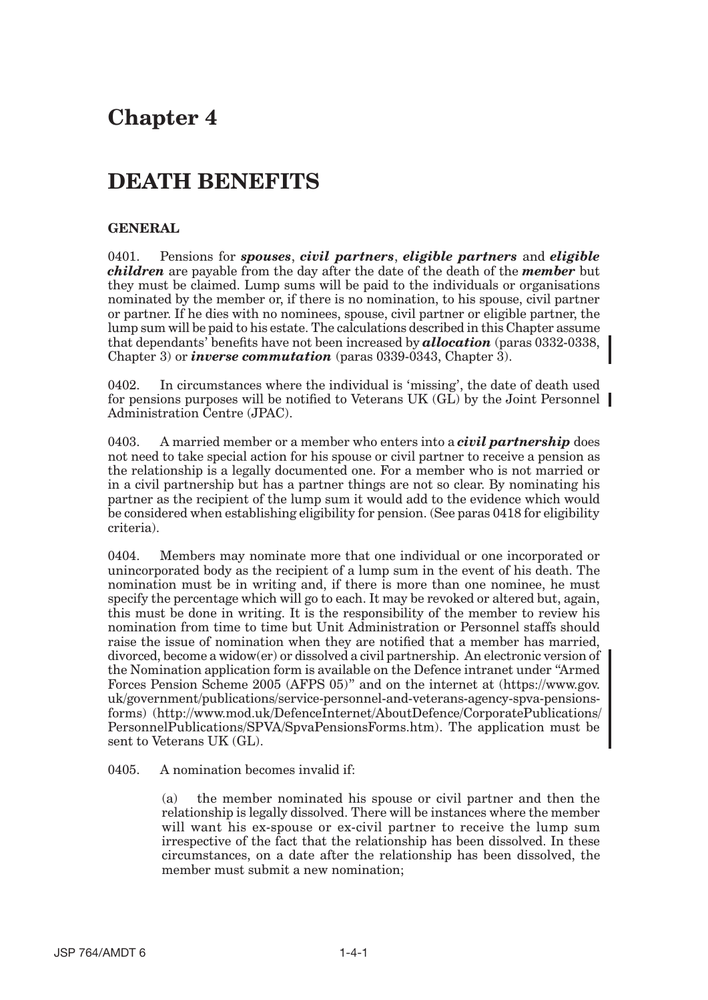## **Chapter 4**

# **DEATH BENEFITS**

## **GENERAL**

0401. Pensions for *spouses*, *civil partners*, *eligible partners* and *eligible children* are payable from the day after the date of the death of the *member* but they must be claimed. Lump sums will be paid to the individuals or organisations nominated by the member or, if there is no nomination, to his spouse, civil partner or partner. If he dies with no nominees, spouse, civil partner or eligible partner, the lump sum will be paid to his estate. The calculations described in this Chapter assume that dependants' benefits have not been increased by *allocation* (paras 0332-0338, Chapter 3) or *inverse commutation* (paras 0339-0343, Chapter 3).

0402. In circumstances where the individual is 'missing', the date of death used for pensions purposes will be notified to Veterans UK (GL) by the Joint Personnel Administration Centre (JPAC).

0403. A married member or a member who enters into a *civil partnership* does not need to take special action for his spouse or civil partner to receive a pension as the relationship is a legally documented one. For a member who is not married or in a civil partnership but has a partner things are not so clear. By nominating his partner as the recipient of the lump sum it would add to the evidence which would be considered when establishing eligibility for pension. (See paras 0418 for eligibility criteria).

0404. Members may nominate more that one individual or one incorporated or unincorporated body as the recipient of a lump sum in the event of his death. The nomination must be in writing and, if there is more than one nominee, he must specify the percentage which will go to each. It may be revoked or altered but, again, this must be done in writing. It is the responsibility of the member to review his nomination from time to time but Unit Administration or Personnel staffs should raise the issue of nomination when they are notified that a member has married, divorced, become a widow(er) or dissolved a civil partnership. An electronic version of the Nomination application form is available on the Defence intranet under "Armed Forces Pension Scheme 2005 (AFPS 05)" and on the internet at (https://www.gov. uk/government/publications/service-personnel-and-veterans-agency-spva-pensionsforms) (http://www.mod.uk/DefenceInternet/AboutDefence/CorporatePublications/ PersonnelPublications/SPVA/SpvaPensionsForms.htm). The application must be sent to Veterans UK (GL).

0405. A nomination becomes invalid if:

(a) the member nominated his spouse or civil partner and then the relationship is legally dissolved. There will be instances where the member will want his ex-spouse or ex-civil partner to receive the lump sum irrespective of the fact that the relationship has been dissolved. In these circumstances, on a date after the relationship has been dissolved, the member must submit a new nomination;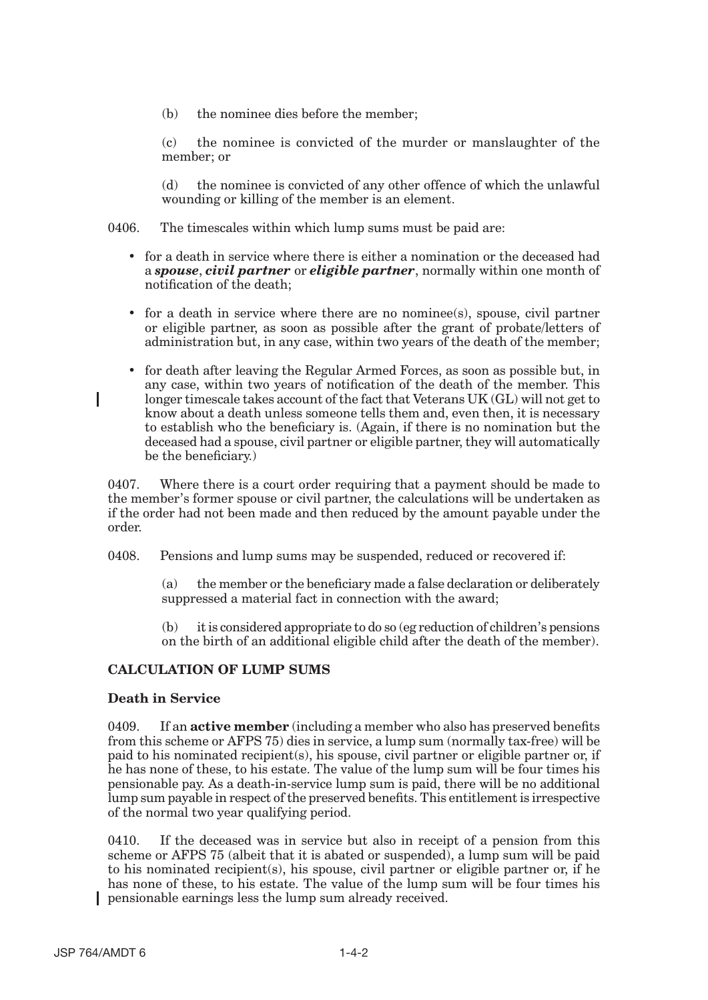(b) the nominee dies before the member;

(c) the nominee is convicted of the murder or manslaughter of the member; or

(d) the nominee is convicted of any other offence of which the unlawful wounding or killing of the member is an element.

0406. The timescales within which lump sums must be paid are:

- • for a death in service where there is either a nomination or the deceased had a *spouse*, *civil partner* or *eligible partner*, normally within one month of notification of the death;
- for a death in service where there are no nominee(s), spouse, civil partner or eligible partner, as soon as possible after the grant of probate/letters of administration but, in any case, within two years of the death of the member;
- for death after leaving the Regular Armed Forces, as soon as possible but, in any case, within two years of notification of the death of the member. This longer timescale takes account of the fact that Veterans UK (GL) will not get to know about a death unless someone tells them and, even then, it is necessary to establish who the beneficiary is. (Again, if there is no nomination but the deceased had a spouse, civil partner or eligible partner, they will automatically be the beneficiary.)

0407. Where there is a court order requiring that a payment should be made to the member's former spouse or civil partner, the calculations will be undertaken as if the order had not been made and then reduced by the amount payable under the order.

0408. Pensions and lump sums may be suspended, reduced or recovered if:

(a) the member or the beneficiary made a false declaration or deliberately suppressed a material fact in connection with the award;

(b) it is considered appropriate to do so (eg reduction of children's pensions on the birth of an additional eligible child after the death of the member).

## **CALCULATION OF LUMP SUMS**

## **Death in Service**

0409. If an **active member** (including a member who also has preserved benefits from this scheme or AFPS 75) dies in service, a lump sum (normally tax-free) will be paid to his nominated recipient(s), his spouse, civil partner or eligible partner or, if he has none of these, to his estate. The value of the lump sum will be four times his pensionable pay. As a death-in-service lump sum is paid, there will be no additional lump sum payable in respect of the preserved benefits. This entitlement is irrespective of the normal two year qualifying period.

0410. If the deceased was in service but also in receipt of a pension from this scheme or AFPS 75 (albeit that it is abated or suspended), a lump sum will be paid to his nominated recipient(s), his spouse, civil partner or eligible partner or, if he has none of these, to his estate. The value of the lump sum will be four times his pensionable earnings less the lump sum already received.

 $\overline{\phantom{a}}$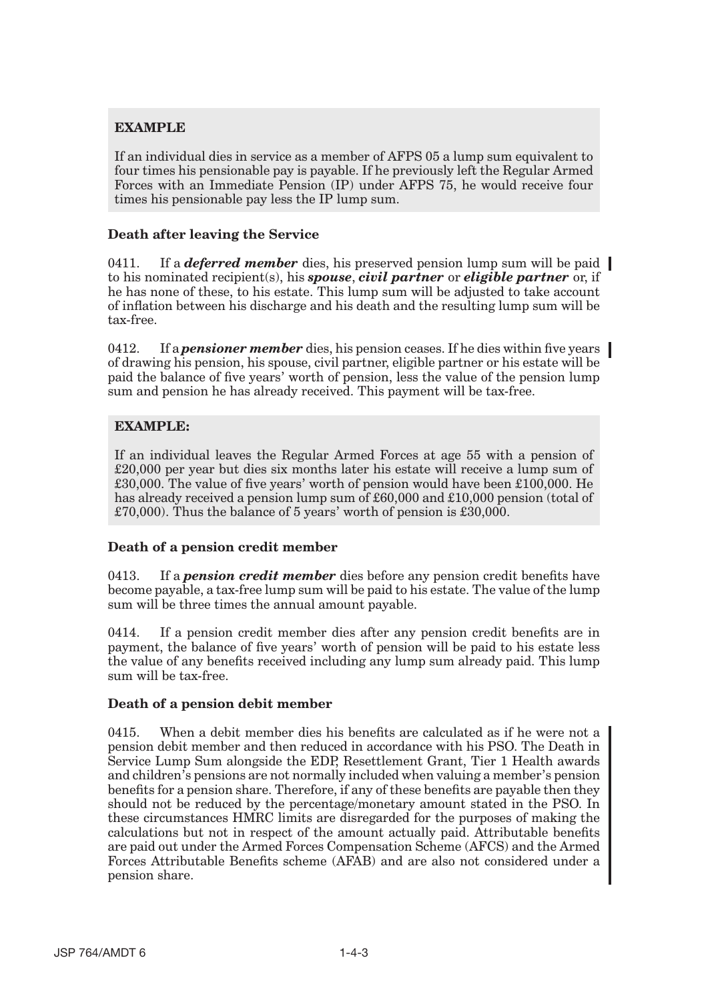## **EXAMPLE**

If an individual dies in service as a member of AFPS 05 a lump sum equivalent to four times his pensionable pay is payable. If he previously left the Regular Armed Forces with an Immediate Pension (IP) under AFPS 75, he would receive four times his pensionable pay less the IP lump sum.

#### **Death after leaving the Service**

0411. If a *deferred member* dies, his preserved pension lump sum will be paid to his nominated recipient(s), his *spouse*, *civil partner* or *eligible partner* or, if he has none of these, to his estate. This lump sum will be adjusted to take account of inflation between his discharge and his death and the resulting lump sum will be tax-free.

0412. If a *pensioner member* dies, his pension ceases. If he dies within five years of drawing his pension, his spouse, civil partner, eligible partner or his estate will be paid the balance of five years' worth of pension, less the value of the pension lump sum and pension he has already received. This payment will be tax-free.

#### **EXAMPLE:**

If an individual leaves the Regular Armed Forces at age 55 with a pension of £20,000 per year but dies six months later his estate will receive a lump sum of £30,000. The value of five years' worth of pension would have been £100,000. He has already received a pension lump sum of £60,000 and £10,000 pension (total of £70,000). Thus the balance of 5 years' worth of pension is £30,000.

#### **Death of a pension credit member**

0413. If a *pension credit member* dies before any pension credit benefits have become payable, a tax-free lump sum will be paid to his estate. The value of the lump sum will be three times the annual amount payable.

0414. If a pension credit member dies after any pension credit benefits are in payment, the balance of five years' worth of pension will be paid to his estate less the value of any benefits received including any lump sum already paid. This lump sum will be tax-free.

#### **Death of a pension debit member**

0415. When a debit member dies his benefits are calculated as if he were not a pension debit member and then reduced in accordance with his PSO. The Death in Service Lump Sum alongside the EDP, Resettlement Grant, Tier 1 Health awards and children's pensions are not normally included when valuing a member's pension benefits for a pension share. Therefore, if any of these benefits are payable then they should not be reduced by the percentage/monetary amount stated in the PSO. In these circumstances HMRC limits are disregarded for the purposes of making the calculations but not in respect of the amount actually paid. Attributable benefits are paid out under the Armed Forces Compensation Scheme (AFCS) and the Armed Forces Attributable Benefits scheme (AFAB) and are also not considered under a pension share.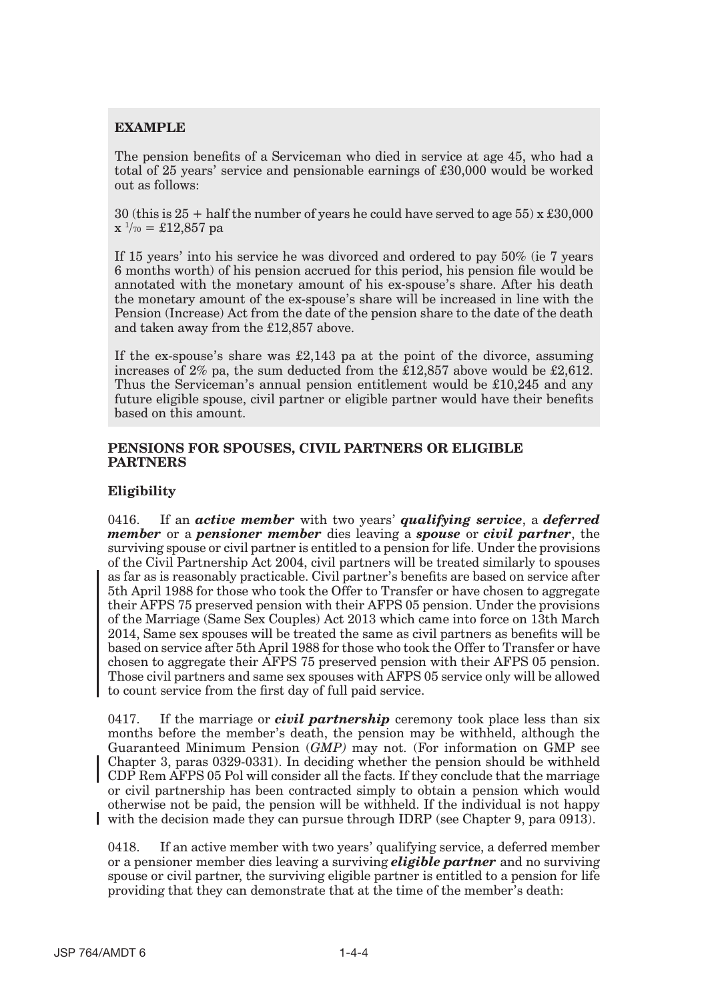## **EXAMPLE**

The pension benefits of a Serviceman who died in service at age 45, who had a total of 25 years' service and pensionable earnings of £30,000 would be worked out as follows:

30 (this is  $25 + \text{half the number of years he could have served to age } 55$ ) x £30,000  $x^2/70 = \pounds12,857$  pa

If 15 years' into his service he was divorced and ordered to pay 50% (ie 7 years 6 months worth) of his pension accrued for this period, his pension file would be annotated with the monetary amount of his ex-spouse's share. After his death the monetary amount of the ex-spouse's share will be increased in line with the Pension (Increase) Act from the date of the pension share to the date of the death and taken away from the £12,857 above.

If the ex-spouse's share was  $\pounds2,143$  pa at the point of the divorce, assuming increases of 2% pa, the sum deducted from the £12,857 above would be £2,612. Thus the Serviceman's annual pension entitlement would be £10,245 and any future eligible spouse, civil partner or eligible partner would have their benefits based on this amount.

#### **PENSIONS FOR SPOUSES, CIVIL PARTNERS OR ELIGIBLE PARTNERS**

## **Eligibility**

0416. If an *active member* with two years' *qualifying service*, a *deferred member* or a *pensioner member* dies leaving a *spouse* or *civil partner*, the surviving spouse or civil partner is entitled to a pension for life. Under the provisions of the Civil Partnership Act 2004, civil partners will be treated similarly to spouses as far as is reasonably practicable. Civil partner's benefits are based on service after 5th April 1988 for those who took the Offer to Transfer or have chosen to aggregate their AFPS 75 preserved pension with their AFPS 05 pension. Under the provisions of the Marriage (Same Sex Couples) Act 2013 which came into force on 13th March 2014, Same sex spouses will be treated the same as civil partners as benefits will be based on service after 5th April 1988 for those who took the Offer to Transfer or have chosen to aggregate their AFPS 75 preserved pension with their AFPS 05 pension. Those civil partners and same sex spouses with AFPS 05 service only will be allowed to count service from the first day of full paid service.

0417. If the marriage or *civil partnership* ceremony took place less than six months before the member's death, the pension may be withheld, although the Guaranteed Minimum Pension (*GMP)* may not*.* (For information on GMP see Chapter 3, paras 0329-0331). In deciding whether the pension should be withheld CDP Rem AFPS 05 Pol will consider all the facts. If they conclude that the marriage or civil partnership has been contracted simply to obtain a pension which would otherwise not be paid, the pension will be withheld. If the individual is not happy with the decision made they can pursue through IDRP (see Chapter 9, para 0913).

0418. If an active member with two years' qualifying service, a deferred member or a pensioner member dies leaving a surviving *eligible partner* and no surviving spouse or civil partner, the surviving eligible partner is entitled to a pension for life providing that they can demonstrate that at the time of the member's death: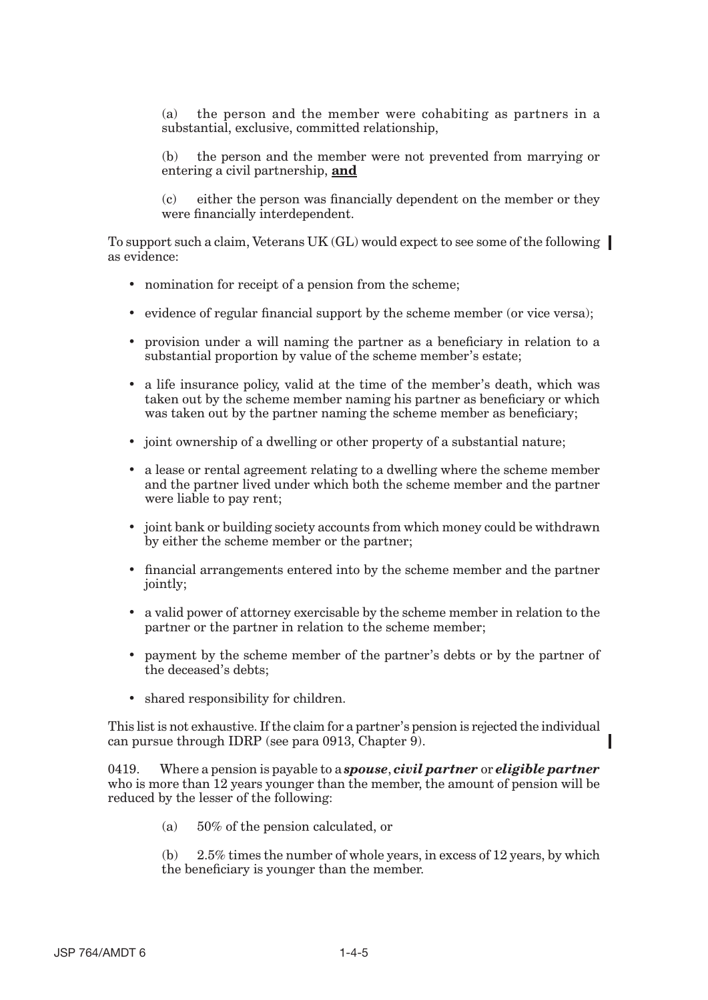(a) the person and the member were cohabiting as partners in a substantial, exclusive, committed relationship,

(b) the person and the member were not prevented from marrying or entering a civil partnership, **and** 

(c) either the person was financially dependent on the member or they were financially interdependent.

To support such a claim, Veterans UK (GL) would expect to see some of the following as evidence:

- nomination for receipt of a pension from the scheme;
- evidence of regular financial support by the scheme member (or vice versa);
- provision under a will naming the partner as a beneficiary in relation to a substantial proportion by value of the scheme member's estate;
- a life insurance policy, valid at the time of the member's death, which was taken out by the scheme member naming his partner as beneficiary or which was taken out by the partner naming the scheme member as beneficiary;
- joint ownership of a dwelling or other property of a substantial nature;
- • a lease or rental agreement relating to a dwelling where the scheme member and the partner lived under which both the scheme member and the partner were liable to pay rent;
- • joint bank or building society accounts from which money could be withdrawn by either the scheme member or the partner;
- financial arrangements entered into by the scheme member and the partner jointly;
- • a valid power of attorney exercisable by the scheme member in relation to the partner or the partner in relation to the scheme member;
- payment by the scheme member of the partner's debts or by the partner of the deceased's debts;
- shared responsibility for children.

This list is not exhaustive. If the claim for a partner's pension is rejected the individual can pursue through IDRP (see para 0913, Chapter  $\overline{9}$ ).

0419. Where a pension is payable to a *spouse*, *civil partner* or *eligible partner*  who is more than 12 years younger than the member, the amount of pension will be reduced by the lesser of the following:

(a) 50% of the pension calculated, or

(b) 2.5% times the number of whole years, in excess of 12 years, by which the beneficiary is younger than the member.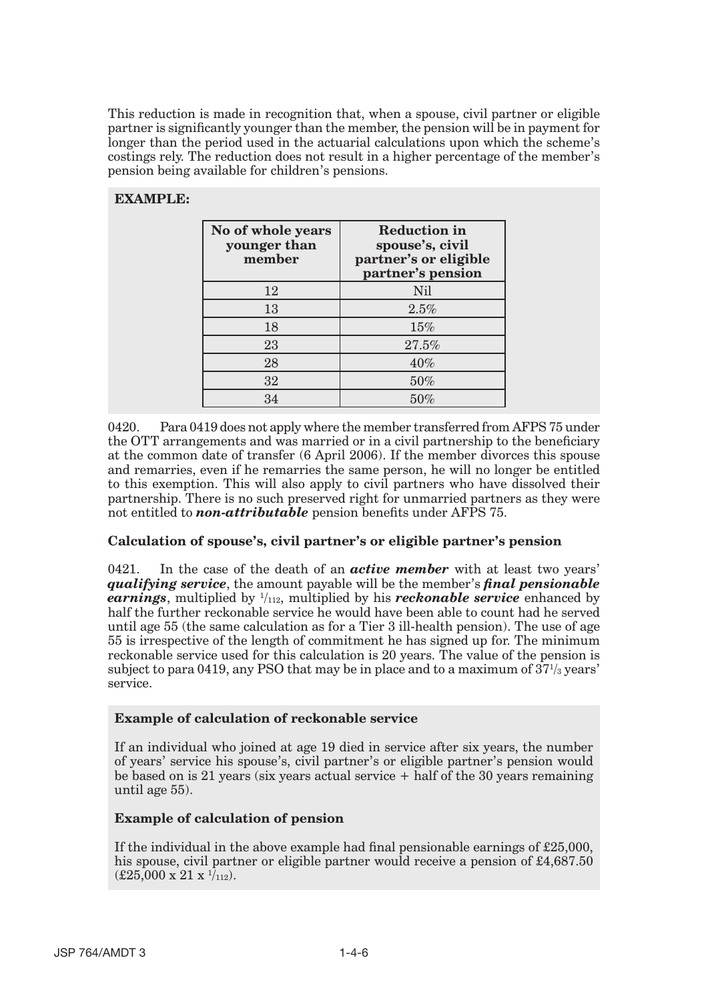This reduction is made in recognition that, when a spouse, civil partner or eligible partner is significantly younger than the member, the pension will be in payment for longer than the period used in the actuarial calculations upon which the scheme's costings rely. The reduction does not result in a higher percentage of the member's pension being available for children's pensions.

## **EXAMPLE:**

| No of whole years<br>younger than<br>member | <b>Reduction in</b><br>spouse's, civil<br>partner's or eligible<br>partner's pension |
|---------------------------------------------|--------------------------------------------------------------------------------------|
| 12                                          | Nil                                                                                  |
| 13                                          | 2.5%                                                                                 |
| 18                                          | 15%                                                                                  |
| 23                                          | 27.5%                                                                                |
| 28                                          | 40%                                                                                  |
| 32                                          | 50%                                                                                  |
| 34                                          | $50\%$                                                                               |

0420. Para 0419 does not apply where the member transferred from AFPS 75 under the OTT arrangements and was married or in a civil partnership to the beneficiary at the common date of transfer (6 April 2006). If the member divorces this spouse and remarries, even if he remarries the same person, he will no longer be entitled to this exemption. This will also apply to civil partners who have dissolved their partnership. There is no such preserved right for unmarried partners as they were not entitled to *non-attributable* pension benefits under AFPS 75.

## **Calculation of spouse's, civil partner's or eligible partner's pension**

0421. In the case of the death of an *active member* with at least two years' *qualifying service*, the amount payable will be the member's *final pensionable*  earnings, multiplied by  $\frac{1}{112}$ , multiplied by his *reckonable service* enhanced by half the further reckonable service he would have been able to count had he served until age 55 (the same calculation as for a Tier 3 ill-health pension). The use of age 55 is irrespective of the length of commitment he has signed up for. The minimum reckonable service used for this calculation is 20 years. The value of the pension is subject to para 0419, any PSO that may be in place and to a maximum of 371 /3 years' service.

## **Example of calculation of reckonable service**

If an individual who joined at age 19 died in service after six years, the number of years' service his spouse's, civil partner's or eligible partner's pension would be based on is 21 years (six years actual service + half of the 30 years remaining until age 55).

## **Example of calculation of pension**

If the individual in the above example had final pensionable earnings of  $£25,000$ , his spouse, civil partner or eligible partner would receive a pension of £4,687.50  $(\pounds 25,000 \times 21 \times \frac{1}{112}).$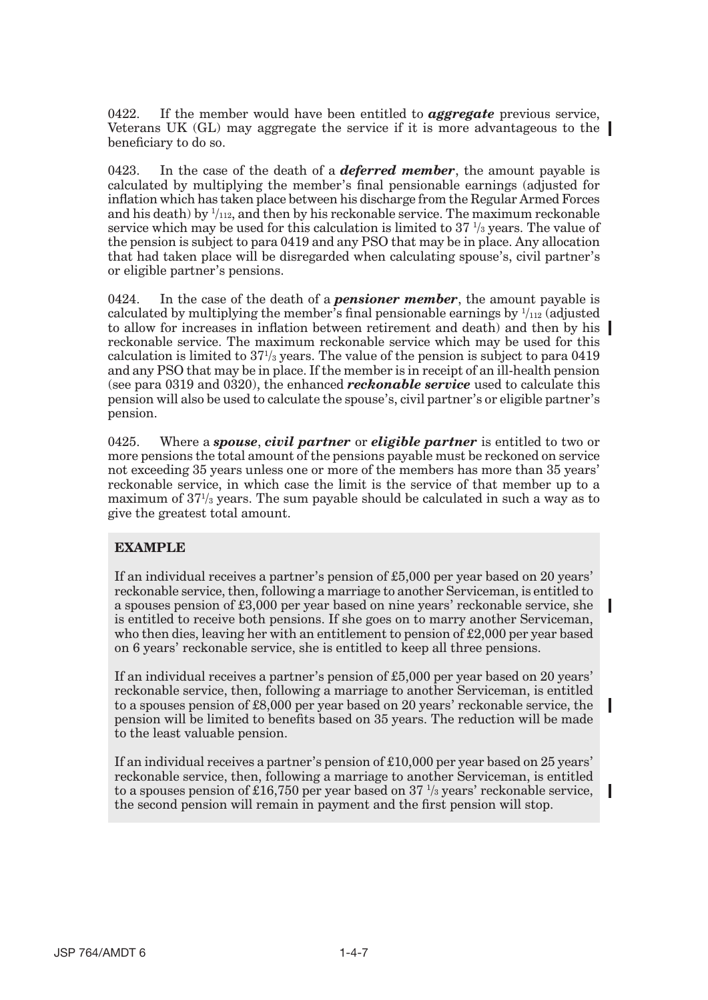0422. If the member would have been entitled to *aggregate* previous service, Veterans UK (GL) may aggregate the service if it is more advantageous to the beneficiary to do so.

0423. In the case of the death of a *deferred member*, the amount payable is calculated by multiplying the member's final pensionable earnings (adjusted for inflation which has taken place between his discharge from the Regular Armed Forces and his death) by  $\frac{1}{12}$ , and then by his reckonable service. The maximum reckonable service which may be used for this calculation is limited to 37  $\frac{1}{3}$  years. The value of the pension is subject to para 0419 and any PSO that may be in place. Any allocation that had taken place will be disregarded when calculating spouse's, civil partner's or eligible partner's pensions.

0424. In the case of the death of a *pensioner member*, the amount payable is calculated by multiplying the member's final pensionable earnings by  $\frac{1}{112}$  (adjusted to allow for increases in inflation between retirement and death) and then by his reckonable service. The maximum reckonable service which may be used for this calculation is limited to 371 /3 years. The value of the pension is subject to para 0419 and any PSO that may be in place. If the member is in receipt of an ill-health pension (see para 0319 and 0320), the enhanced *reckonable service* used to calculate this pension will also be used to calculate the spouse's, civil partner's or eligible partner's pension.

0425. Where a *spouse*, *civil partner* or *eligible partner* is entitled to two or more pensions the total amount of the pensions payable must be reckoned on service not exceeding 35 years unless one or more of the members has more than 35 years' reckonable service, in which case the limit is the service of that member up to a maximum of 371 /3 years. The sum payable should be calculated in such a way as to give the greatest total amount.

## **EXAMPLE**

If an individual receives a partner's pension of £5,000 per year based on 20 years' reckonable service, then, following a marriage to another Serviceman, is entitled to a spouses pension of £3,000 per year based on nine years' reckonable service, she is entitled to receive both pensions. If she goes on to marry another Serviceman, who then dies, leaving her with an entitlement to pension of £2,000 per year based on 6 years' reckonable service, she is entitled to keep all three pensions.

If an individual receives a partner's pension of £5,000 per year based on 20 years' reckonable service, then, following a marriage to another Serviceman, is entitled to a spouses pension of £8,000 per year based on 20 years' reckonable service, the pension will be limited to benefits based on 35 years. The reduction will be made to the least valuable pension.

If an individual receives a partner's pension of  $\pounds 10,000$  per year based on 25 years' reckonable service, then, following a marriage to another Serviceman, is entitled to a spouses pension of £16,750 per year based on 37 1 /3 years' reckonable service, ı the second pension will remain in payment and the first pension will stop.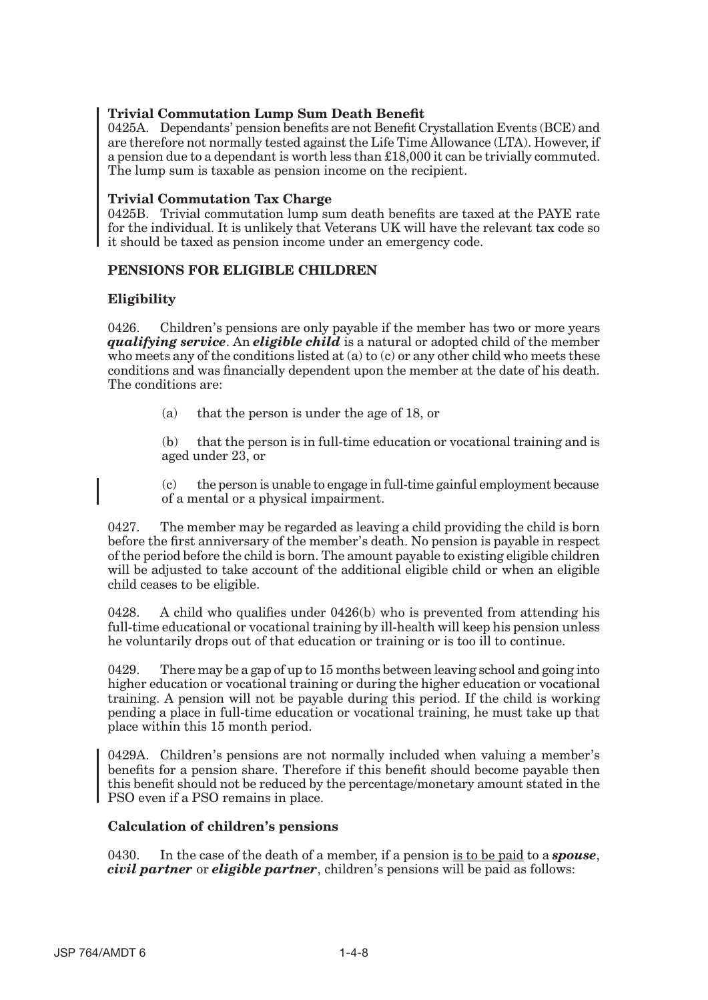## **Trivial Commutation Lump Sum Death Benefit**

0425A. Dependants' pension benefits are not Benefit Crystallation Events (BCE) and are therefore not normally tested against the Life Time Allowance (LTA). However, if a pension due to a dependant is worth less than £18,000 it can be trivially commuted. The lump sum is taxable as pension income on the recipient.

#### **Trivial Commutation Tax Charge**

0425B. Trivial commutation lump sum death benefits are taxed at the PAYE rate for the individual. It is unlikely that Veterans UK will have the relevant tax code so it should be taxed as pension income under an emergency code.

#### **PENSIONS FOR ELIGIBLE CHILDREN**

## **Eligibility**

0426. Children's pensions are only payable if the member has two or more years *qualifying service*. An *eligible child* is a natural or adopted child of the member who meets any of the conditions listed at  $(a)$  to  $(c)$  or any other child who meets these conditions and was financially dependent upon the member at the date of his death. The conditions are:

- (a) that the person is under the age of 18, or
- (b) that the person is in full-time education or vocational training and is aged under 23, or

(c) the person is unable to engage in full-time gainful employment because of a mental or a physical impairment.

0427. The member may be regarded as leaving a child providing the child is born before the first anniversary of the member's death. No pension is payable in respect of the period before the child is born. The amount payable to existing eligible children will be adjusted to take account of the additional eligible child or when an eligible child ceases to be eligible.

0428. A child who qualifies under 0426(b) who is prevented from attending his full-time educational or vocational training by ill-health will keep his pension unless he voluntarily drops out of that education or training or is too ill to continue.

0429. There may be a gap of up to 15 months between leaving school and going into higher education or vocational training or during the higher education or vocational training. A pension will not be payable during this period. If the child is working pending a place in full-time education or vocational training, he must take up that place within this 15 month period.

0429A. Children's pensions are not normally included when valuing a member's benefits for a pension share. Therefore if this benefit should become payable then this benefit should not be reduced by the percentage/monetary amount stated in the PSO even if a PSO remains in place.

#### **Calculation of children's pensions**

0430. In the case of the death of a member, if a pension is to be paid to a *spouse*, *civil partner* or *eligible partner*, children's pensions will be paid as follows: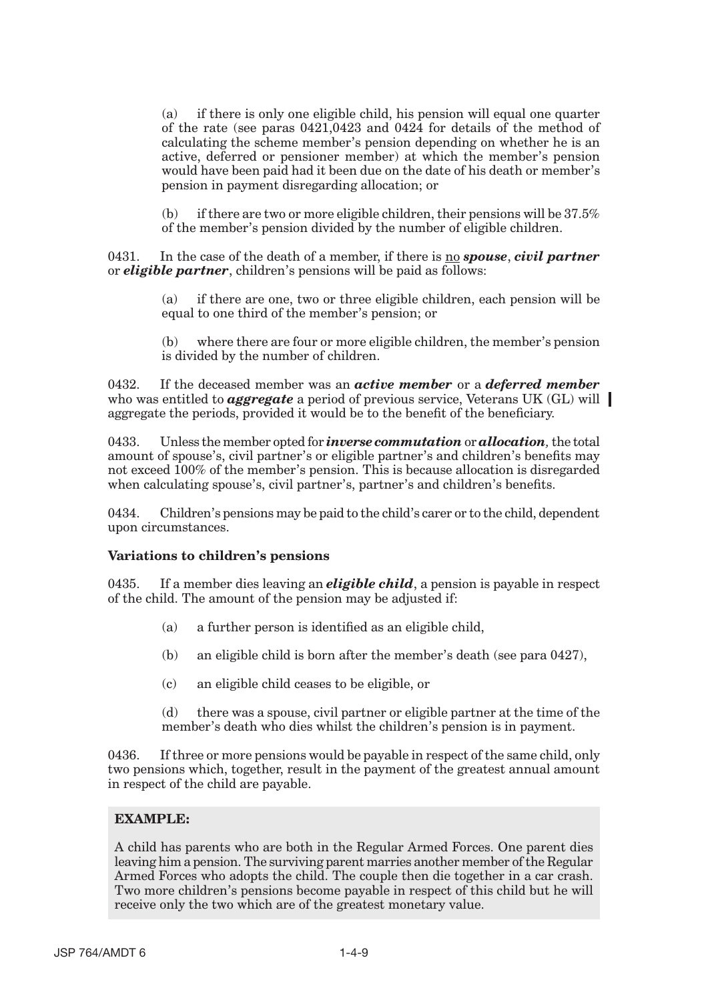(a) if there is only one eligible child, his pension will equal one quarter of the rate (see paras 0421,0423 and 0424 for details of the method of calculating the scheme member's pension depending on whether he is an active, deferred or pensioner member) at which the member's pension would have been paid had it been due on the date of his death or member's pension in payment disregarding allocation; or

(b) if there are two or more eligible children, their pensions will be  $37.5\%$ of the member's pension divided by the number of eligible children.

0431. In the case of the death of a member, if there is no *spouse*, *civil partner*  or *eligible partner*, children's pensions will be paid as follows:

> (a) if there are one, two or three eligible children, each pension will be equal to one third of the member's pension; or

> (b) where there are four or more eligible children, the member's pension is divided by the number of children.

0432. If the deceased member was an *active member* or a *deferred member*  who was entitled to *aggregate* a period of previous service, Veterans UK (GL) will aggregate the periods, provided it would be to the benefit of the beneficiary.

0433. Unless the member opted for *inverse commutation* or *allocation,* the total amount of spouse's, civil partner's or eligible partner's and children's benefits may not exceed 100% of the member's pension. This is because allocation is disregarded when calculating spouse's, civil partner's, partner's and children's benefits.

0434. Children's pensions may be paid to the child's carer or to the child, dependent upon circumstances.

#### **Variations to children's pensions**

0435. If a member dies leaving an *eligible child*, a pension is payable in respect of the child. The amount of the pension may be adjusted if:

- (a) a further person is identified as an eligible child,
- (b) an eligible child is born after the member's death (see para 0427),
- (c) an eligible child ceases to be eligible, or

(d) there was a spouse, civil partner or eligible partner at the time of the member's death who dies whilst the children's pension is in payment.

0436. If three or more pensions would be payable in respect of the same child, only two pensions which, together, result in the payment of the greatest annual amount in respect of the child are payable.

#### **EXAMPLE:**

A child has parents who are both in the Regular Armed Forces. One parent dies leaving him a pension. The surviving parent marries another member of the Regular Armed Forces who adopts the child. The couple then die together in a car crash. Two more children's pensions become payable in respect of this child but he will receive only the two which are of the greatest monetary value.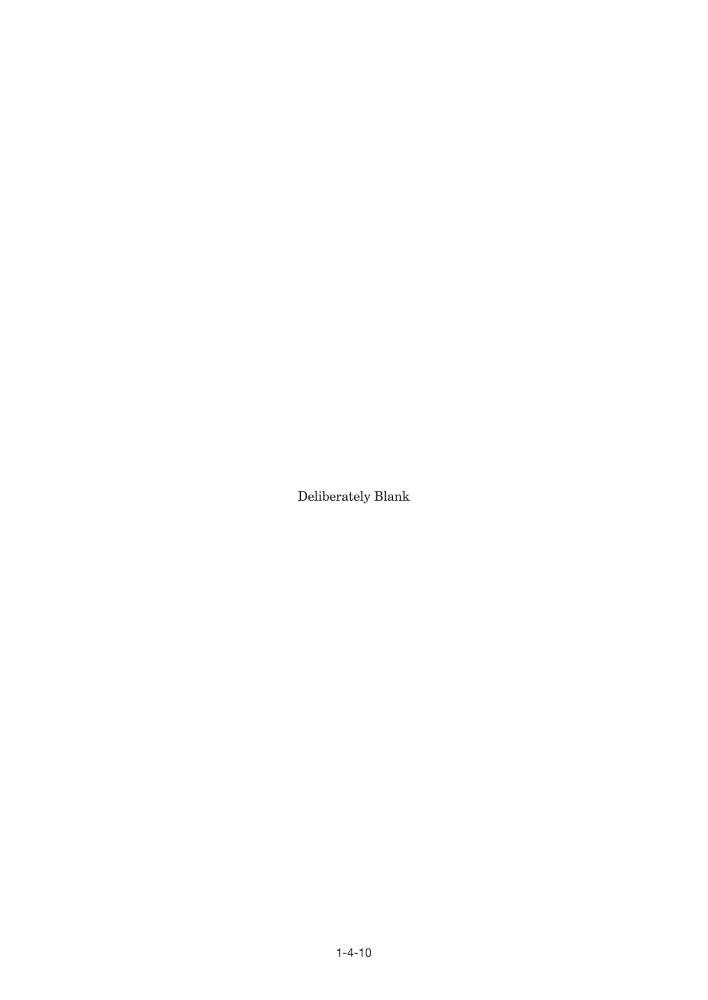Deliberately Blank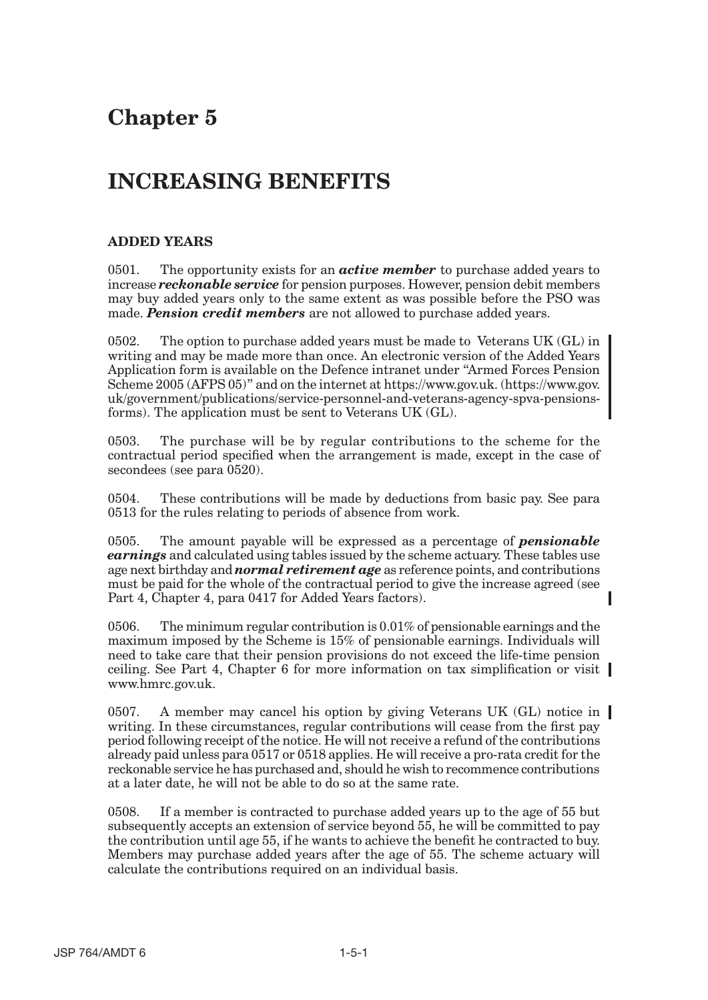# **Chapter 5**

# **INCREASING BENEFITS**

## **ADDED YEARS**

0501. The opportunity exists for an *active member* to purchase added years to increase *reckonable service* for pension purposes. However, pension debit members may buy added years only to the same extent as was possible before the PSO was made. *Pension credit members* are not allowed to purchase added years.

0502. The option to purchase added years must be made to Veterans UK (GL) in writing and may be made more than once. An electronic version of the Added Years Application form is available on the Defence intranet under "Armed Forces Pension Scheme 2005 (AFPS 05)" and on the internet at https://www.gov.uk. (https://www.gov. uk/government/publications/service-personnel-and-veterans-agency-spva-pensionsforms). The application must be sent to Veterans UK (GL).

0503. The purchase will be by regular contributions to the scheme for the contractual period specified when the arrangement is made, except in the case of secondees (see para 0520).

0504. These contributions will be made by deductions from basic pay. See para 0513 for the rules relating to periods of absence from work.

0505. The amount payable will be expressed as a percentage of *pensionable earnings* and calculated using tables issued by the scheme actuary. These tables use age next birthday and *normal retirement age* as reference points, and contributions must be paid for the whole of the contractual period to give the increase agreed (see Part 4, Chapter 4, para 0417 for Added Years factors).

0506. The minimum regular contribution is 0.01% of pensionable earnings and the maximum imposed by the Scheme is 15% of pensionable earnings. Individuals will need to take care that their pension provisions do not exceed the life-time pension ceiling. See Part 4, Chapter 6 for more information on tax simplification or visit www.hmrc.gov.uk.

0507. A member may cancel his option by giving Veterans UK (GL) notice in writing. In these circumstances, regular contributions will cease from the first pay period following receipt of the notice. He will not receive a refund of the contributions already paid unless para 0517 or 0518 applies. He will receive a pro-rata credit for the reckonable service he has purchased and, should he wish to recommence contributions at a later date, he will not be able to do so at the same rate.

0508. If a member is contracted to purchase added years up to the age of 55 but subsequently accepts an extension of service beyond 55, he will be committed to pay the contribution until age 55, if he wants to achieve the benefit he contracted to buy. Members may purchase added years after the age of 55. The scheme actuary will calculate the contributions required on an individual basis.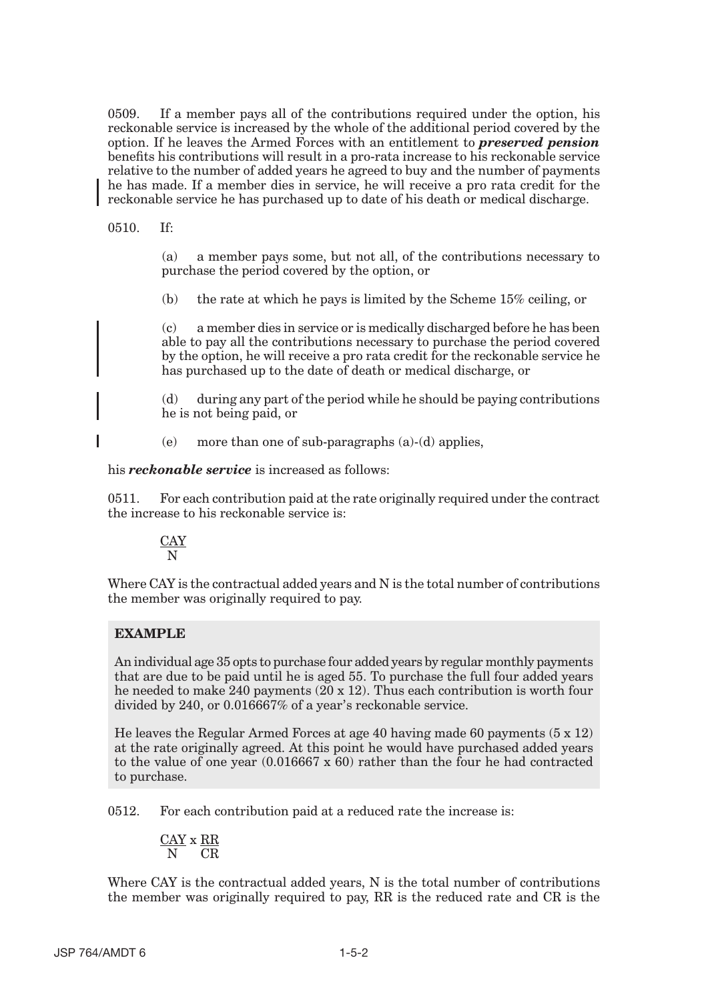0509. If a member pays all of the contributions required under the option, his reckonable service is increased by the whole of the additional period covered by the option. If he leaves the Armed Forces with an entitlement to *preserved pension*  benefits his contributions will result in a pro-rata increase to his reckonable service relative to the number of added years he agreed to buy and the number of payments he has made. If a member dies in service, he will receive a pro rata credit for the reckonable service he has purchased up to date of his death or medical discharge.

0510. If:

(a) a member pays some, but not all, of the contributions necessary to purchase the period covered by the option, or

(b) the rate at which he pays is limited by the Scheme 15% ceiling, or

(c) a member dies in service or is medically discharged before he has been able to pay all the contributions necessary to purchase the period covered by the option, he will receive a pro rata credit for the reckonable service he has purchased up to the date of death or medical discharge, or

(d) during any part of the period while he should be paying contributions he is not being paid, or

(e) more than one of sub-paragraphs (a)-(d) applies,

his *reckonable service* is increased as follows:

0511. For each contribution paid at the rate originally required under the contract the increase to his reckonable service is:

#### $\overline{\text{CAY}}$ N

Where CAY is the contractual added years and N is the total number of contributions the member was originally required to pay.

## **EXAMPLE**

An individual age 35 opts to purchase four added years by regular monthly payments that are due to be paid until he is aged 55. To purchase the full four added years he needed to make 240 payments (20 x 12). Thus each contribution is worth four divided by 240, or 0.016667% of a year's reckonable service.

He leaves the Regular Armed Forces at age 40 having made 60 payments (5 x 12) at the rate originally agreed. At this point he would have purchased added years to the value of one year  $(0.016667 \times 60)$  rather than the four he had contracted to purchase.

0512. For each contribution paid at a reduced rate the increase is:

$$
\frac{CAY}{N} \times \frac{RR}{CR}
$$

Where CAY is the contractual added years, N is the total number of contributions the member was originally required to pay, RR is the reduced rate and CR is the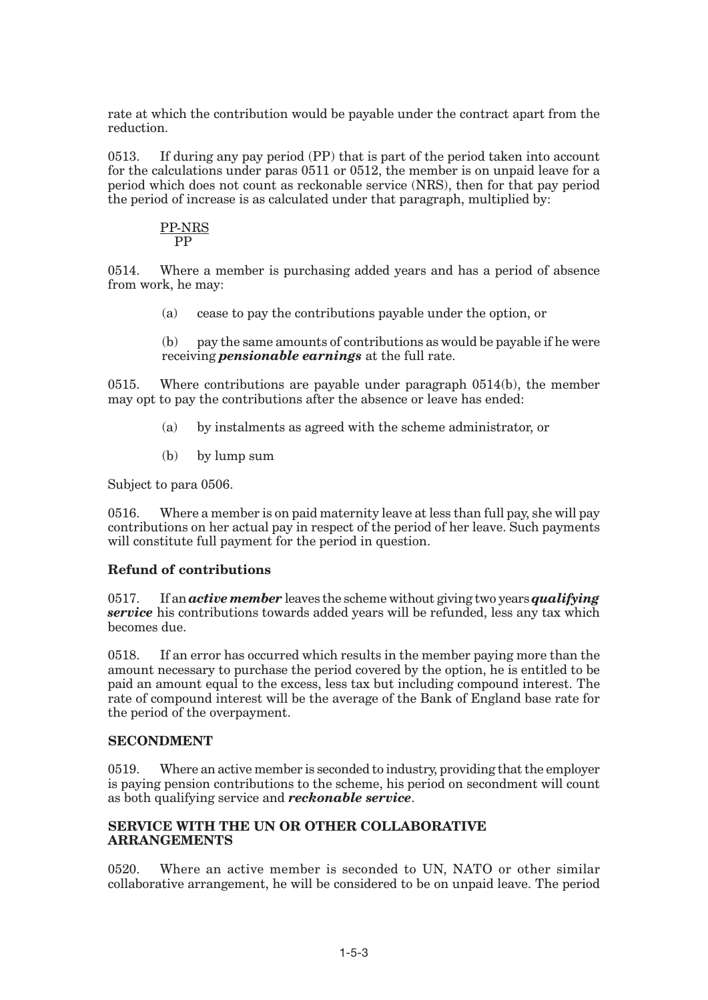rate at which the contribution would be payable under the contract apart from the reduction.

0513. If during any pay period (PP) that is part of the period taken into account for the calculations under paras 0511 or 0512, the member is on unpaid leave for a period which does not count as reckonable service (NRS), then for that pay period the period of increase is as calculated under that paragraph, multiplied by:

#### PP-NRS PP

0514. Where a member is purchasing added years and has a period of absence from work, he may:

(a) cease to pay the contributions payable under the option, or

(b) pay the same amounts of contributions as would be payable if he were receiving *pensionable earnings* at the full rate.

0515. Where contributions are payable under paragraph 0514(b), the member may opt to pay the contributions after the absence or leave has ended:

- (a) by instalments as agreed with the scheme administrator, or
- (b) by lump sum

Subject to para 0506.

0516. Where a member is on paid maternity leave at less than full pay, she will pay contributions on her actual pay in respect of the period of her leave. Such payments will constitute full payment for the period in question.

## **Refund of contributions**

0517. If an *active member* leaves the scheme without giving two years *qualifying service* his contributions towards added years will be refunded, less any tax which becomes due.

0518. If an error has occurred which results in the member paying more than the amount necessary to purchase the period covered by the option, he is entitled to be paid an amount equal to the excess, less tax but including compound interest. The rate of compound interest will be the average of the Bank of England base rate for the period of the overpayment.

## **SECONDMENT**

0519. Where an active member is seconded to industry, providing that the employer is paying pension contributions to the scheme, his period on secondment will count as both qualifying service and *reckonable service*.

## **SERVICE WITH THE UN OR OTHER COLLABORATIVE ARRANGEMENTS**

0520. Where an active member is seconded to UN, NATO or other similar collaborative arrangement, he will be considered to be on unpaid leave. The period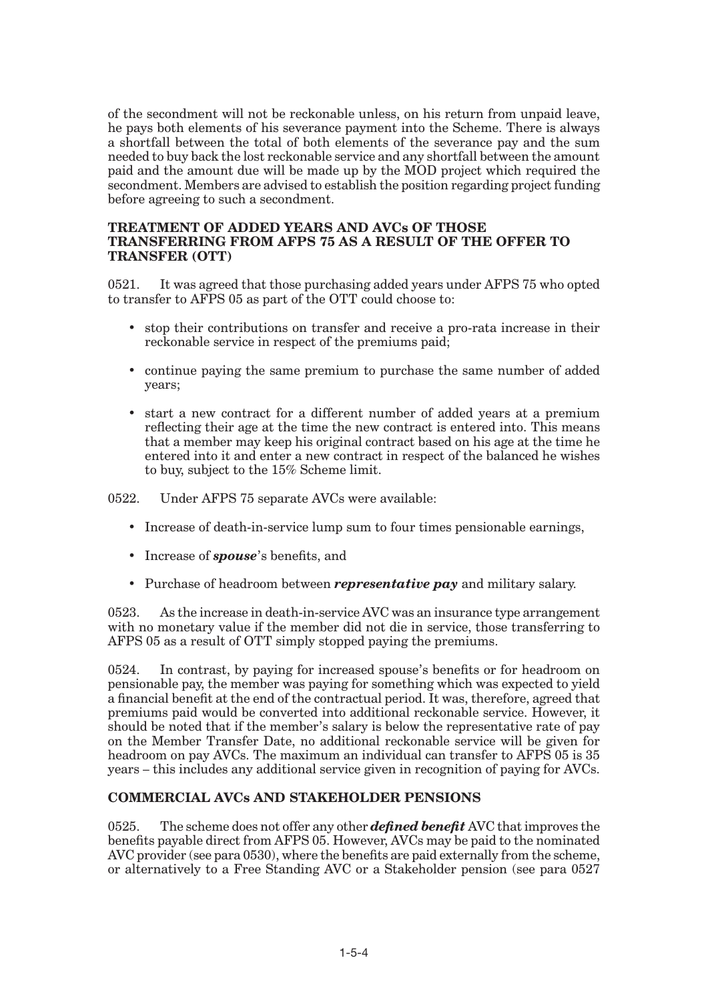of the secondment will not be reckonable unless, on his return from unpaid leave, he pays both elements of his severance payment into the Scheme. There is always a shortfall between the total of both elements of the severance pay and the sum needed to buy back the lost reckonable service and any shortfall between the amount paid and the amount due will be made up by the MOD project which required the secondment. Members are advised to establish the position regarding project funding before agreeing to such a secondment.

#### **TREATMENT OF ADDED YEARS AND AVCs OF THOSE TRANSFERRING FROM AFPS 75 AS A RESULT OF THE OFFER TO TRANSFER (OTT)**

0521. It was agreed that those purchasing added years under AFPS 75 who opted to transfer to AFPS 05 as part of the OTT could choose to:

- stop their contributions on transfer and receive a pro-rata increase in their reckonable service in respect of the premiums paid;
- • continue paying the same premium to purchase the same number of added years;
- start a new contract for a different number of added years at a premium reflecting their age at the time the new contract is entered into. This means that a member may keep his original contract based on his age at the time he entered into it and enter a new contract in respect of the balanced he wishes to buy, subject to the 15% Scheme limit.

0522. Under AFPS 75 separate AVCs were available:

- • Increase of death-in-service lump sum to four times pensionable earnings,
- • Increase of *spouse*'s benefits, and
- • Purchase of headroom between *representative pay* and military salary.

0523. As the increase in death-in-service AVC was an insurance type arrangement with no monetary value if the member did not die in service, those transferring to AFPS 05 as a result of OTT simply stopped paying the premiums.

0524. In contrast, by paying for increased spouse's benefits or for headroom on pensionable pay, the member was paying for something which was expected to yield a financial benefit at the end of the contractual period. It was, therefore, agreed that premiums paid would be converted into additional reckonable service. However, it should be noted that if the member's salary is below the representative rate of pay on the Member Transfer Date, no additional reckonable service will be given for headroom on pay AVCs. The maximum an individual can transfer to AFPS 05 is 35 years – this includes any additional service given in recognition of paying for AVCs.

#### **COMMERCIAL AVCs AND STAKEHOLDER PENSIONS**

0525. The scheme does not offer any other *defined benefit* AVC that improves the benefits payable direct from AFPS 05. However, AVCs may be paid to the nominated AVC provider (see para 0530), where the benefits are paid externally from the scheme, or alternatively to a Free Standing AVC or a Stakeholder pension (see para 0527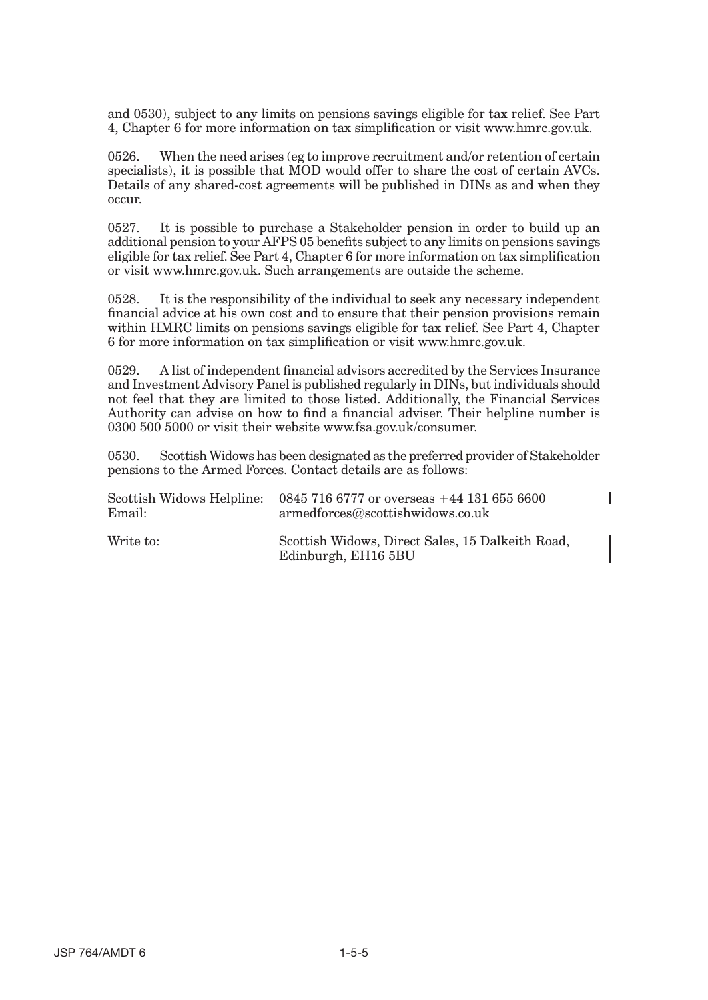and 0530), subject to any limits on pensions savings eligible for tax relief. See Part 4, Chapter 6 for more information on tax simplification or visit www.hmrc.gov.uk.

When the need arises (eg to improve recruitment and/or retention of certain specialists), it is possible that MOD would offer to share the cost of certain AVCs. Details of any shared-cost agreements will be published in DINs as and when they occur.

0527. It is possible to purchase a Stakeholder pension in order to build up an additional pension to your AFPS 05 benefits subject to any limits on pensions savings eligible for tax relief. See Part 4, Chapter 6 for more information on tax simplification or visit www.hmrc.gov.uk. Such arrangements are outside the scheme.

0528. It is the responsibility of the individual to seek any necessary independent financial advice at his own cost and to ensure that their pension provisions remain within HMRC limits on pensions savings eligible for tax relief. See Part 4, Chapter 6 for more information on tax simplification or visit www.hmrc.gov.uk.

0529. A list of independent financial advisors accredited by the Services Insurance and Investment Advisory Panel is published regularly in DINs, but individuals should not feel that they are limited to those listed. Additionally, the Financial Services Authority can advise on how to find a financial adviser. Their helpline number is 0300 500 5000 or visit their website www.fsa.gov.uk/consumer.

0530. Scottish Widows has been designated as the preferred provider of Stakeholder pensions to the Armed Forces. Contact details are as follows:

| Scottish Widows Helpline:<br>Email: | 0845 716 6777 or overseas +44 131 655 6600<br>$\alpha$ rmedforces@scottishwidows.co.uk |  |
|-------------------------------------|----------------------------------------------------------------------------------------|--|
| Write to:                           | Scottish Widows, Direct Sales, 15 Dalkeith Road,<br>Edinburgh, EH16 5BU                |  |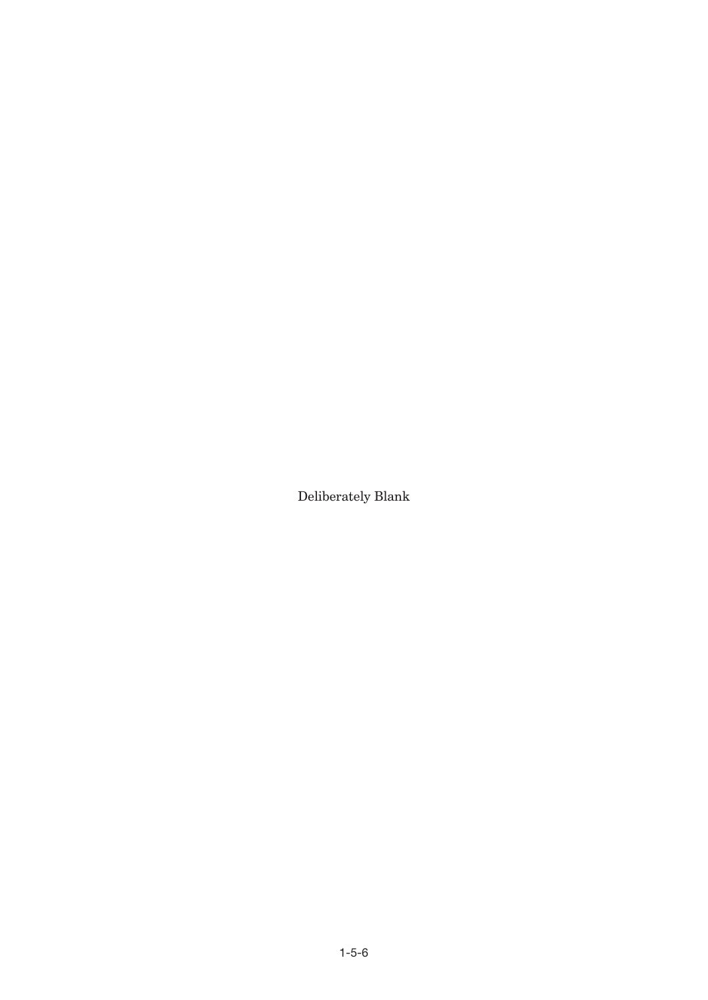Deliberately Blank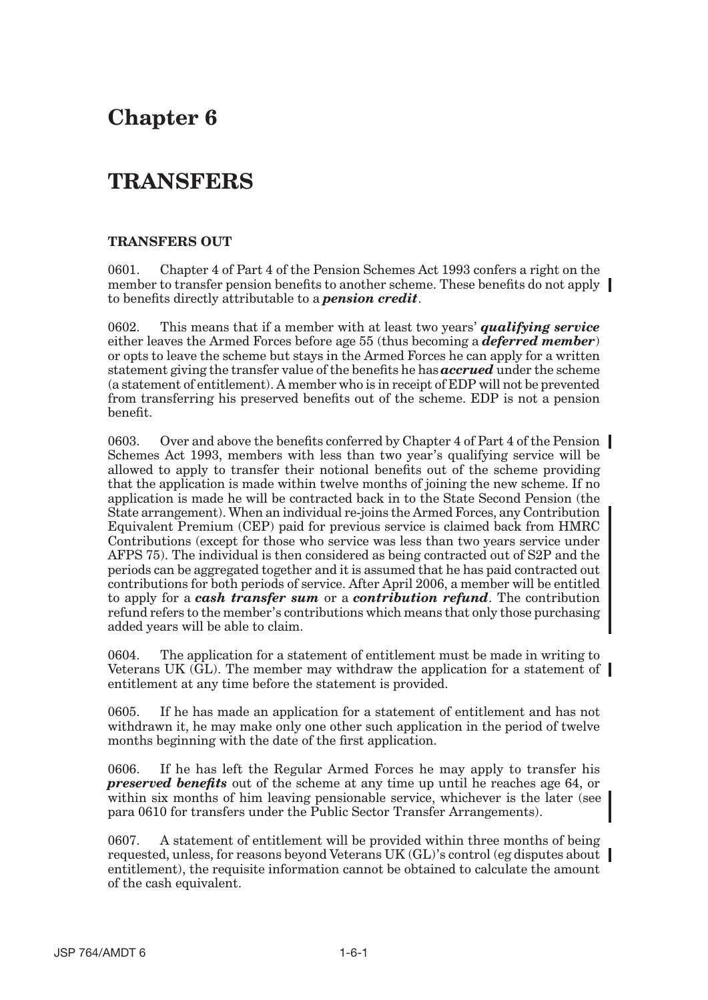## **Chapter 6**

## **TRANSFERS**

## **TRANSFERS OUT**

0601. Chapter 4 of Part 4 of the Pension Schemes Act 1993 confers a right on the member to transfer pension benefits to another scheme. These benefits do not apply to benefits directly attributable to a *pension credit*.

0602. This means that if a member with at least two years' *qualifying service*  either leaves the Armed Forces before age 55 (thus becoming a *deferred member*) or opts to leave the scheme but stays in the Armed Forces he can apply for a written statement giving the transfer value of the benefits he has *accrued* under the scheme (a statement of entitlement). A member who is in receipt of EDP will not be prevented from transferring his preserved benefits out of the scheme. EDP is not a pension benefit.

0603. Over and above the benefits conferred by Chapter 4 of Part 4 of the Pension Schemes Act 1993, members with less than two year's qualifying service will be allowed to apply to transfer their notional benefits out of the scheme providing that the application is made within twelve months of joining the new scheme. If no application is made he will be contracted back in to the State Second Pension (the State arrangement). When an individual re-joins the Armed Forces, any Contribution Equivalent Premium (CEP) paid for previous service is claimed back from HMRC Contributions (except for those who service was less than two years service under AFPS 75). The individual is then considered as being contracted out of S2P and the periods can be aggregated together and it is assumed that he has paid contracted out contributions for both periods of service. After April 2006, a member will be entitled to apply for a *cash transfer sum* or a *contribution refund*. The contribution refund refers to the member's contributions which means that only those purchasing added years will be able to claim.

0604. The application for a statement of entitlement must be made in writing to Veterans UK (GL). The member may withdraw the application for a statement of entitlement at any time before the statement is provided.

0605. If he has made an application for a statement of entitlement and has not withdrawn it, he may make only one other such application in the period of twelve months beginning with the date of the first application.

0606. If he has left the Regular Armed Forces he may apply to transfer his *preserved benefits* out of the scheme at any time up until he reaches age 64, or within six months of him leaving pensionable service, whichever is the later (see para 0610 for transfers under the Public Sector Transfer Arrangements).

0607. A statement of entitlement will be provided within three months of being requested, unless, for reasons beyond Veterans UK (GL)'s control (eg disputes about entitlement), the requisite information cannot be obtained to calculate the amount of the cash equivalent.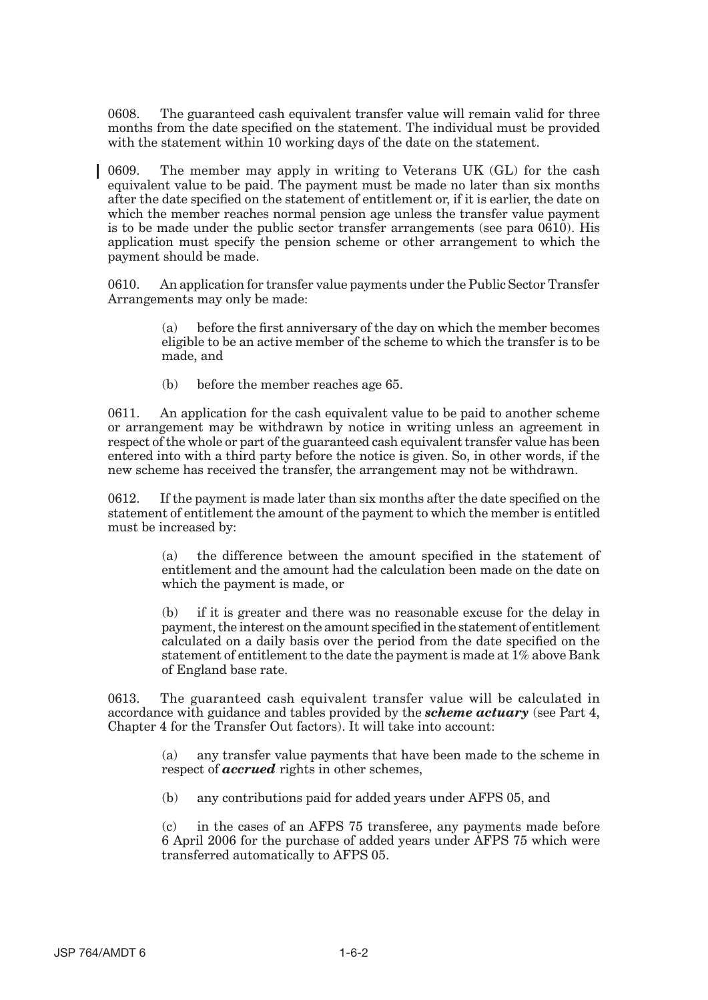0608. The guaranteed cash equivalent transfer value will remain valid for three months from the date specified on the statement. The individual must be provided with the statement within 10 working days of the date on the statement.

0609. The member may apply in writing to Veterans UK (GL) for the cash equivalent value to be paid. The payment must be made no later than six months after the date specified on the statement of entitlement or, if it is earlier, the date on which the member reaches normal pension age unless the transfer value payment is to be made under the public sector transfer arrangements (see para 0610). His application must specify the pension scheme or other arrangement to which the payment should be made.

0610. An application for transfer value payments under the Public Sector Transfer Arrangements may only be made:

> (a) before the first anniversary of the day on which the member becomes eligible to be an active member of the scheme to which the transfer is to be made, and

(b) before the member reaches age 65.

0611. An application for the cash equivalent value to be paid to another scheme or arrangement may be withdrawn by notice in writing unless an agreement in respect of the whole or part of the guaranteed cash equivalent transfer value has been entered into with a third party before the notice is given. So, in other words, if the new scheme has received the transfer, the arrangement may not be withdrawn.

0612. If the payment is made later than six months after the date specified on the statement of entitlement the amount of the payment to which the member is entitled must be increased by:

> (a) the difference between the amount specified in the statement of entitlement and the amount had the calculation been made on the date on which the payment is made, or

> (b) if it is greater and there was no reasonable excuse for the delay in payment, the interest on the amount specified in the statement of entitlement calculated on a daily basis over the period from the date specified on the statement of entitlement to the date the payment is made at 1% above Bank of England base rate.

0613. The guaranteed cash equivalent transfer value will be calculated in accordance with guidance and tables provided by the *scheme actuary* (see Part 4, Chapter 4 for the Transfer Out factors). It will take into account:

> (a) any transfer value payments that have been made to the scheme in respect of *accrued* rights in other schemes,

(b) any contributions paid for added years under AFPS 05, and

(c) in the cases of an AFPS 75 transferee, any payments made before 6 April 2006 for the purchase of added years under AFPS 75 which were transferred automatically to AFPS 05.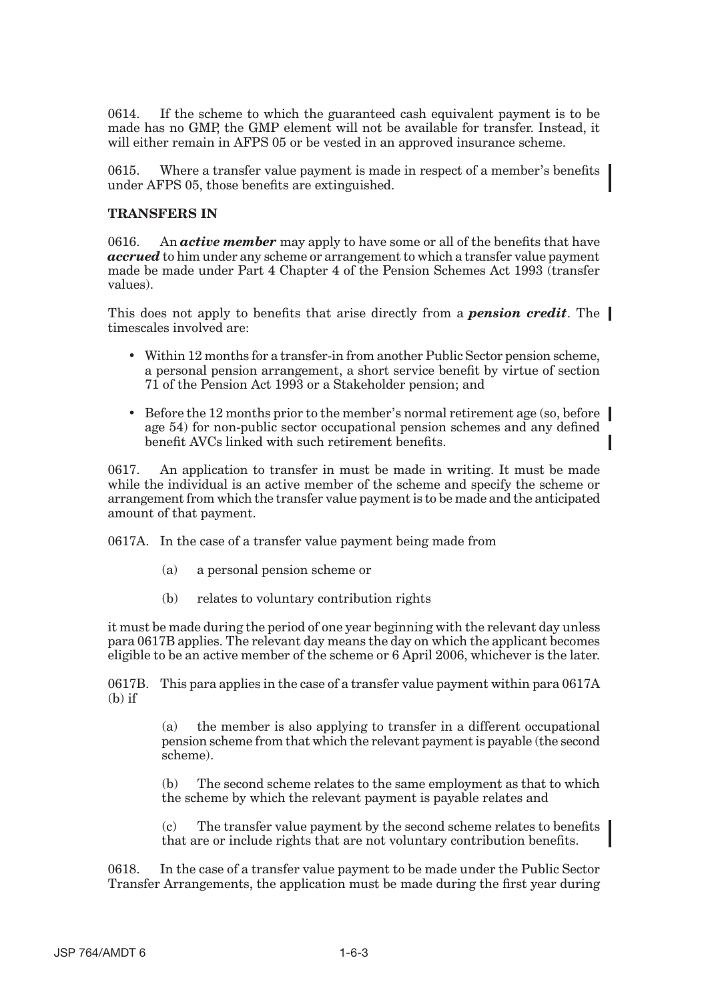0614. If the scheme to which the guaranteed cash equivalent payment is to be made has no GMP, the GMP element will not be available for transfer. Instead, it will either remain in AFPS 05 or be vested in an approved insurance scheme.

0615. Where a transfer value payment is made in respect of a member's benefits under AFPS 05, those benefits are extinguished.

#### **TRANSFERS IN**

0616. An *active member* may apply to have some or all of the benefits that have *accrued* to him under any scheme or arrangement to which a transfer value payment made be made under Part 4 Chapter 4 of the Pension Schemes Act 1993 (transfer values).

This does not apply to benefits that arise directly from a *pension credit*. The timescales involved are:

- • Within 12 months for a transfer-in from another Public Sector pension scheme, a personal pension arrangement, a short service benefit by virtue of section 71 of the Pension Act 1993 or a Stakeholder pension; and
- Before the 12 months prior to the member's normal retirement age (so, before age 54) for non-public sector occupational pension schemes and any defined benefit AVCs linked with such retirement benefits.

0617. An application to transfer in must be made in writing. It must be made while the individual is an active member of the scheme and specify the scheme or arrangement from which the transfer value payment is to be made and the anticipated amount of that payment.

0617A. In the case of a transfer value payment being made from

- (a) a personal pension scheme or
- (b) relates to voluntary contribution rights

it must be made during the period of one year beginning with the relevant day unless para 0617B applies. The relevant day means the day on which the applicant becomes eligible to be an active member of the scheme or 6 April 2006, whichever is the later.

0617B. This para applies in the case of a transfer value payment within para 0617A  $(b)$  if

> (a) the member is also applying to transfer in a different occupational pension scheme from that which the relevant payment is payable (the second scheme).

> (b) The second scheme relates to the same employment as that to which the scheme by which the relevant payment is payable relates and

> (c) The transfer value payment by the second scheme relates to benefits that are or include rights that are not voluntary contribution benefits.

0618. In the case of a transfer value payment to be made under the Public Sector Transfer Arrangements, the application must be made during the first year during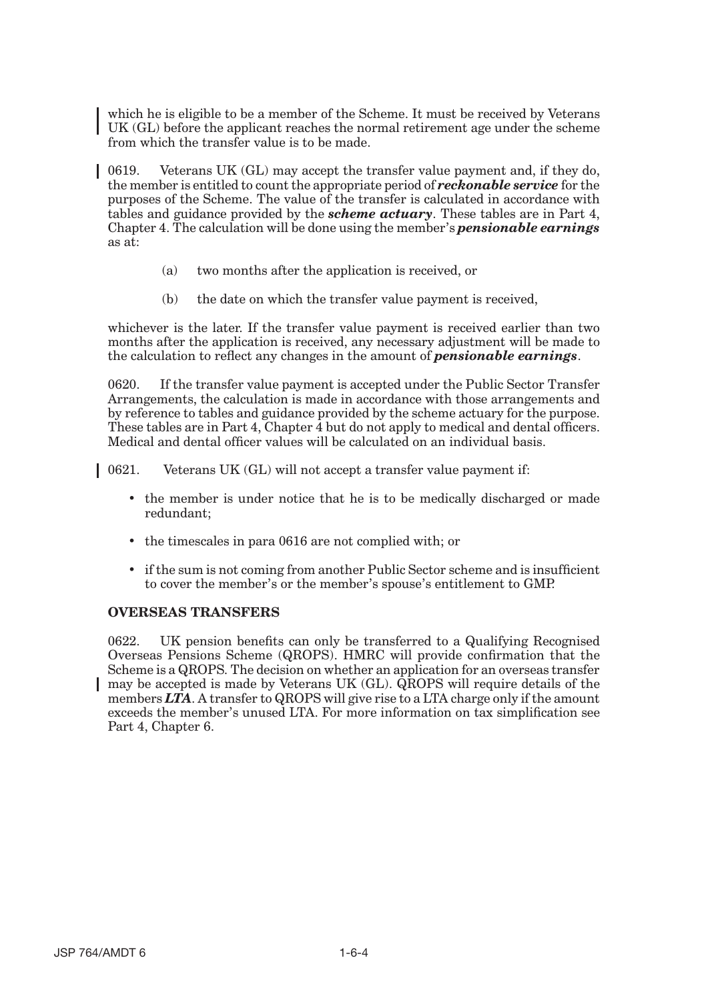which he is eligible to be a member of the Scheme. It must be received by Veterans UK (GL) before the applicant reaches the normal retirement age under the scheme from which the transfer value is to be made.

- 0619. Veterans UK (GL) may accept the transfer value payment and, if they do, the member is entitled to count the appropriate period of *reckonable service* for the purposes of the Scheme. The value of the transfer is calculated in accordance with tables and guidance provided by the *scheme actuary*. These tables are in Part 4, Chapter 4. The calculation will be done using the member's *pensionable earnings*  as at:
	- (a) two months after the application is received, or
	- (b) the date on which the transfer value payment is received,

whichever is the later. If the transfer value payment is received earlier than two months after the application is received, any necessary adjustment will be made to the calculation to reflect any changes in the amount of *pensionable earnings*.

0620. If the transfer value payment is accepted under the Public Sector Transfer Arrangements, the calculation is made in accordance with those arrangements and by reference to tables and guidance provided by the scheme actuary for the purpose. These tables are in Part 4, Chapter 4 but do not apply to medical and dental officers. Medical and dental officer values will be calculated on an individual basis.

0621. Veterans UK (GL) will not accept a transfer value payment if:

- the member is under notice that he is to be medically discharged or made redundant;
- the timescales in para 0616 are not complied with; or
- if the sum is not coming from another Public Sector scheme and is insufficient to cover the member's or the member's spouse's entitlement to GMP.

## **OVERSEAS TRANSFERS**

0622. UK pension benefits can only be transferred to a Qualifying Recognised Overseas Pensions Scheme (QROPS). HMRC will provide confirmation that the Scheme is a QROPS. The decision on whether an application for an overseas transfer may be accepted is made by Veterans UK (GL). QROPS will require details of the members *LTA*. A transfer to QROPS will give rise to a LTA charge only if the amount exceeds the member's unused LTA. For more information on tax simplification see Part 4, Chapter 6.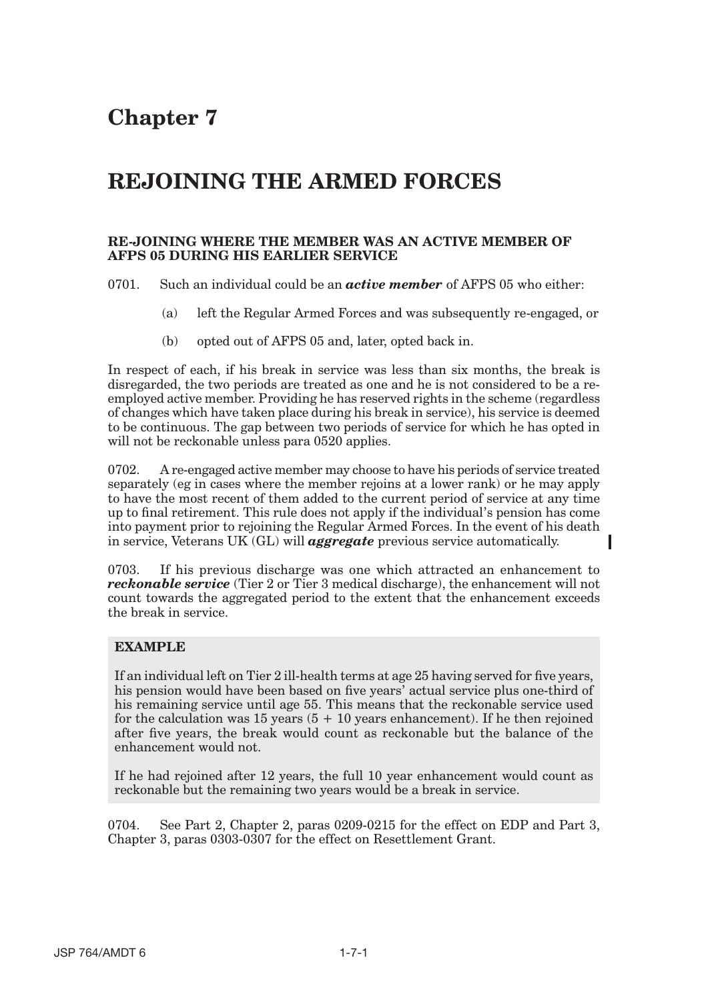# **Chapter 7**

# **REJOINING THE ARMED FORCES**

#### **RE-JOINING WHERE THE MEMBER WAS AN ACTIVE MEMBER OF AFPS 05 DURING HIS EARLIER SERVICE**

0701. Such an individual could be an *active member* of AFPS 05 who either:

- (a) left the Regular Armed Forces and was subsequently re-engaged, or
- (b) opted out of AFPS 05 and, later, opted back in.

In respect of each, if his break in service was less than six months, the break is disregarded, the two periods are treated as one and he is not considered to be a reemployed active member. Providing he has reserved rights in the scheme (regardless of changes which have taken place during his break in service), his service is deemed to be continuous. The gap between two periods of service for which he has opted in will not be reckonable unless para 0520 applies.

0702. A re-engaged active member may choose to have his periods of service treated separately (eg in cases where the member rejoins at a lower rank) or he may apply to have the most recent of them added to the current period of service at any time up to final retirement. This rule does not apply if the individual's pension has come into payment prior to rejoining the Regular Armed Forces. In the event of his death in service, Veterans UK (GL) will *aggregate* previous service automatically.

0703. If his previous discharge was one which attracted an enhancement to *reckonable service* (Tier 2 or Tier 3 medical discharge), the enhancement will not count towards the aggregated period to the extent that the enhancement exceeds the break in service.

## **EXAMPLE**

If an individual left on Tier 2 ill-health terms at age 25 having served for five years, his pension would have been based on five years' actual service plus one-third of his remaining service until age 55. This means that the reckonable service used for the calculation was 15 years  $(5 + 10)$  years enhancement). If he then rejoined after five years, the break would count as reckonable but the balance of the enhancement would not.

If he had rejoined after 12 years, the full 10 year enhancement would count as reckonable but the remaining two years would be a break in service.

0704. See Part 2, Chapter 2, paras 0209-0215 for the effect on EDP and Part 3, Chapter 3, paras 0303-0307 for the effect on Resettlement Grant.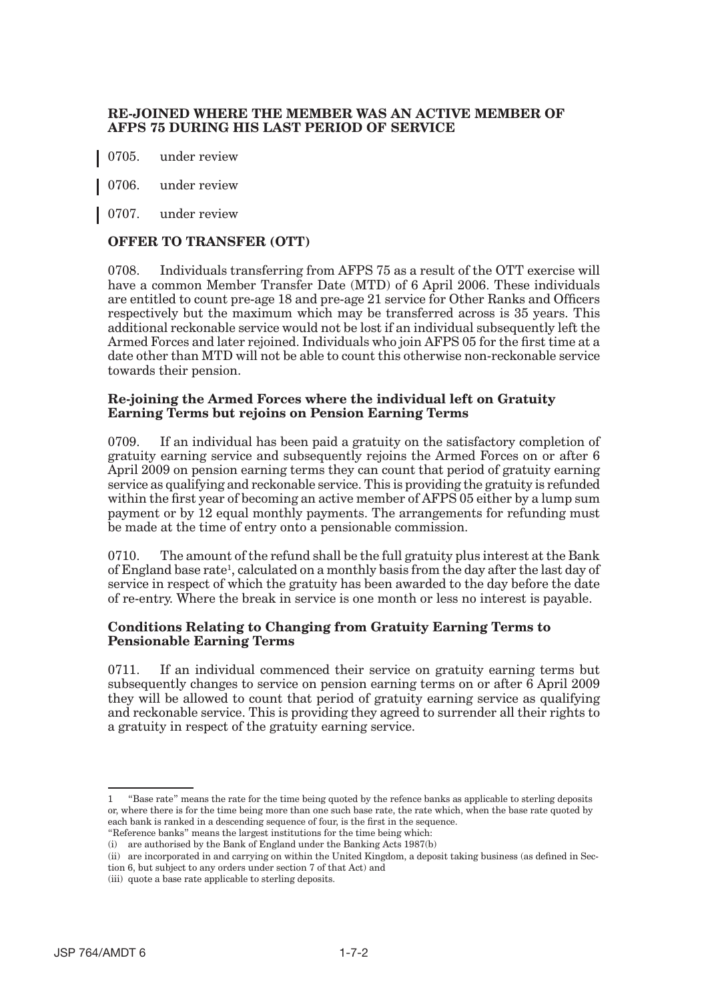#### **RE-JOINED WHERE THE MEMBER WAS AN ACTIVE MEMBER OF AFPS 75 DURING HIS LAST PERIOD OF SERVICE**

0705. under review

0706. under review

0707. under review

#### **OFFER TO TRANSFER (OTT)**

0708. Individuals transferring from AFPS 75 as a result of the OTT exercise will have a common Member Transfer Date (MTD) of 6 April 2006. These individuals are entitled to count pre-age 18 and pre-age 21 service for Other Ranks and Officers respectively but the maximum which may be transferred across is 35 years. This additional reckonable service would not be lost if an individual subsequently left the Armed Forces and later rejoined. Individuals who join AFPS 05 for the first time at a date other than MTD will not be able to count this otherwise non-reckonable service towards their pension.

#### **Re-joining the Armed Forces where the individual left on Gratuity Earning Terms but rejoins on Pension Earning Terms**

0709. If an individual has been paid a gratuity on the satisfactory completion of gratuity earning service and subsequently rejoins the Armed Forces on or after 6 April 2009 on pension earning terms they can count that period of gratuity earning service as qualifying and reckonable service. This is providing the gratuity is refunded within the first year of becoming an active member of AFPS 05 either by a lump sum payment or by 12 equal monthly payments. The arrangements for refunding must be made at the time of entry onto a pensionable commission.

0710. The amount of the refund shall be the full gratuity plus interest at the Bank of England base rate<sup>1</sup>, calculated on a monthly basis from the day after the last day of service in respect of which the gratuity has been awarded to the day before the date of re-entry. Where the break in service is one month or less no interest is payable.

#### **Conditions Relating to Changing from Gratuity Earning Terms to Pensionable Earning Terms**

0711. If an individual commenced their service on gratuity earning terms but subsequently changes to service on pension earning terms on or after 6 April 2009 they will be allowed to count that period of gratuity earning service as qualifying and reckonable service. This is providing they agreed to surrender all their rights to a gratuity in respect of the gratuity earning service.

"Reference banks" means the largest institutions for the time being which: (i) are authorised by the Bank of England under the Banking Acts 1987(b)

<sup>&</sup>quot;Base rate" means the rate for the time being quoted by the refence banks as applicable to sterling deposits or, where there is for the time being more than one such base rate, the rate which, when the base rate quoted by each bank is ranked in a descending sequence of four, is the first in the sequence. 1

<sup>(</sup>ii) are incorporated in and carrying on within the United Kingdom, a deposit taking business (as defined in Sec-

tion 6, but subject to any orders under section 7 of that Act) and

<sup>(</sup>iii) quote a base rate applicable to sterling deposits.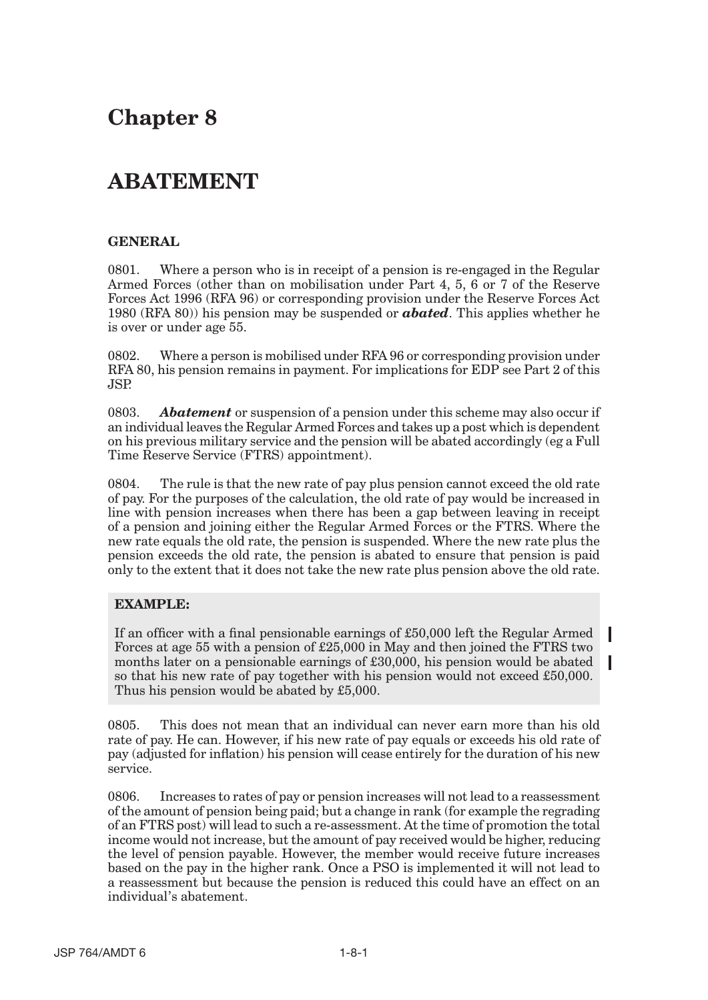# **Chapter 8**

## **ABATEMENT**

## **GENERAL**

0801. Where a person who is in receipt of a pension is re-engaged in the Regular Armed Forces (other than on mobilisation under Part 4, 5, 6 or 7 of the Reserve Forces Act 1996 (RFA 96) or corresponding provision under the Reserve Forces Act 1980 (RFA 80)) his pension may be suspended or *abated*. This applies whether he is over or under age 55.

0802. Where a person is mobilised under RFA 96 or corresponding provision under RFA 80, his pension remains in payment. For implications for EDP see Part 2 of this JSP.

0803. *Abatement* or suspension of a pension under this scheme may also occur if an individual leaves the Regular Armed Forces and takes up a post which is dependent on his previous military service and the pension will be abated accordingly (eg a Full Time Reserve Service (FTRS) appointment).

0804. The rule is that the new rate of pay plus pension cannot exceed the old rate of pay. For the purposes of the calculation, the old rate of pay would be increased in line with pension increases when there has been a gap between leaving in receipt of a pension and joining either the Regular Armed Forces or the FTRS. Where the new rate equals the old rate, the pension is suspended. Where the new rate plus the pension exceeds the old rate, the pension is abated to ensure that pension is paid only to the extent that it does not take the new rate plus pension above the old rate.

## **EXAMPLE:**

If an officer with a final pensionable earnings of £50,000 left the Regular Armed Forces at age 55 with a pension of £25,000 in May and then joined the FTRS two months later on a pensionable earnings of £30,000, his pension would be abated so that his new rate of pay together with his pension would not exceed £50,000. Thus his pension would be abated by £5,000.

0805. This does not mean that an individual can never earn more than his old rate of pay. He can. However, if his new rate of pay equals or exceeds his old rate of pay (adjusted for inflation) his pension will cease entirely for the duration of his new service.

0806. Increases to rates of pay or pension increases will not lead to a reassessment of the amount of pension being paid; but a change in rank (for example the regrading of an FTRS post) will lead to such a re-assessment. At the time of promotion the total income would not increase, but the amount of pay received would be higher, reducing the level of pension payable. However, the member would receive future increases based on the pay in the higher rank. Once a PSO is implemented it will not lead to a reassessment but because the pension is reduced this could have an effect on an individual's abatement.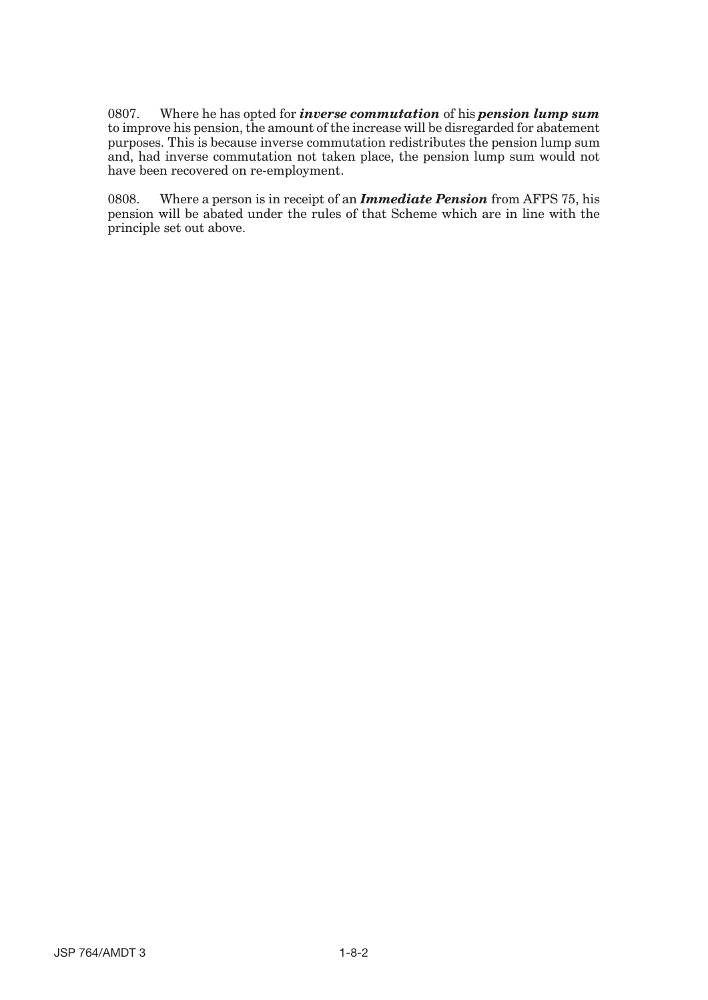0807. Where he has opted for *inverse commutation* of his *pension lump sum*  to improve his pension, the amount of the increase will be disregarded for abatement purposes. This is because inverse commutation redistributes the pension lump sum and, had inverse commutation not taken place, the pension lump sum would not have been recovered on re-employment.

0808. Where a person is in receipt of an *Immediate Pension* from AFPS 75, his pension will be abated under the rules of that Scheme which are in line with the principle set out above.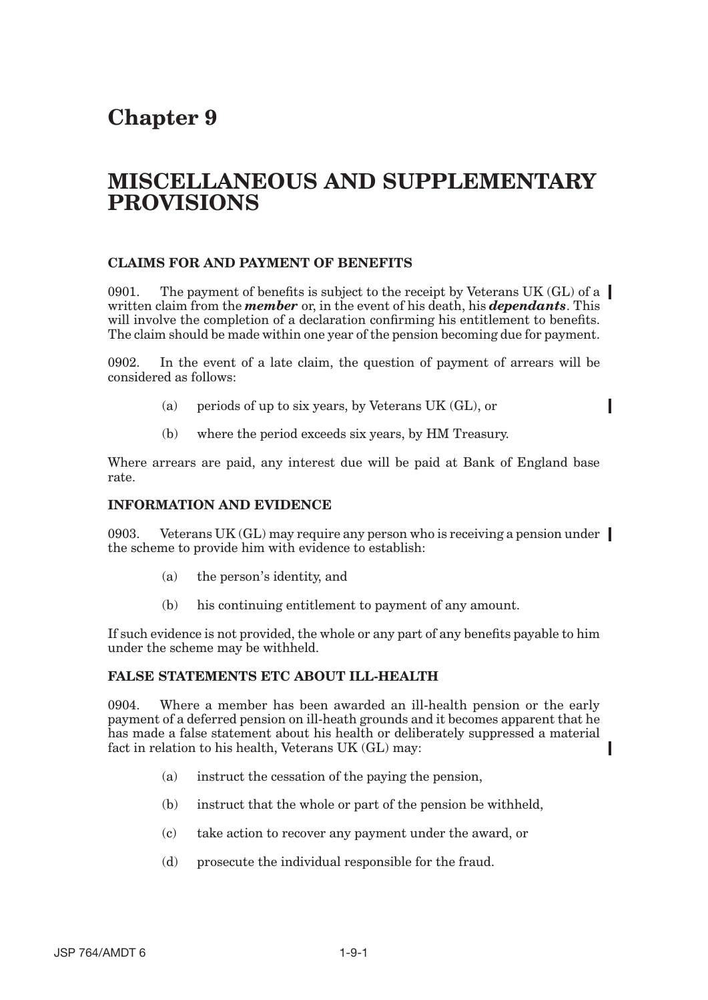## **Chapter 9**

## **MISCELLANEOUS AND SUPPLEMENTARY PROVISIONS**

#### **CLAIMS FOR AND PAYMENT OF BENEFITS**

0901. The payment of benefits is subject to the receipt by Veterans UK (GL) of a written claim from the *member* or, in the event of his death, his *dependants*. This will involve the completion of a declaration confirming his entitlement to benefits. The claim should be made within one year of the pension becoming due for payment.

0902. In the event of a late claim, the question of payment of arrears will be considered as follows:

(a) periods of up to six years, by Veterans UK (GL), or

I

(b) where the period exceeds six years, by HM Treasury.

Where arrears are paid, any interest due will be paid at Bank of England base rate.

#### **INFORMATION AND EVIDENCE**

0903. Veterans UK (GL) may require any person who is receiving a pension under the scheme to provide him with evidence to establish:

- (a) the person's identity, and
- (b) his continuing entitlement to payment of any amount.

If such evidence is not provided, the whole or any part of any benefits payable to him under the scheme may be withheld.

#### **FALSE STATEMENTS ETC ABOUT ILL-HEALTH**

0904. Where a member has been awarded an ill-health pension or the early payment of a deferred pension on ill-heath grounds and it becomes apparent that he has made a false statement about his health or deliberately suppressed a material fact in relation to his health, Veterans UK (GL) may: ı

- (a) instruct the cessation of the paying the pension,
- (b) instruct that the whole or part of the pension be withheld,
- (c) take action to recover any payment under the award, or
- (d) prosecute the individual responsible for the fraud.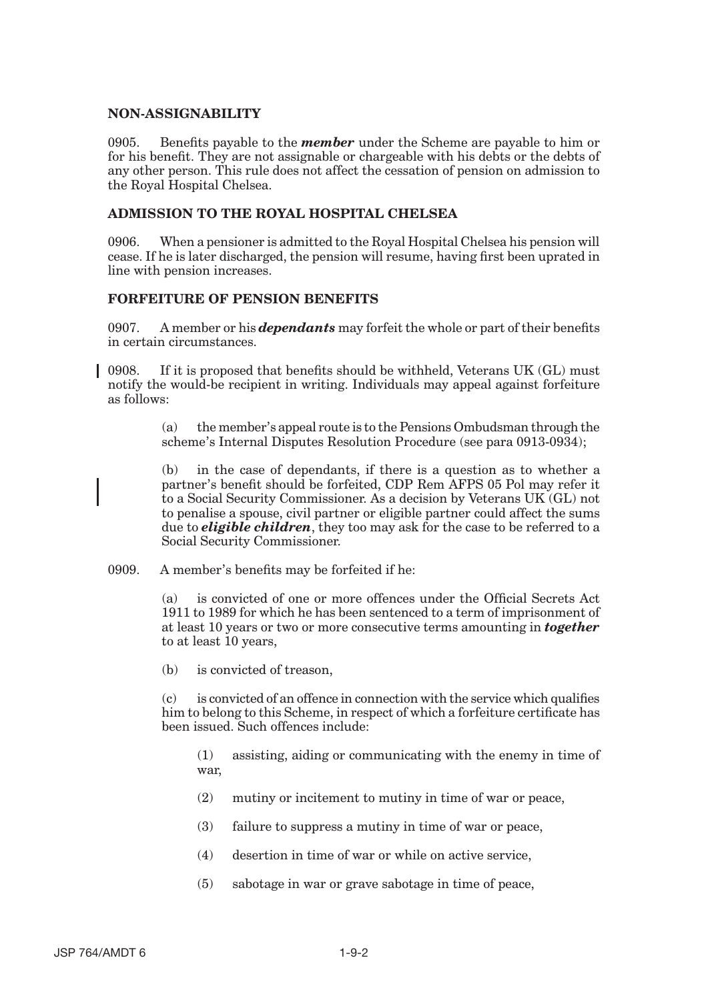#### **NON-ASSIGNABILITY**

0905. Benefits payable to the *member* under the Scheme are payable to him or for his benefit. They are not assignable or chargeable with his debts or the debts of any other person. This rule does not affect the cessation of pension on admission to the Royal Hospital Chelsea.

#### **ADMISSION TO THE ROYAL HOSPITAL CHELSEA**

0906. When a pensioner is admitted to the Royal Hospital Chelsea his pension will cease. If he is later discharged, the pension will resume, having first been uprated in line with pension increases.

#### **FORFEITURE OF PENSION BENEFITS**

0907. A member or his *dependants* may forfeit the whole or part of their benefits in certain circumstances.

0908. If it is proposed that benefits should be withheld, Veterans UK (GL) must notify the would-be recipient in writing. Individuals may appeal against forfeiture as follows:

> (a) the member's appeal route is to the Pensions Ombudsman through the scheme's Internal Disputes Resolution Procedure (see para 0913-0934);

> (b) in the case of dependants, if there is a question as to whether a partner's benefit should be forfeited, CDP Rem AFPS 05 Pol may refer it to a Social Security Commissioner. As a decision by Veterans UK (GL) not to penalise a spouse, civil partner or eligible partner could affect the sums due to *eligible children*, they too may ask for the case to be referred to a Social Security Commissioner.

0909. A member's benefits may be forfeited if he:

(a) is convicted of one or more offences under the Official Secrets Act 1911 to 1989 for which he has been sentenced to a term of imprisonment of at least 10 years or two or more consecutive terms amounting in *together*  to at least 10 years,

(b) is convicted of treason,

(c) is convicted of an offence in connection with the service which qualifies him to belong to this Scheme, in respect of which a forfeiture certificate has been issued. Such offences include:

(1) assisting, aiding or communicating with the enemy in time of war,

- (2) mutiny or incitement to mutiny in time of war or peace,
- (3) failure to suppress a mutiny in time of war or peace,
- (4) desertion in time of war or while on active service,
- (5) sabotage in war or grave sabotage in time of peace,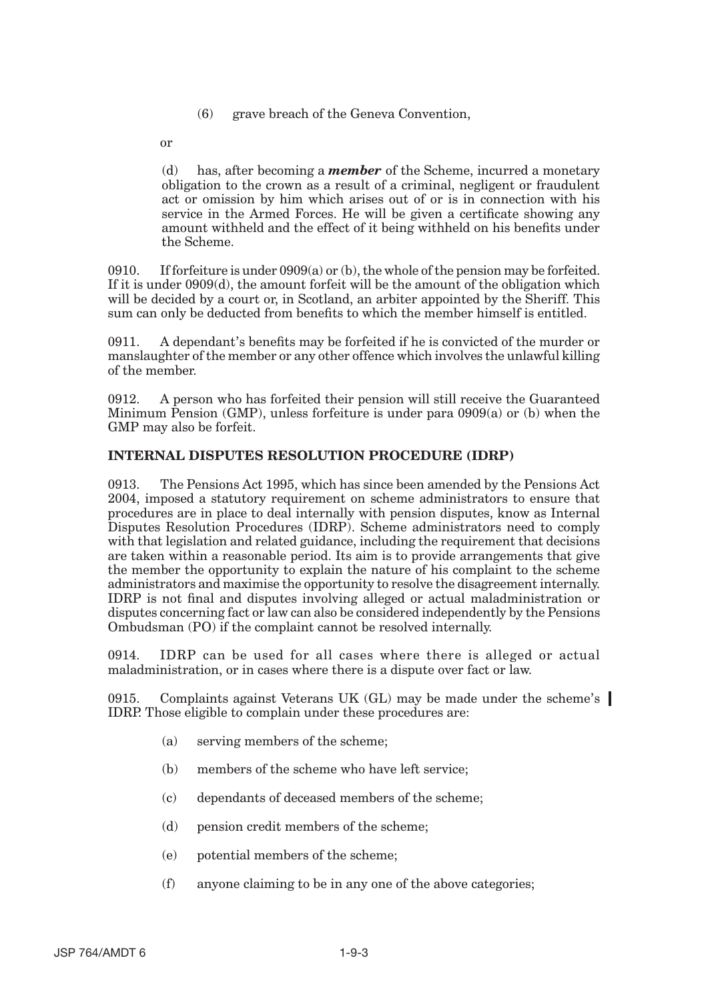(6) grave breach of the Geneva Convention,

or

(d) has, after becoming a *member* of the Scheme, incurred a monetary obligation to the crown as a result of a criminal, negligent or fraudulent act or omission by him which arises out of or is in connection with his service in the Armed Forces. He will be given a certificate showing any amount withheld and the effect of it being withheld on his benefits under the Scheme.

0910. If forfeiture is under 0909(a) or (b), the whole of the pension may be forfeited. If it is under 0909(d), the amount forfeit will be the amount of the obligation which will be decided by a court or, in Scotland, an arbiter appointed by the Sheriff. This sum can only be deducted from benefits to which the member himself is entitled.

0911. A dependant's benefits may be forfeited if he is convicted of the murder or manslaughter of the member or any other offence which involves the unlawful killing of the member.

0912. A person who has forfeited their pension will still receive the Guaranteed Minimum Pension (GMP), unless forfeiture is under para 0909(a) or (b) when the GMP may also be forfeit.

## **INTERNAL DISPUTES RESOLUTION PROCEDURE (IDRP)**

0913. The Pensions Act 1995, which has since been amended by the Pensions Act 2004, imposed a statutory requirement on scheme administrators to ensure that procedures are in place to deal internally with pension disputes, know as Internal Disputes Resolution Procedures (IDRP). Scheme administrators need to comply with that legislation and related guidance, including the requirement that decisions are taken within a reasonable period. Its aim is to provide arrangements that give the member the opportunity to explain the nature of his complaint to the scheme administrators and maximise the opportunity to resolve the disagreement internally. IDRP is not final and disputes involving alleged or actual maladministration or disputes concerning fact or law can also be considered independently by the Pensions Ombudsman (PO) if the complaint cannot be resolved internally.

0914. IDRP can be used for all cases where there is alleged or actual maladministration, or in cases where there is a dispute over fact or law.

0915. Complaints against Veterans UK (GL) may be made under the scheme's  $\parallel$ IDRP. Those eligible to complain under these procedures are:

- (a) serving members of the scheme;
- (b) members of the scheme who have left service;
- (c) dependants of deceased members of the scheme;
- (d) pension credit members of the scheme;
- (e) potential members of the scheme;
- (f) anyone claiming to be in any one of the above categories;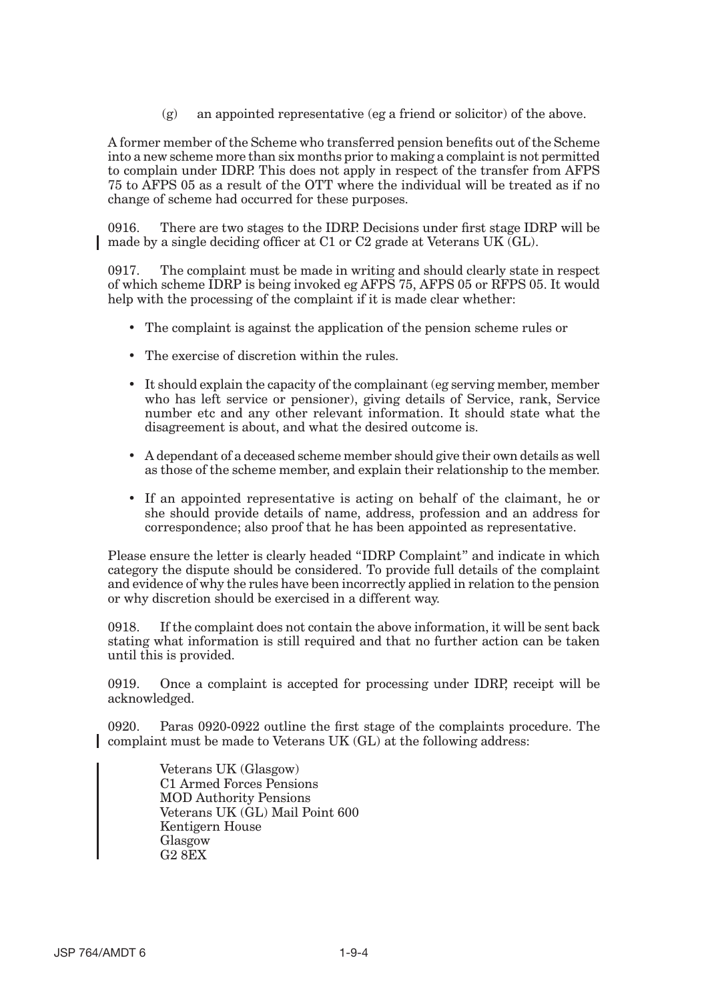(g) an appointed representative (eg a friend or solicitor) of the above.

A former member of the Scheme who transferred pension benefits out of the Scheme into a new scheme more than six months prior to making a complaint is not permitted to complain under IDRP. This does not apply in respect of the transfer from AFPS 75 to AFPS 05 as a result of the OTT where the individual will be treated as if no change of scheme had occurred for these purposes.

0916. There are two stages to the IDRP. Decisions under first stage IDRP will be made by a single deciding officer at C1 or C2 grade at Veterans UK (GL).

0917. The complaint must be made in writing and should clearly state in respect of which scheme IDRP is being invoked eg AFPS 75, AFPS 05 or RFPS 05. It would help with the processing of the complaint if it is made clear whether:

- The complaint is against the application of the pension scheme rules or
- The exercise of discretion within the rules.
- • It should explain the capacity of the complainant (eg serving member, member who has left service or pensioner), giving details of Service, rank, Service number etc and any other relevant information. It should state what the disagreement is about, and what the desired outcome is.
- • A dependant of a deceased scheme member should give their own details as well as those of the scheme member, and explain their relationship to the member.
- If an appointed representative is acting on behalf of the claimant, he or she should provide details of name, address, profession and an address for correspondence; also proof that he has been appointed as representative.

Please ensure the letter is clearly headed "IDRP Complaint" and indicate in which category the dispute should be considered. To provide full details of the complaint and evidence of why the rules have been incorrectly applied in relation to the pension or why discretion should be exercised in a different way.

0918. If the complaint does not contain the above information, it will be sent back stating what information is still required and that no further action can be taken until this is provided.

0919. Once a complaint is accepted for processing under IDRP, receipt will be acknowledged.

0920. Paras 0920-0922 outline the first stage of the complaints procedure. The complaint must be made to Veterans UK (GL) at the following address:

> Veterans UK (Glasgow) C1 Armed Forces Pensions MOD Authority Pensions Veterans UK (GL) Mail Point 600 Kentigern House Glasgow G2 8EX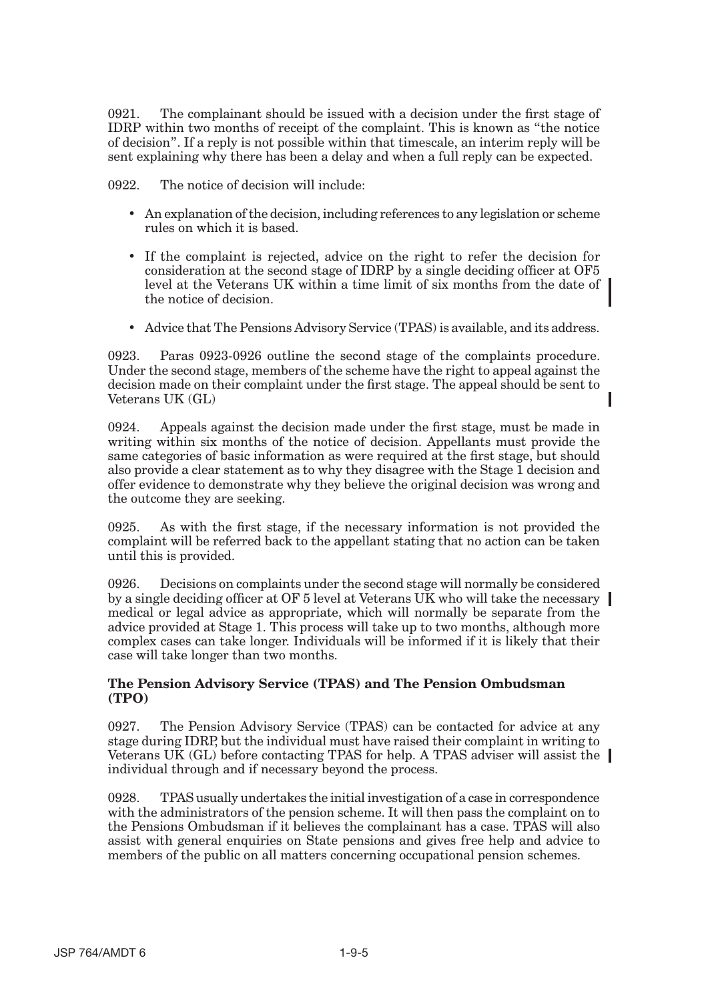0921. The complainant should be issued with a decision under the first stage of IDRP within two months of receipt of the complaint. This is known as "the notice of decision". If a reply is not possible within that timescale, an interim reply will be sent explaining why there has been a delay and when a full reply can be expected.

0922. The notice of decision will include:

- An explanation of the decision, including references to any legislation or scheme rules on which it is based.
- • If the complaint is rejected, advice on the right to refer the decision for consideration at the second stage of IDRP by a single deciding officer at OF5 level at the Veterans UK within a time limit of six months from the date of the notice of decision.
- • Advice that The Pensions Advisory Service (TPAS) is available, and its address.

0923. Paras 0923-0926 outline the second stage of the complaints procedure. Under the second stage, members of the scheme have the right to appeal against the decision made on their complaint under the first stage. The appeal should be sent to Veterans UK (GL)

0924. Appeals against the decision made under the first stage, must be made in writing within six months of the notice of decision. Appellants must provide the same categories of basic information as were required at the first stage, but should also provide a clear statement as to why they disagree with the Stage 1 decision and offer evidence to demonstrate why they believe the original decision was wrong and the outcome they are seeking.

0925. As with the first stage, if the necessary information is not provided the complaint will be referred back to the appellant stating that no action can be taken until this is provided.

0926. Decisions on complaints under the second stage will normally be considered by a single deciding officer at OF 5 level at Veterans UK who will take the necessary | medical or legal advice as appropriate, which will normally be separate from the advice provided at Stage 1. This process will take up to two months, although more complex cases can take longer. Individuals will be informed if it is likely that their case will take longer than two months.

#### **The Pension Advisory Service (TPAS) and The Pension Ombudsman (TPO)**

0927. The Pension Advisory Service (TPAS) can be contacted for advice at any stage during IDRP, but the individual must have raised their complaint in writing to Veterans UK (GL) before contacting TPAS for help. A TPAS adviser will assist the individual through and if necessary beyond the process.

0928. TPAS usually undertakes the initial investigation of a case in correspondence with the administrators of the pension scheme. It will then pass the complaint on to the Pensions Ombudsman if it believes the complainant has a case. TPAS will also assist with general enquiries on State pensions and gives free help and advice to members of the public on all matters concerning occupational pension schemes.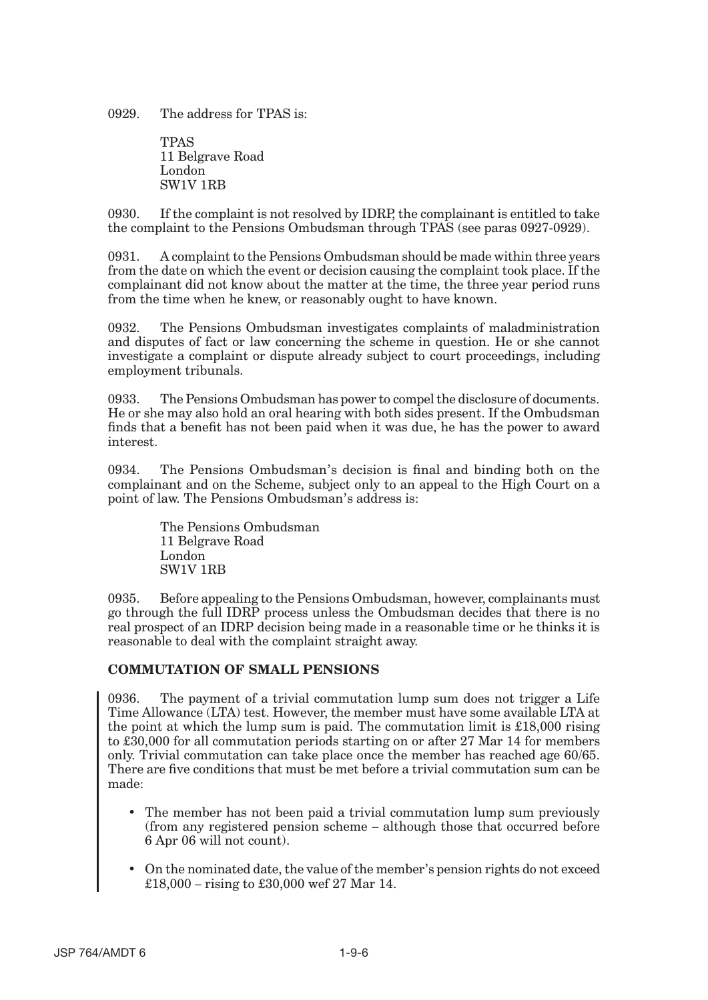0929. The address for TPAS is:

TPAS 11 Belgrave Road London SW1V 1RB

0930. If the complaint is not resolved by IDRP, the complainant is entitled to take the complaint to the Pensions Ombudsman through TPAS (see paras 0927-0929).

0931. A complaint to the Pensions Ombudsman should be made within three years from the date on which the event or decision causing the complaint took place. If the complainant did not know about the matter at the time, the three year period runs from the time when he knew, or reasonably ought to have known.

0932. The Pensions Ombudsman investigates complaints of maladministration and disputes of fact or law concerning the scheme in question. He or she cannot investigate a complaint or dispute already subject to court proceedings, including employment tribunals.

0933. The Pensions Ombudsman has power to compel the disclosure of documents. He or she may also hold an oral hearing with both sides present. If the Ombudsman finds that a benefit has not been paid when it was due, he has the power to award interest.

0934. The Pensions Ombudsman's decision is final and binding both on the complainant and on the Scheme, subject only to an appeal to the High Court on a point of law. The Pensions Ombudsman's address is:

> The Pensions Ombudsman 11 Belgrave Road London SW1V 1RB

0935. Before appealing to the Pensions Ombudsman, however, complainants must go through the full IDRP process unless the Ombudsman decides that there is no real prospect of an IDRP decision being made in a reasonable time or he thinks it is reasonable to deal with the complaint straight away.

#### **COMMUTATION OF SMALL PENSIONS**

0936. The payment of a trivial commutation lump sum does not trigger a Life Time Allowance (LTA) test. However, the member must have some available LTA at the point at which the lump sum is paid. The commutation limit is  $\pounds18,000$  rising to £30,000 for all commutation periods starting on or after 27 Mar 14 for members only. Trivial commutation can take place once the member has reached age 60/65. There are five conditions that must be met before a trivial commutation sum can be made:

- The member has not been paid a trivial commutation lump sum previously (from any registered pension scheme – although those that occurred before 6 Apr 06 will not count).
- • On the nominated date, the value of the member's pension rights do not exceed £18,000 – rising to £30,000 wef 27 Mar 14.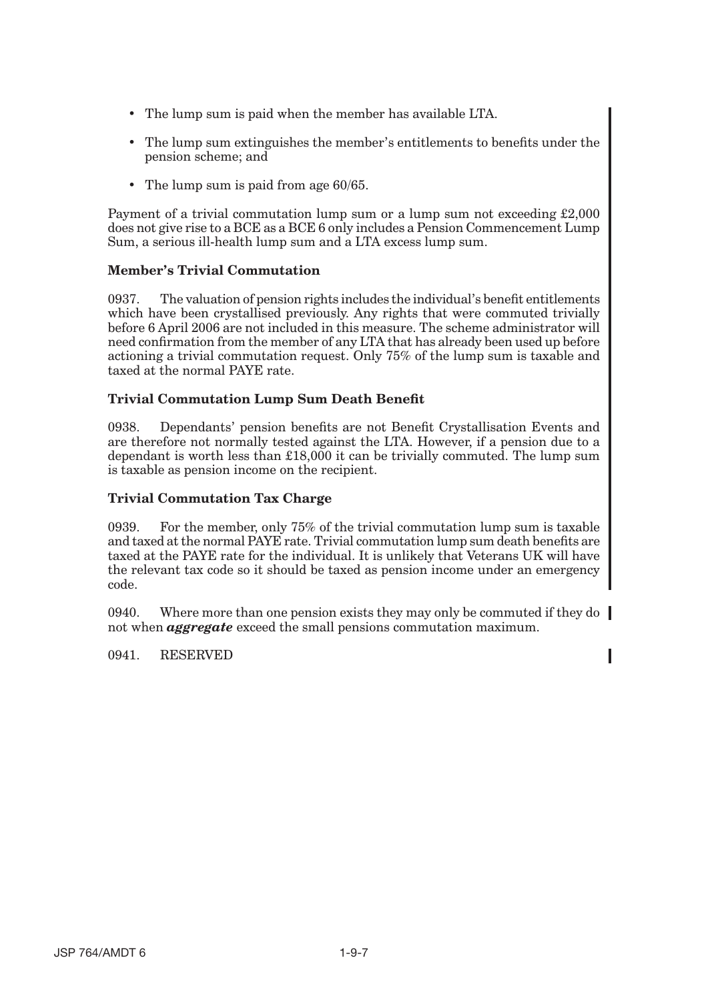- The lump sum is paid when the member has available LTA.
- The lump sum extinguishes the member's entitlements to benefits under the pension scheme; and
- The lump sum is paid from age 60/65.

Payment of a trivial commutation lump sum or a lump sum not exceeding £2,000 does not give rise to a BCE as a BCE 6 only includes a Pension Commencement Lump Sum, a serious ill-health lump sum and a LTA excess lump sum.

## **Member's Trivial Commutation**

0937. The valuation of pension rights includes the individual's benefit entitlements which have been crystallised previously. Any rights that were commuted trivially before 6 April 2006 are not included in this measure. The scheme administrator will need confirmation from the member of any LTA that has already been used up before actioning a trivial commutation request. Only 75% of the lump sum is taxable and taxed at the normal PAYE rate.

## **Trivial Commutation Lump Sum Death Benefit**

0938. Dependants' pension benefits are not Benefit Crystallisation Events and are therefore not normally tested against the LTA. However, if a pension due to a dependant is worth less than £18,000 it can be trivially commuted. The lump sum is taxable as pension income on the recipient.

## **Trivial Commutation Tax Charge**

0939. For the member, only 75% of the trivial commutation lump sum is taxable and taxed at the normal PAYE rate. Trivial commutation lump sum death benefits are taxed at the PAYE rate for the individual. It is unlikely that Veterans UK will have the relevant tax code so it should be taxed as pension income under an emergency code.

0940. Where more than one pension exists they may only be commuted if they do  $\blacksquare$ not when *aggregate* exceed the small pensions commutation maximum.

0941. RESERVED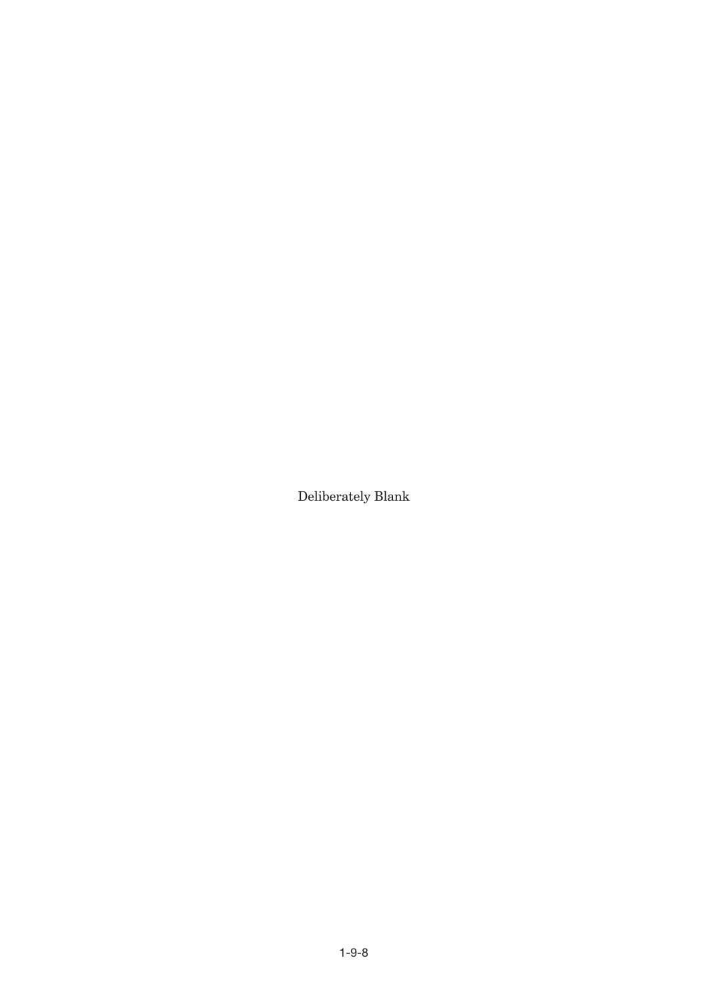Deliberately Blank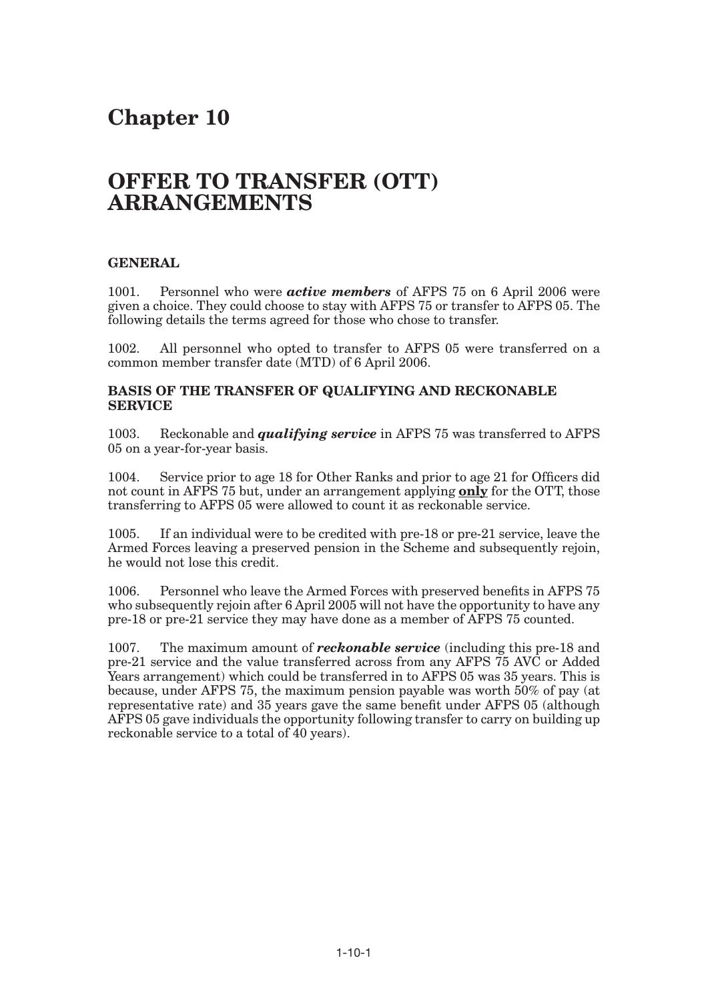## **Chapter 10**

## **OFFER TO TRANSFER (OTT) ARRANGEMENTS**

#### **GENERAL**

1001. Personnel who were *active members* of AFPS 75 on 6 April 2006 were given a choice. They could choose to stay with AFPS 75 or transfer to AFPS 05. The following details the terms agreed for those who chose to transfer.

1002. All personnel who opted to transfer to AFPS 05 were transferred on a common member transfer date (MTD) of 6 April 2006.

#### **BASIS OF THE TRANSFER OF QUALIFYING AND RECKONABLE SERVICE**

1003. Reckonable and *qualifying service* in AFPS 75 was transferred to AFPS 05 on a year-for-year basis.

1004. Service prior to age 18 for Other Ranks and prior to age 21 for Officers did not count in AFPS 75 but, under an arrangement applying **only** for the OTT, those transferring to AFPS 05 were allowed to count it as reckonable service.

1005. If an individual were to be credited with pre-18 or pre-21 service, leave the Armed Forces leaving a preserved pension in the Scheme and subsequently rejoin, he would not lose this credit.

1006. Personnel who leave the Armed Forces with preserved benefits in AFPS 75 who subsequently rejoin after 6 April 2005 will not have the opportunity to have any pre-18 or pre-21 service they may have done as a member of AFPS 75 counted.

1007. The maximum amount of *reckonable service* (including this pre-18 and pre-21 service and the value transferred across from any AFPS 75 AVC or Added Years arrangement) which could be transferred in to AFPS 05 was 35 years. This is because, under AFPS 75, the maximum pension payable was worth 50% of pay (at representative rate) and 35 years gave the same benefit under AFPS 05 (although AFPS 05 gave individuals the opportunity following transfer to carry on building up reckonable service to a total of 40 years).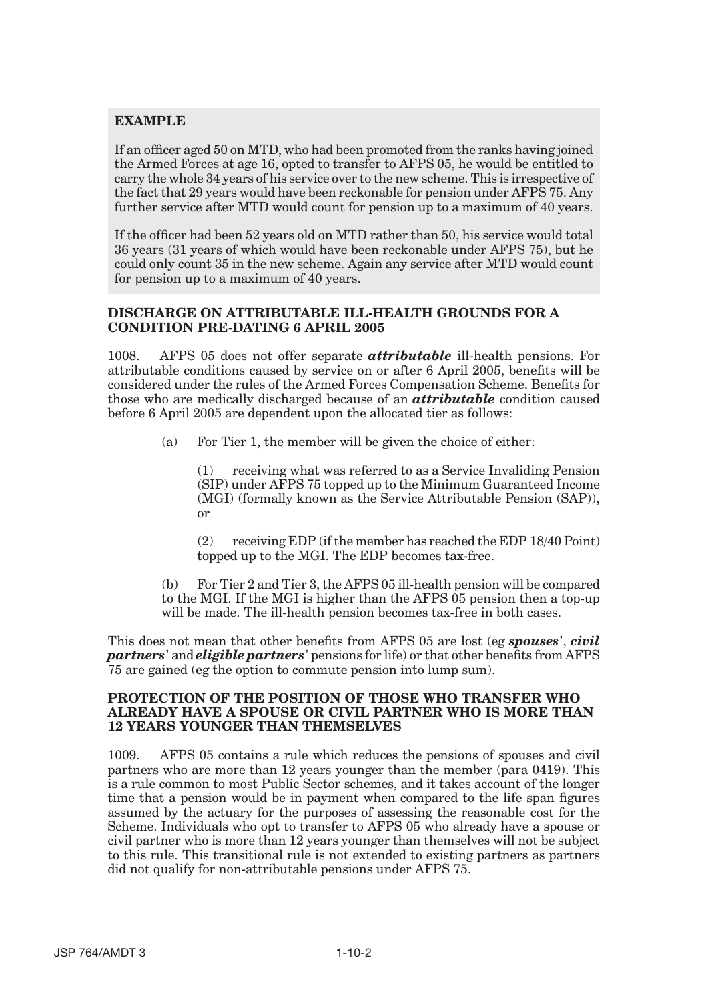#### **EXAMPLE**

If an officer aged 50 on MTD, who had been promoted from the ranks having joined the Armed Forces at age 16, opted to transfer to AFPS 05, he would be entitled to carry the whole 34 years of his service over to the new scheme. This is irrespective of the fact that 29 years would have been reckonable for pension under AFPS 75. Any further service after MTD would count for pension up to a maximum of 40 years.

If the officer had been 52 years old on MTD rather than 50, his service would total 36 years (31 years of which would have been reckonable under AFPS 75), but he could only count 35 in the new scheme. Again any service after MTD would count for pension up to a maximum of 40 years.

#### **DISCHARGE ON ATTRIBUTABLE ILL-HEALTH GROUNDS FOR A CONDITION PRE-DATING 6 APRIL 2005**

1008. AFPS 05 does not offer separate *attributable* ill-health pensions. For attributable conditions caused by service on or after 6 April 2005, benefits will be considered under the rules of the Armed Forces Compensation Scheme. Benefits for those who are medically discharged because of an *attributable* condition caused before 6 April 2005 are dependent upon the allocated tier as follows:

(a) For Tier 1, the member will be given the choice of either:

(1) receiving what was referred to as a Service Invaliding Pension (SIP) under AFPS 75 topped up to the Minimum Guaranteed Income (MGI) (formally known as the Service Attributable Pension (SAP)), or

(2) receiving EDP (if the member has reached the EDP 18/40 Point) topped up to the MGI. The EDP becomes tax-free.

(b) For Tier 2 and Tier 3, the AFPS 05 ill-health pension will be compared to the MGI. If the MGI is higher than the AFPS 05 pension then a top-up will be made. The ill-health pension becomes tax-free in both cases.

This does not mean that other benefits from AFPS 05 are lost (eg *spouses*', *civil partners*' and *eligible partners*' pensions for life) or that other benefits from AFPS 75 are gained (eg the option to commute pension into lump sum).

#### **PROTECTION OF THE POSITION OF THOSE WHO TRANSFER WHO ALREADY HAVE A SPOUSE OR CIVIL PARTNER WHO IS MORE THAN 12 YEARS YOUNGER THAN THEMSELVES**

1009. AFPS 05 contains a rule which reduces the pensions of spouses and civil partners who are more than 12 years younger than the member (para 0419). This is a rule common to most Public Sector schemes, and it takes account of the longer time that a pension would be in payment when compared to the life span figures assumed by the actuary for the purposes of assessing the reasonable cost for the Scheme. Individuals who opt to transfer to AFPS 05 who already have a spouse or civil partner who is more than 12 years younger than themselves will not be subject to this rule. This transitional rule is not extended to existing partners as partners did not qualify for non-attributable pensions under AFPS 75.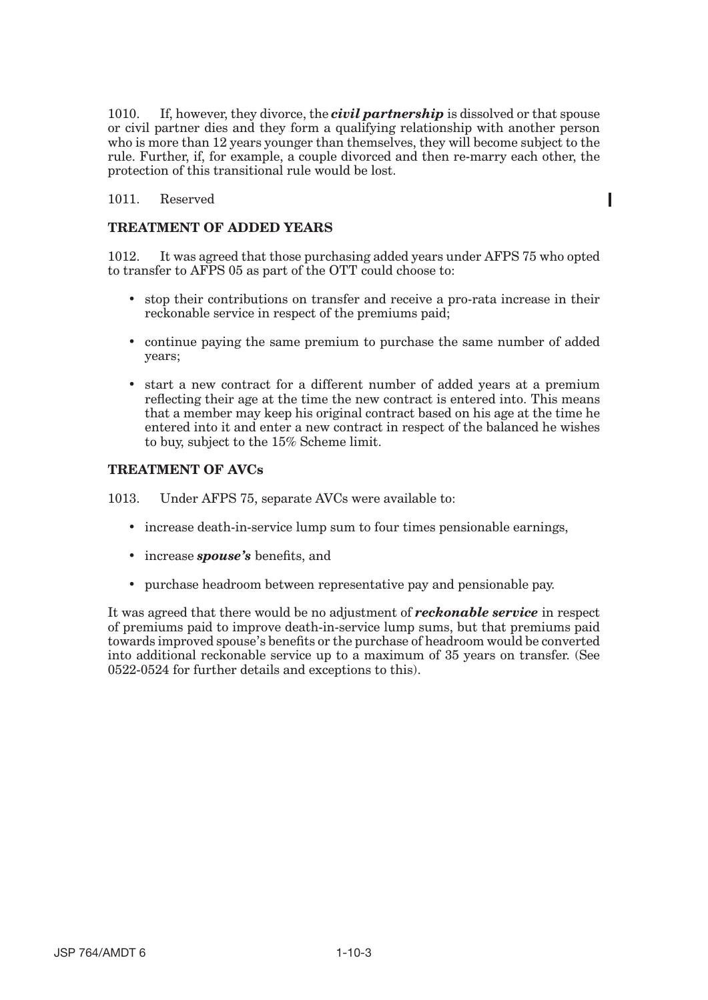1010. If, however, they divorce, the *civil partnership* is dissolved or that spouse or civil partner dies and they form a qualifying relationship with another person who is more than 12 years younger than themselves, they will become subject to the rule. Further, if, for example, a couple divorced and then re-marry each other, the protection of this transitional rule would be lost.

#### 1011. Reserved

## **TREATMENT OF ADDED YEARS**

1012. It was agreed that those purchasing added years under AFPS 75 who opted to transfer to AFPS 05 as part of the OTT could choose to:

• stop their contributions on transfer and receive a pro-rata increase in their reckonable service in respect of the premiums paid;

I

- • continue paying the same premium to purchase the same number of added years;
- start a new contract for a different number of added years at a premium reflecting their age at the time the new contract is entered into. This means that a member may keep his original contract based on his age at the time he entered into it and enter a new contract in respect of the balanced he wishes to buy, subject to the 15% Scheme limit.

## **TREATMENT OF AVCs**

1013. Under AFPS 75, separate AVCs were available to:

- increase death-in-service lump sum to four times pensionable earnings,
- • increase *spouse's* benefits, and
- purchase headroom between representative pay and pensionable pay.

It was agreed that there would be no adjustment of *reckonable service* in respect of premiums paid to improve death-in-service lump sums, but that premiums paid towards improved spouse's benefits or the purchase of headroom would be converted into additional reckonable service up to a maximum of 35 years on transfer. (See 0522-0524 for further details and exceptions to this).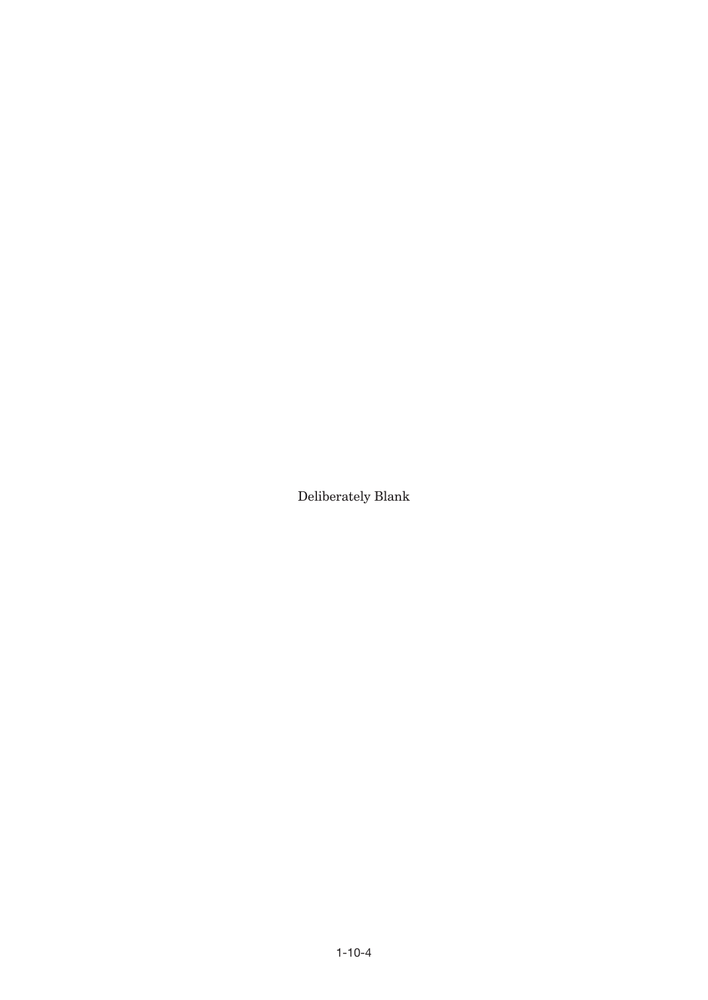Deliberately Blank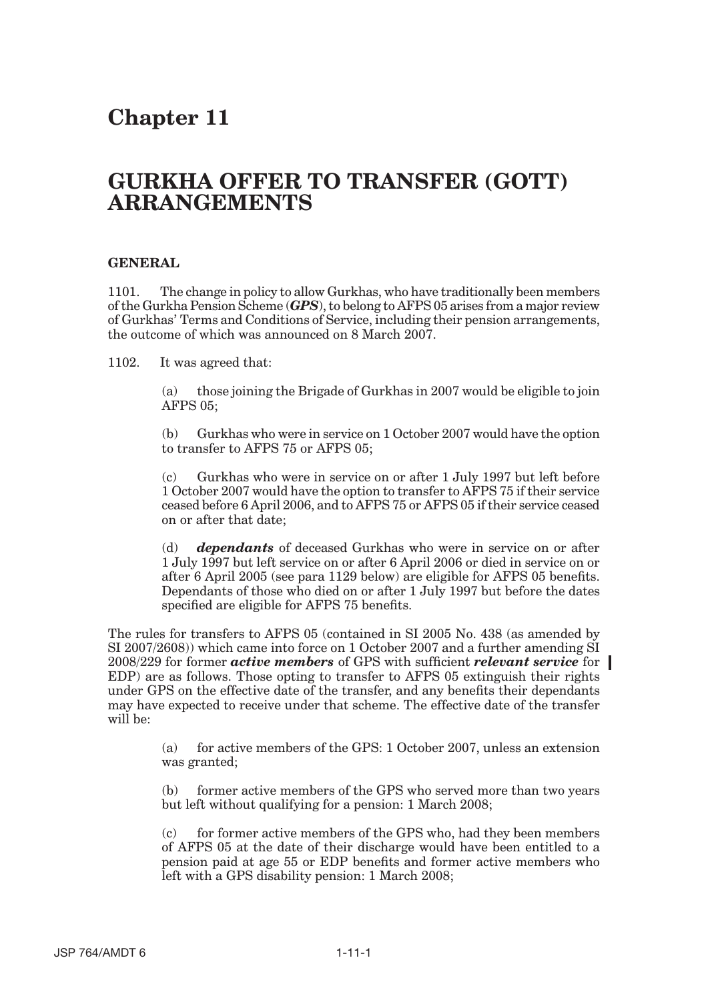## **Chapter 11**

## **GURKHA OFFER TO TRANSFER (GOTT) ARRANGEMENTS**

#### **GENERAL**

1101. The change in policy to allow Gurkhas, who have traditionally been members of the Gurkha Pension Scheme (*GPS*), to belong to AFPS 05 arises from a major review of Gurkhas' Terms and Conditions of Service, including their pension arrangements, the outcome of which was announced on 8 March 2007.

1102. It was agreed that:

(a) those joining the Brigade of Gurkhas in 2007 would be eligible to join AFPS 05;

(b) Gurkhas who were in service on 1 October 2007 would have the option to transfer to AFPS 75 or AFPS 05;

(c) Gurkhas who were in service on or after 1 July 1997 but left before 1 October 2007 would have the option to transfer to AFPS 75 if their service ceased before 6 April 2006, and to AFPS 75 or AFPS 05 if their service ceased on or after that date;

(d) *dependants* of deceased Gurkhas who were in service on or after 1 July 1997 but left service on or after 6 April 2006 or died in service on or after 6 April 2005 (see para 1129 below) are eligible for AFPS 05 benefits. Dependants of those who died on or after 1 July 1997 but before the dates specified are eligible for AFPS 75 benefits.

The rules for transfers to AFPS 05 (contained in SI 2005 No. 438 (as amended by SI 2007/2608)) which came into force on 1 October 2007 and a further amending SI 2008/229 for former *active members* of GPS with sufficient *relevant service* for EDP) are as follows. Those opting to transfer to AFPS 05 extinguish their rights under GPS on the effective date of the transfer, and any benefits their dependants may have expected to receive under that scheme. The effective date of the transfer will be:

> (a) for active members of the GPS: 1 October 2007, unless an extension was granted;

> (b) former active members of the GPS who served more than two years but left without qualifying for a pension: 1 March 2008;

> (c) for former active members of the GPS who, had they been members of AFPS 05 at the date of their discharge would have been entitled to a pension paid at age 55 or EDP benefits and former active members who left with a GPS disability pension: 1 March 2008;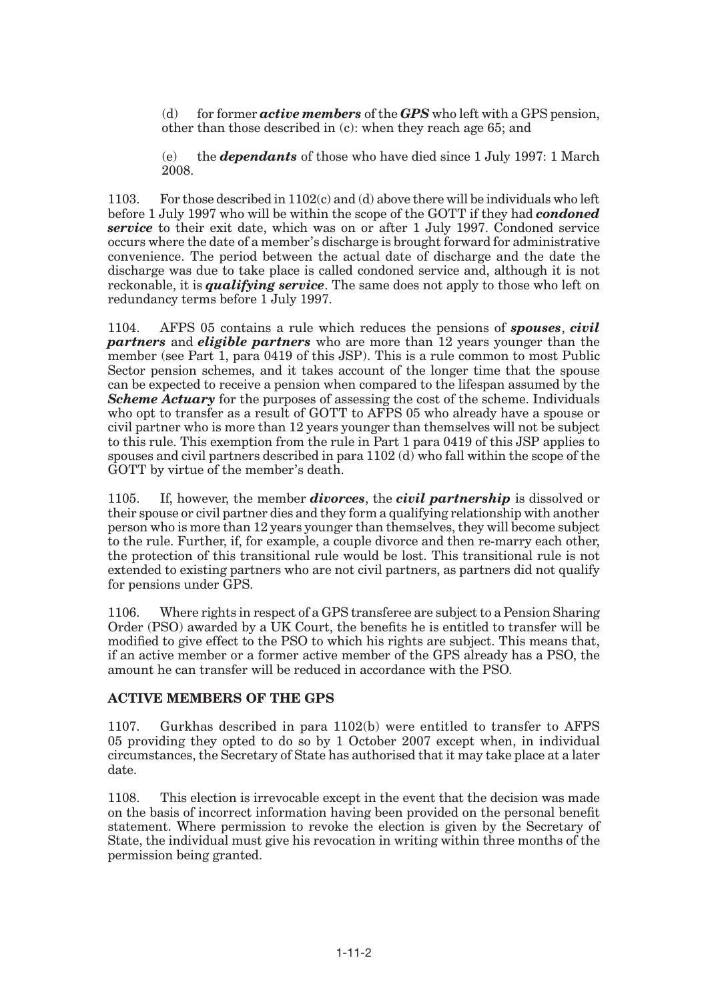(d) for former *active members* of the *GPS* who left with a GPS pension, other than those described in (c): when they reach age 65; and

(e) the *dependants* of those who have died since 1 July 1997: 1 March 2008.

1103. For those described in 1102(c) and (d) above there will be individuals who left before 1 July 1997 who will be within the scope of the GOTT if they had *condoned service* to their exit date, which was on or after 1 July 1997. Condoned service occurs where the date of a member's discharge is brought forward for administrative convenience. The period between the actual date of discharge and the date the discharge was due to take place is called condoned service and, although it is not reckonable, it is *qualifying service*. The same does not apply to those who left on redundancy terms before 1 July 1997.

1104. AFPS 05 contains a rule which reduces the pensions of *spouses*, *civil partners* and *eligible partners* who are more than 12 years younger than the member (see Part 1, para 0419 of this JSP). This is a rule common to most Public Sector pension schemes, and it takes account of the longer time that the spouse can be expected to receive a pension when compared to the lifespan assumed by the **Scheme Actuary** for the purposes of assessing the cost of the scheme. Individuals who opt to transfer as a result of GOTT to AFPS 05 who already have a spouse or civil partner who is more than 12 years younger than themselves will not be subject to this rule. This exemption from the rule in Part 1 para 0419 of this JSP applies to spouses and civil partners described in para 1102 (d) who fall within the scope of the GOTT by virtue of the member's death.

1105. If, however, the member *divorces*, the *civil partnership* is dissolved or their spouse or civil partner dies and they form a qualifying relationship with another person who is more than 12 years younger than themselves, they will become subject to the rule. Further, if, for example, a couple divorce and then re-marry each other, the protection of this transitional rule would be lost. This transitional rule is not extended to existing partners who are not civil partners, as partners did not qualify for pensions under GPS.

1106. Where rights in respect of a GPS transferee are subject to a Pension Sharing Order (PSO) awarded by a UK Court, the benefits he is entitled to transfer will be modified to give effect to the PSO to which his rights are subject. This means that, if an active member or a former active member of the GPS already has a PSO, the amount he can transfer will be reduced in accordance with the PSO.

#### **ACTIVE MEMBERS OF THE GPS**

1107. Gurkhas described in para 1102(b) were entitled to transfer to AFPS 05 providing they opted to do so by 1 October 2007 except when, in individual circumstances, the Secretary of State has authorised that it may take place at a later date.

1108. This election is irrevocable except in the event that the decision was made on the basis of incorrect information having been provided on the personal benefit statement. Where permission to revoke the election is given by the Secretary of State, the individual must give his revocation in writing within three months of the permission being granted.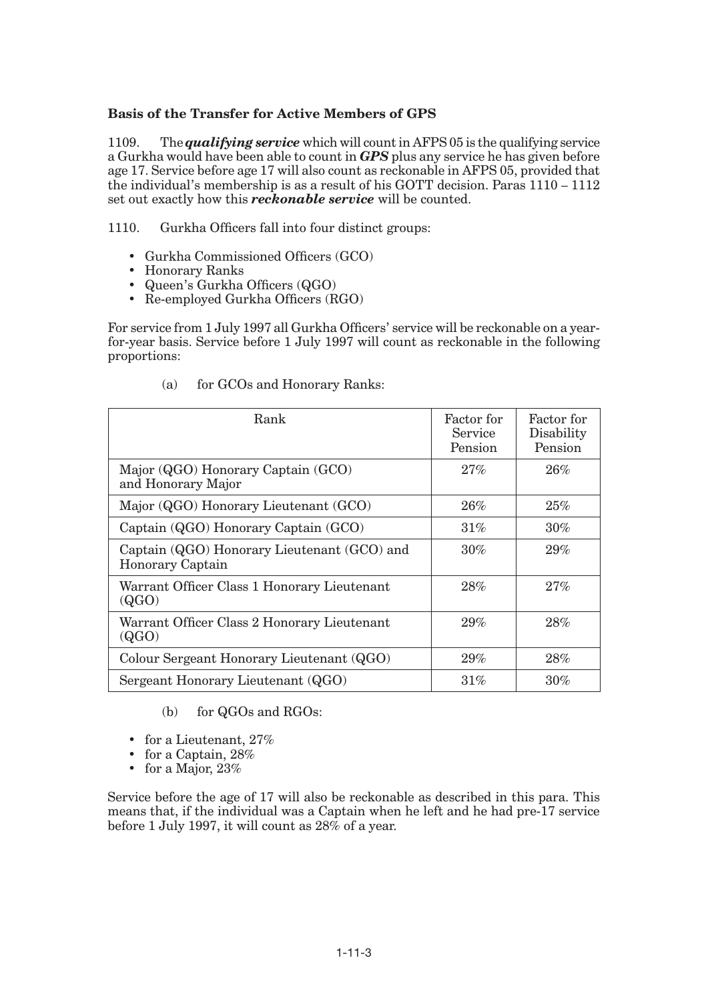## **Basis of the Transfer for Active Members of GPS**

1109. The *qualifying service* which will count in AFPS 05 is the qualifying service a Gurkha would have been able to count in *GPS* plus any service he has given before age 17. Service before age 17 will also count as reckonable in AFPS 05, provided that the individual's membership is as a result of his GOTT decision. Paras 1110 – 1112 set out exactly how this *reckonable service* will be counted.

1110. Gurkha Officers fall into four distinct groups:

- Gurkha Commissioned Officers (GCO)
- Honorary Ranks
- Queen's Gurkha Officers (QGO)
- Re-employed Gurkha Officers (RGO)

For service from 1 July 1997 all Gurkha Officers' service will be reckonable on a yearfor-year basis. Service before 1 July 1997 will count as reckonable in the following proportions:

| Rank                                                                   | Factor for<br>Service<br>Pension | Factor for<br>Disability<br>Pension |
|------------------------------------------------------------------------|----------------------------------|-------------------------------------|
| Major (QGO) Honorary Captain (GCO)<br>and Honorary Major               | $27\%$                           | $26\%$                              |
| Major (QGO) Honorary Lieutenant (GCO)                                  | $26\%$                           | 25%                                 |
| Captain (QGO) Honorary Captain (GCO)                                   | $31\%$                           | $30\%$                              |
| Captain (QGO) Honorary Lieutenant (GCO) and<br><b>Honorary Captain</b> | $30\%$                           | $29\%$                              |
| Warrant Officer Class 1 Honorary Lieutenant<br>(QGO)                   | $28\%$                           | 27%                                 |
| Warrant Officer Class 2 Honorary Lieutenant<br>(QGO)                   | 29%                              | $28\%$                              |
| Colour Sergeant Honorary Lieutenant (QGO)                              | $29\%$                           | $28\%$                              |
| Sergeant Honorary Lieutenant (QGO)                                     | 31%                              | $30\%$                              |

(a) for GCOs and Honorary Ranks:

- (b) for QGOs and RGOs:
- for a Lieutenant, 27%
- for a Captain, 28%
- for a Major, 23%

Service before the age of 17 will also be reckonable as described in this para. This means that, if the individual was a Captain when he left and he had pre-17 service before 1 July 1997, it will count as  $28\%$  of a year.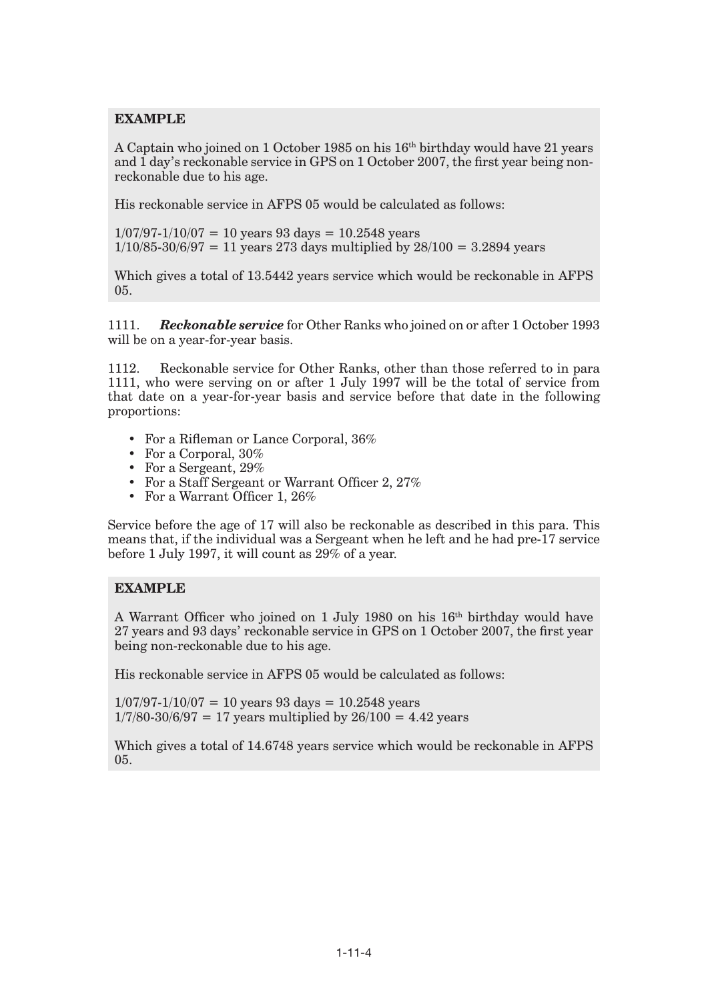#### **EXAMPLE**

A Captain who joined on 1 October 1985 on his 16th birthday would have 21 years and 1 day's reckonable service in GPS on 1 October 2007, the first year being nonreckonable due to his age.

His reckonable service in AFPS 05 would be calculated as follows:

 $1/07/97-1/10/07 = 10$  years 93 days = 10.2548 years  $1/10/85-30/6/97 = 11$  years 273 days multiplied by  $28/100 = 3.2894$  years

Which gives a total of 13.5442 years service which would be reckonable in AFPS 05.

1111. *Reckonable service* for Other Ranks who joined on or after 1 October 1993 will be on a year-for-year basis.

1112. Reckonable service for Other Ranks, other than those referred to in para 1111, who were serving on or after 1 July 1997 will be the total of service from that date on a year-for-year basis and service before that date in the following proportions:

- For a Rifleman or Lance Corporal, 36%
- For a Corporal, 30%
- For a Sergeant, 29%
- For a Staff Sergeant or Warrant Officer 2, 27%
- For a Warrant Officer 1, 26%

Service before the age of 17 will also be reckonable as described in this para. This means that, if the individual was a Sergeant when he left and he had pre-17 service before 1 July 1997, it will count as 29% of a year.

## **EXAMPLE**

A Warrant Officer who joined on 1 July 1980 on his 16th birthday would have 27 years and 93 days' reckonable service in GPS on 1 October 2007, the first year being non-reckonable due to his age.

His reckonable service in AFPS 05 would be calculated as follows:

 $1/07/97 - 1/10/07 = 10$  years 93 days = 10.2548 years  $1/7/80-30/6/97 = 17$  years multiplied by  $26/100 = 4.42$  years

Which gives a total of 14.6748 years service which would be reckonable in AFPS 05.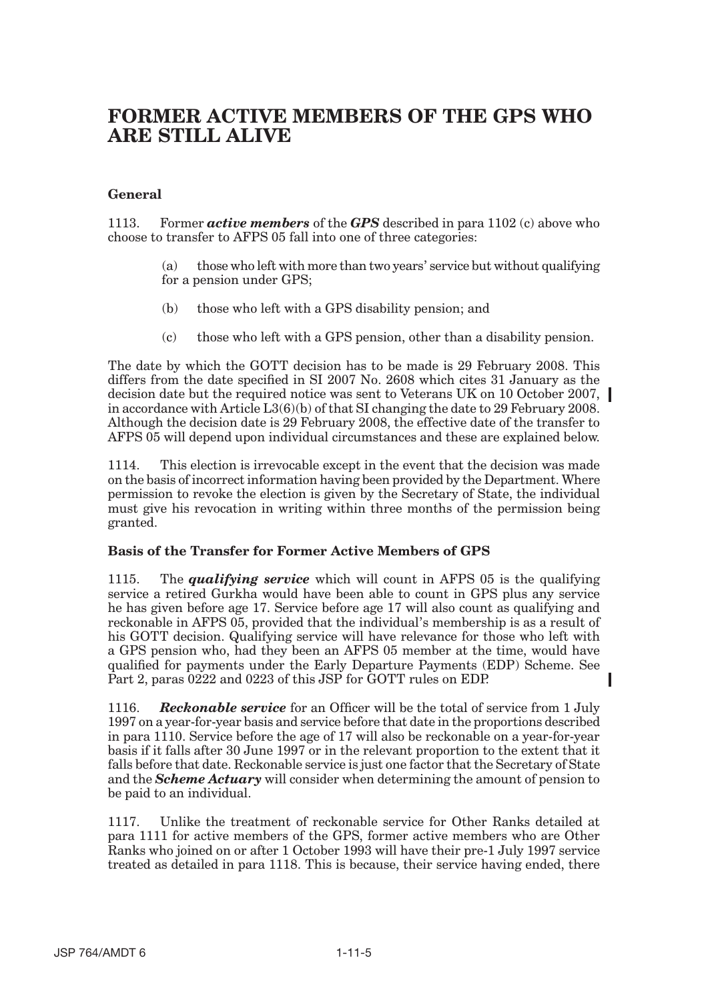## **FORMER ACTIVE MEMBERS OF THE GPS WHO ARE STILL ALIVE**

#### **General**

1113. Former *active members* of the *GPS* described in para 1102 (c) above who choose to transfer to AFPS 05 fall into one of three categories:

- (a) those who left with more than two years' service but without qualifying for a pension under GPS;
- (b) those who left with a GPS disability pension; and
- (c) those who left with a GPS pension, other than a disability pension.

The date by which the GOTT decision has to be made is 29 February 2008. This differs from the date specified in SI 2007 No. 2608 which cites 31 January as the decision date but the required notice was sent to Veterans UK on 10 October 2007, in accordance with Article L3(6)(b) of that SI changing the date to 29 February 2008. Although the decision date is 29 February 2008, the effective date of the transfer to AFPS 05 will depend upon individual circumstances and these are explained below.

1114. This election is irrevocable except in the event that the decision was made on the basis of incorrect information having been provided by the Department. Where permission to revoke the election is given by the Secretary of State, the individual must give his revocation in writing within three months of the permission being granted.

#### **Basis of the Transfer for Former Active Members of GPS**

1115. The *qualifying service* which will count in AFPS 05 is the qualifying service a retired Gurkha would have been able to count in GPS plus any service he has given before age 17. Service before age 17 will also count as qualifying and reckonable in AFPS 05, provided that the individual's membership is as a result of his GOTT decision. Qualifying service will have relevance for those who left with a GPS pension who, had they been an AFPS 05 member at the time, would have qualified for payments under the Early Departure Payments (EDP) Scheme. See Part 2, paras 0222 and 0223 of this JSP for GOTT rules on EDP.

1116. *Reckonable service* for an Officer will be the total of service from 1 July 1997 on a year-for-year basis and service before that date in the proportions described in para 1110. Service before the age of 17 will also be reckonable on a year-for-year basis if it falls after 30 June 1997 or in the relevant proportion to the extent that it falls before that date. Reckonable service is just one factor that the Secretary of State and the *Scheme Actuary* will consider when determining the amount of pension to be paid to an individual.

1117. Unlike the treatment of reckonable service for Other Ranks detailed at para 1111 for active members of the GPS, former active members who are Other Ranks who joined on or after 1 October 1993 will have their pre-1 July 1997 service treated as detailed in para 1118. This is because, their service having ended, there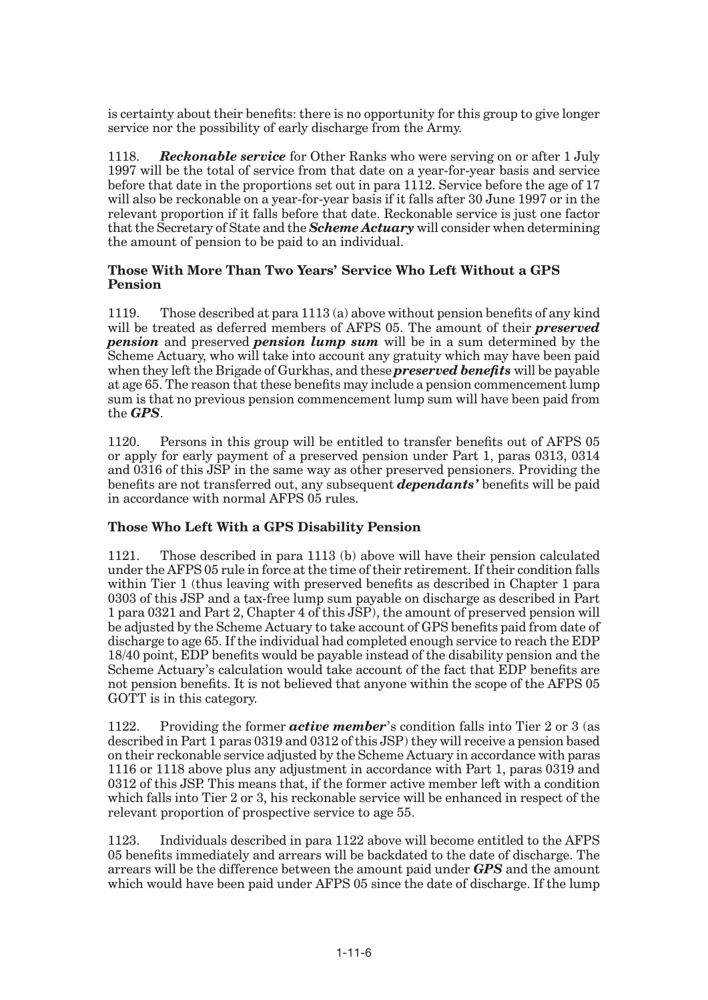is certainty about their benefits: there is no opportunity for this group to give longer service nor the possibility of early discharge from the Army.

1118. *Reckonable service* for Other Ranks who were serving on or after 1 July 1997 will be the total of service from that date on a year-for-year basis and service before that date in the proportions set out in para 1112. Service before the age of 17 will also be reckonable on a year-for-year basis if it falls after 30 June 1997 or in the relevant proportion if it falls before that date. Reckonable service is just one factor that the Secretary of State and the *Scheme Actuary* will consider when determining the amount of pension to be paid to an individual.

#### **Those With More Than Two Years' Service Who Left Without a GPS Pension**

1119. Those described at para 1113 (a) above without pension benefits of any kind will be treated as deferred members of AFPS 05. The amount of their *preserved pension* and preserved *pension lump sum* will be in a sum determined by the Scheme Actuary, who will take into account any gratuity which may have been paid when they left the Brigade of Gurkhas, and these *preserved benefits* will be payable at age 65. The reason that these benefits may include a pension commencement lump sum is that no previous pension commencement lump sum will have been paid from the *GPS*.

1120. Persons in this group will be entitled to transfer benefits out of AFPS 05 or apply for early payment of a preserved pension under Part 1, paras 0313, 0314 and 0316 of this JSP in the same way as other preserved pensioners. Providing the benefits are not transferred out, any subsequent *dependants'* benefits will be paid in accordance with normal AFPS 05 rules.

## **Those Who Left With a GPS Disability Pension**

1121. Those described in para 1113 (b) above will have their pension calculated under the AFPS 05 rule in force at the time of their retirement. If their condition falls within Tier 1 (thus leaving with preserved benefits as described in Chapter 1 para 0303 of this JSP and a tax-free lump sum payable on discharge as described in Part 1 para 0321 and Part 2, Chapter 4 of this JSP), the amount of preserved pension will be adjusted by the Scheme Actuary to take account of GPS benefits paid from date of discharge to age 65. If the individual had completed enough service to reach the EDP 18/40 point, EDP benefits would be payable instead of the disability pension and the Scheme Actuary's calculation would take account of the fact that EDP benefits are not pension benefits. It is not believed that anyone within the scope of the AFPS 05 GOTT is in this category.

1122. Providing the former *active member*'s condition falls into Tier 2 or 3 (as described in Part 1 paras 0319 and 0312 of this JSP) they will receive a pension based on their reckonable service adjusted by the Scheme Actuary in accordance with paras 1116 or 1118 above plus any adjustment in accordance with Part 1, paras 0319 and 0312 of this JSP. This means that, if the former active member left with a condition which falls into Tier 2 or 3, his reckonable service will be enhanced in respect of the relevant proportion of prospective service to age 55.

1123. Individuals described in para 1122 above will become entitled to the AFPS 05 benefits immediately and arrears will be backdated to the date of discharge. The arrears will be the difference between the amount paid under *GPS* and the amount which would have been paid under AFPS 05 since the date of discharge. If the lump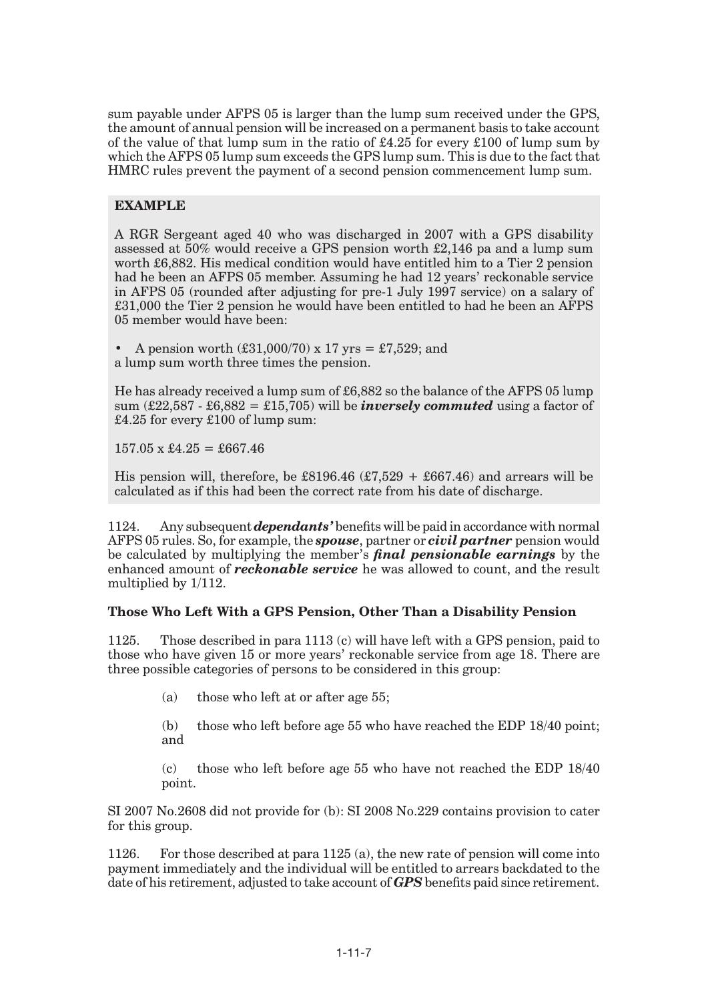sum payable under AFPS 05 is larger than the lump sum received under the GPS, the amount of annual pension will be increased on a permanent basis to take account of the value of that lump sum in the ratio of £4.25 for every £100 of lump sum by which the AFPS 05 lump sum exceeds the GPS lump sum. This is due to the fact that HMRC rules prevent the payment of a second pension commencement lump sum.

## **EXAMPLE**

A RGR Sergeant aged 40 who was discharged in 2007 with a GPS disability assessed at 50% would receive a GPS pension worth £2,146 pa and a lump sum worth £6,882. His medical condition would have entitled him to a Tier 2 pension had he been an AFPS 05 member. Assuming he had 12 years' reckonable service in AFPS 05 (rounded after adjusting for pre-1 July 1997 service) on a salary of £31,000 the Tier 2 pension he would have been entitled to had he been an AFPS 05 member would have been:

• A pension worth  $(\text{\pounds}31,000/70) \times 17 \text{ yrs} = \text{\pounds}7,529$ ; and a lump sum worth three times the pension.

He has already received a lump sum of £6,882 so the balance of the AFPS 05 lump sum (£22,587 - £6,882 = £15,705) will be *inversely commuted* using a factor of £4.25 for every £100 of lump sum:

 $157.05 \times \text{\pounds}4.25 = \text{\pounds}667.46$ 

His pension will, therefore, be £8196.46 (£7,529 + £667.46) and arrears will be calculated as if this had been the correct rate from his date of discharge.

1124. Any subsequent *dependants'* benefits will be paid in accordance with normal AFPS 05 rules. So, for example, the *spouse*, partner or *civil partner* pension would be calculated by multiplying the member's *final pensionable earnings* by the enhanced amount of *reckonable service* he was allowed to count, and the result multiplied by 1/112.

## **Those Who Left With a GPS Pension, Other Than a Disability Pension**

1125. Those described in para 1113 (c) will have left with a GPS pension, paid to those who have given 15 or more years' reckonable service from age 18. There are three possible categories of persons to be considered in this group:

(a) those who left at or after age 55;

(b) those who left before age 55 who have reached the EDP 18/40 point; and

(c) those who left before age 55 who have not reached the EDP 18/40 point.

SI 2007 No.2608 did not provide for (b): SI 2008 No.229 contains provision to cater for this group.

1126. For those described at para 1125 (a), the new rate of pension will come into payment immediately and the individual will be entitled to arrears backdated to the date of his retirement, adjusted to take account of *GPS* benefits paid since retirement.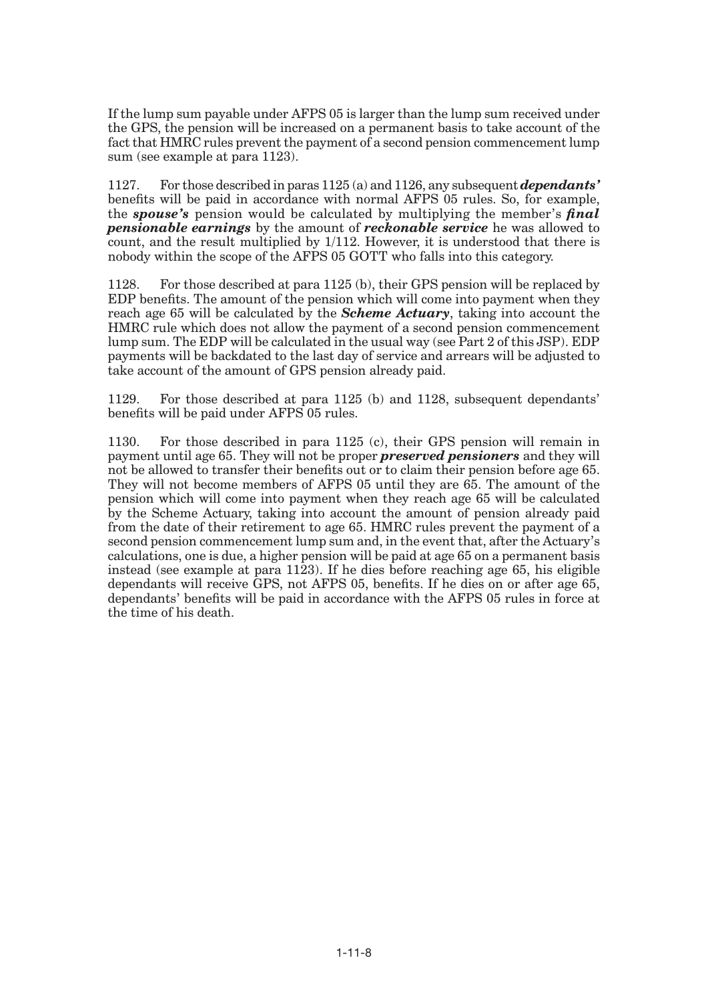If the lump sum payable under AFPS 05 is larger than the lump sum received under the GPS, the pension will be increased on a permanent basis to take account of the fact that HMRC rules prevent the payment of a second pension commencement lump sum (see example at para 1123).

1127. For those described in paras 1125 (a) and 1126, any subsequent *dependants'*  benefits will be paid in accordance with normal AFPS 05 rules. So, for example, the *spouse's* pension would be calculated by multiplying the member's *final pensionable earnings* by the amount of *reckonable service* he was allowed to count, and the result multiplied by 1/112. However, it is understood that there is nobody within the scope of the AFPS 05 GOTT who falls into this category.

1128. For those described at para 1125 (b), their GPS pension will be replaced by EDP benefits. The amount of the pension which will come into payment when they reach age 65 will be calculated by the *Scheme Actuary*, taking into account the HMRC rule which does not allow the payment of a second pension commencement lump sum. The EDP will be calculated in the usual way (see Part 2 of this JSP). EDP payments will be backdated to the last day of service and arrears will be adjusted to take account of the amount of GPS pension already paid.

1129. For those described at para 1125 (b) and 1128, subsequent dependants' benefits will be paid under AFPS 05 rules.

1130. For those described in para 1125 (c), their GPS pension will remain in payment until age 65. They will not be proper *preserved pensioners* and they will not be allowed to transfer their benefits out or to claim their pension before age 65. They will not become members of AFPS 05 until they are 65. The amount of the pension which will come into payment when they reach age 65 will be calculated by the Scheme Actuary, taking into account the amount of pension already paid from the date of their retirement to age 65. HMRC rules prevent the payment of a second pension commencement lump sum and, in the event that, after the Actuary's calculations, one is due, a higher pension will be paid at age 65 on a permanent basis instead (see example at para 1123). If he dies before reaching age 65, his eligible dependants will receive GPS, not AFPS 05, benefits. If he dies on or after age 65, dependants' benefits will be paid in accordance with the AFPS 05 rules in force at the time of his death.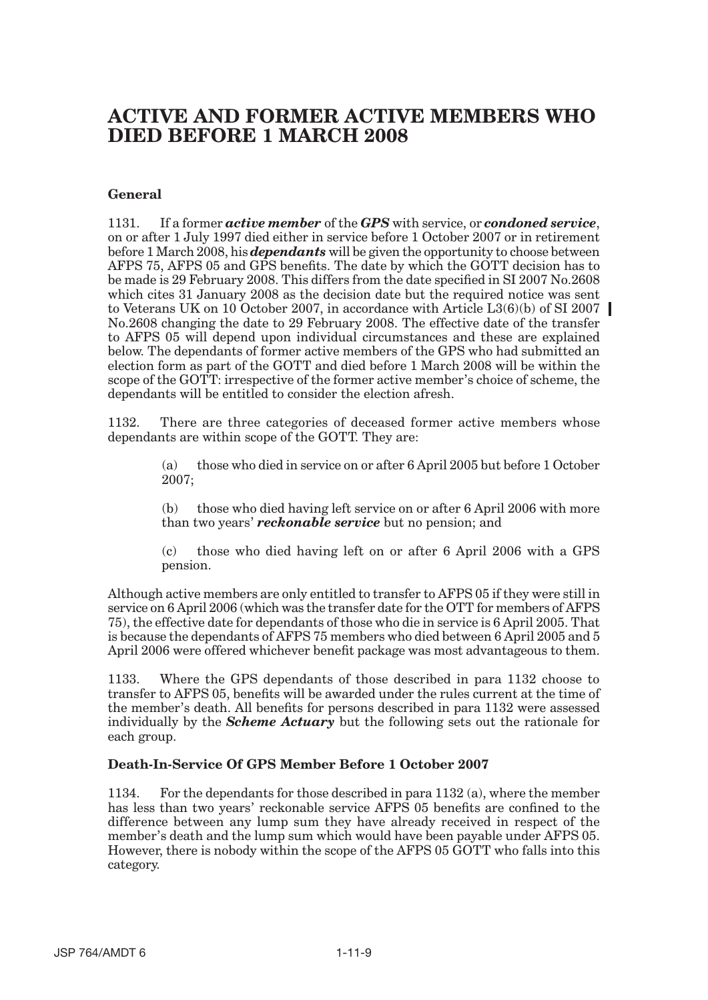## **ACTIVE AND FORMER ACTIVE MEMBERS WHO DIED BEFORE 1 MARCH 2008**

#### **General**

1131. If a former *active member* of the *GPS* with service, or *condoned service*, on or after 1 July 1997 died either in service before 1 October 2007 or in retirement before 1 March 2008, his *dependants* will be given the opportunity to choose between AFPS 75, AFPS 05 and GPS benefits. The date by which the GOTT decision has to be made is 29 February 2008. This differs from the date specified in SI 2007 No.2608 which cites 31 January 2008 as the decision date but the required notice was sent to Veterans UK on 10 October 2007, in accordance with Article L3(6)(b) of SI 2007 No.2608 changing the date to 29 February 2008. The effective date of the transfer to AFPS 05 will depend upon individual circumstances and these are explained below. The dependants of former active members of the GPS who had submitted an election form as part of the GOTT and died before 1 March 2008 will be within the scope of the GOTT: irrespective of the former active member's choice of scheme, the dependants will be entitled to consider the election afresh.

1132. There are three categories of deceased former active members whose dependants are within scope of the GOTT. They are:

> (a) those who died in service on or after 6 April 2005 but before 1 October 2007;

> (b) those who died having left service on or after 6 April 2006 with more than two years' *reckonable service* but no pension; and

> (c) those who died having left on or after 6 April 2006 with a GPS pension.

Although active members are only entitled to transfer to AFPS 05 if they were still in service on 6 April 2006 (which was the transfer date for the OTT for members of AFPS 75), the effective date for dependants of those who die in service is 6 April 2005. That is because the dependants of AFPS 75 members who died between 6 April 2005 and 5 April 2006 were offered whichever benefit package was most advantageous to them.

1133. Where the GPS dependants of those described in para 1132 choose to transfer to AFPS 05, benefits will be awarded under the rules current at the time of the member's death. All benefits for persons described in para 1132 were assessed individually by the *Scheme Actuary* but the following sets out the rationale for each group.

## **Death-In-Service Of GPS Member Before 1 October 2007**

1134. For the dependants for those described in para 1132 (a), where the member has less than two years' reckonable service AFPS 05 benefits are confined to the difference between any lump sum they have already received in respect of the member's death and the lump sum which would have been payable under AFPS 05. However, there is nobody within the scope of the AFPS 05 GOTT who falls into this category.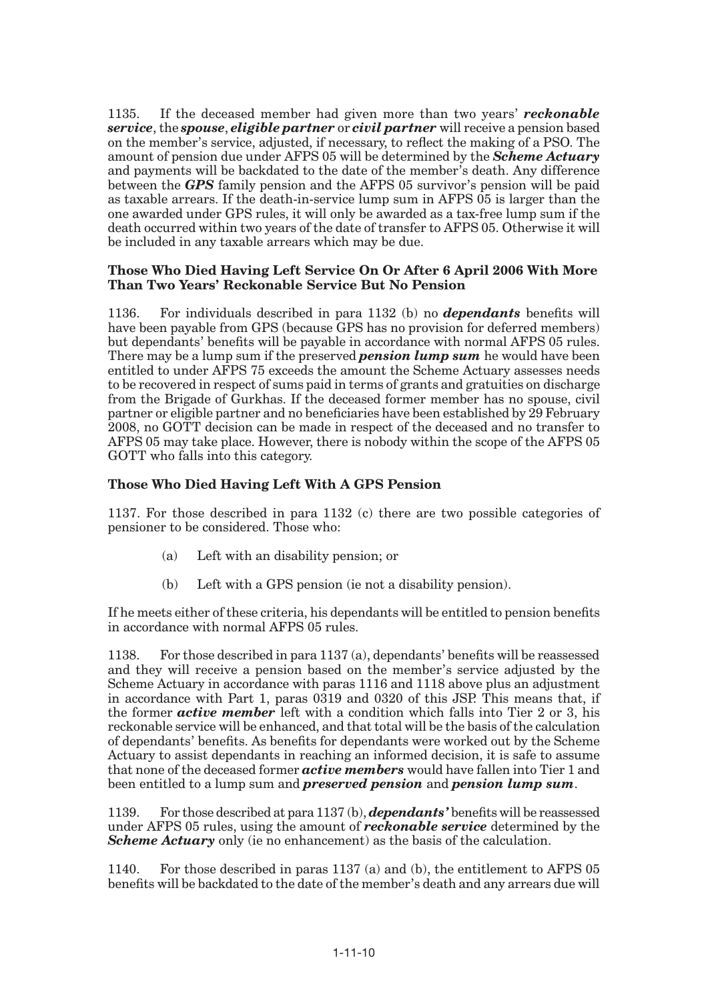1135. If the deceased member had given more than two years' *reckonable service*, the *spouse*, *eligible partner* or *civil partner* will receive a pension based on the member's service, adjusted, if necessary, to reflect the making of a PSO. The amount of pension due under AFPS 05 will be determined by the *Scheme Actuary*  and payments will be backdated to the date of the member's death. Any difference between the *GPS* family pension and the AFPS 05 survivor's pension will be paid as taxable arrears. If the death-in-service lump sum in AFPS 05 is larger than the one awarded under GPS rules, it will only be awarded as a tax-free lump sum if the death occurred within two years of the date of transfer to AFPS 05. Otherwise it will be included in any taxable arrears which may be due.

#### **Those Who Died Having Left Service On Or After 6 April 2006 With More Than Two Years' Reckonable Service But No Pension**

1136. For individuals described in para 1132 (b) no *dependants* benefits will have been payable from GPS (because GPS has no provision for deferred members) but dependants' benefits will be payable in accordance with normal AFPS 05 rules. There may be a lump sum if the preserved *pension lump sum* he would have been entitled to under AFPS 75 exceeds the amount the Scheme Actuary assesses needs to be recovered in respect of sums paid in terms of grants and gratuities on discharge from the Brigade of Gurkhas. If the deceased former member has no spouse, civil partner or eligible partner and no beneficiaries have been established by 29 February 2008, no GOTT decision can be made in respect of the deceased and no transfer to AFPS 05 may take place. However, there is nobody within the scope of the AFPS 05 GOTT who falls into this category.

## **Those Who Died Having Left With A GPS Pension**

1137. For those described in para 1132 (c) there are two possible categories of pensioner to be considered. Those who:

- (a) Left with an disability pension; or
- (b) Left with a GPS pension (ie not a disability pension).

If he meets either of these criteria, his dependants will be entitled to pension benefits in accordance with normal AFPS 05 rules.

1138. For those described in para 1137 (a), dependants' benefits will be reassessed and they will receive a pension based on the member's service adjusted by the Scheme Actuary in accordance with paras 1116 and 1118 above plus an adjustment in accordance with Part 1, paras 0319 and 0320 of this JSP. This means that, if the former *active member* left with a condition which falls into Tier 2 or 3, his reckonable service will be enhanced, and that total will be the basis of the calculation of dependants' benefits. As benefits for dependants were worked out by the Scheme Actuary to assist dependants in reaching an informed decision, it is safe to assume that none of the deceased former *active members* would have fallen into Tier 1 and been entitled to a lump sum and *preserved pension* and *pension lump sum*.

1139. For those described at para 1137 (b), *dependants'* benefits will be reassessed under AFPS 05 rules, using the amount of *reckonable service* determined by the *Scheme Actuary* only (ie no enhancement) as the basis of the calculation.

1140. For those described in paras 1137 (a) and (b), the entitlement to AFPS 05 benefits will be backdated to the date of the member's death and any arrears due will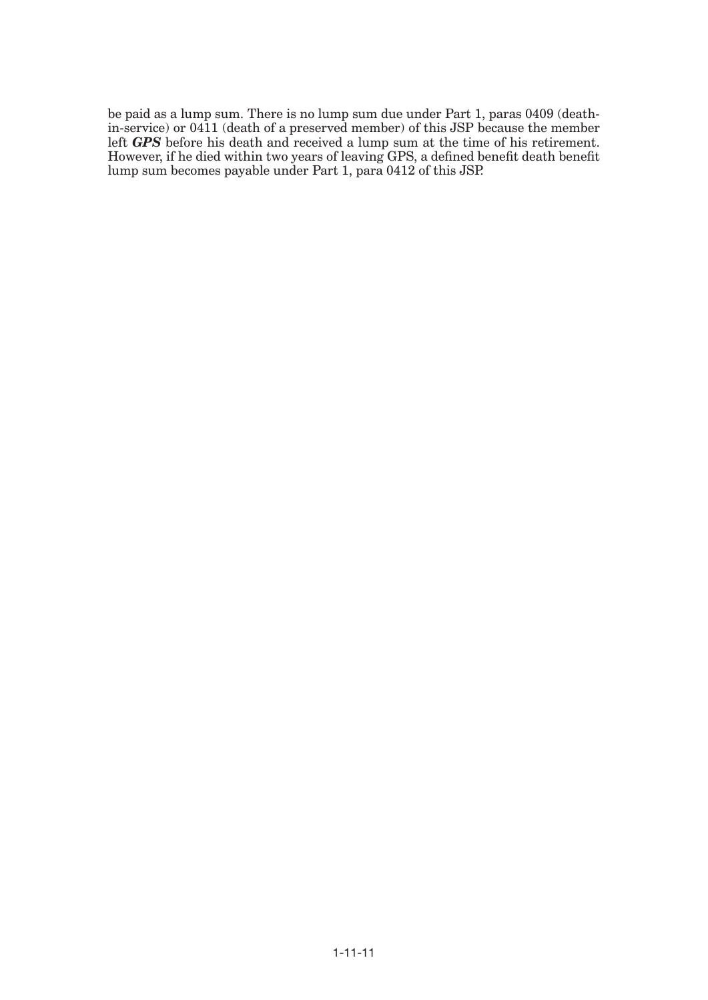be paid as a lump sum. There is no lump sum due under Part 1, paras 0409 (deathin-service) or 0411 (death of a preserved member) of this JSP because the member left *GPS* before his death and received a lump sum at the time of his retirement. However, if he died within two years of leaving GPS, a defined benefit death benefit lump sum becomes payable under Part 1, para 0412 of this JSP.